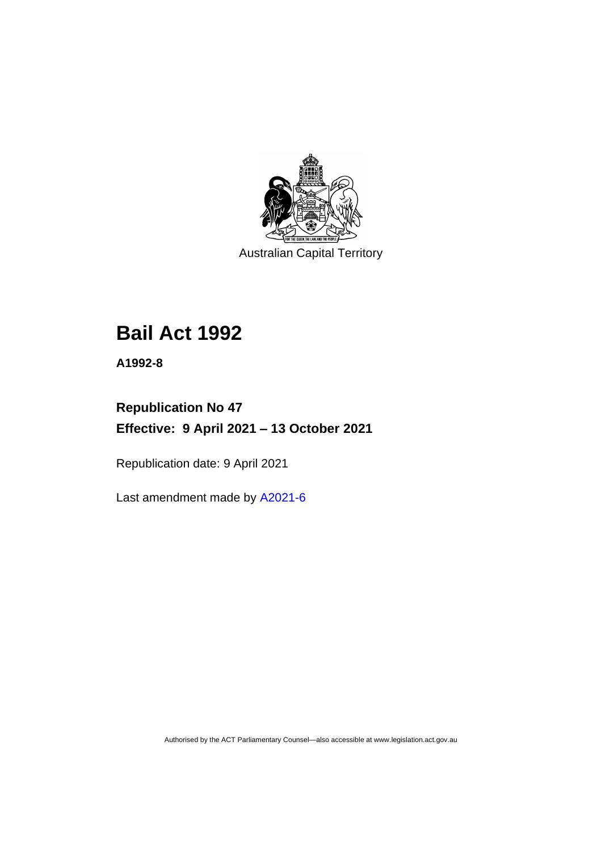

Australian Capital Territory

# **Bail Act 1992**

**A1992-8**

## **Republication No 47 Effective: 9 April 2021 – 13 October 2021**

Republication date: 9 April 2021

Last amendment made by [A2021-6](http://www.legislation.act.gov.au/a/2021-6/)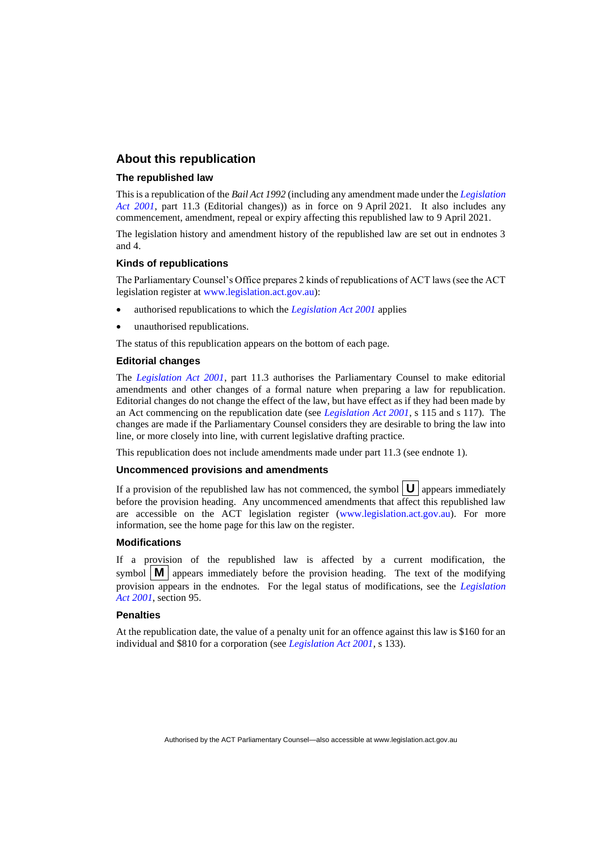#### **About this republication**

#### **The republished law**

This is a republication of the *Bail Act 1992* (including any amendment made under the *[Legislation](http://www.legislation.act.gov.au/a/2001-14)  [Act 2001](http://www.legislation.act.gov.au/a/2001-14)*, part 11.3 (Editorial changes)) as in force on 9 April 2021*.* It also includes any commencement, amendment, repeal or expiry affecting this republished law to 9 April 2021.

The legislation history and amendment history of the republished law are set out in endnotes 3 and 4.

#### **Kinds of republications**

The Parliamentary Counsel's Office prepares 2 kinds of republications of ACT laws (see the ACT legislation register at [www.legislation.act.gov.au\)](http://www.legislation.act.gov.au/):

- authorised republications to which the *[Legislation Act 2001](http://www.legislation.act.gov.au/a/2001-14)* applies
- unauthorised republications.

The status of this republication appears on the bottom of each page.

#### **Editorial changes**

The *[Legislation Act 2001](http://www.legislation.act.gov.au/a/2001-14)*, part 11.3 authorises the Parliamentary Counsel to make editorial amendments and other changes of a formal nature when preparing a law for republication. Editorial changes do not change the effect of the law, but have effect as if they had been made by an Act commencing on the republication date (see *[Legislation Act 2001](http://www.legislation.act.gov.au/a/2001-14)*, s 115 and s 117). The changes are made if the Parliamentary Counsel considers they are desirable to bring the law into line, or more closely into line, with current legislative drafting practice.

This republication does not include amendments made under part 11.3 (see endnote 1).

#### **Uncommenced provisions and amendments**

If a provision of the republished law has not commenced, the symbol  $\mathbf{U}$  appears immediately before the provision heading. Any uncommenced amendments that affect this republished law are accessible on the ACT legislation register [\(www.legislation.act.gov.au\)](http://www.legislation.act.gov.au/). For more information, see the home page for this law on the register.

#### **Modifications**

If a provision of the republished law is affected by a current modification, the symbol  $\mathbf{M}$  appears immediately before the provision heading. The text of the modifying provision appears in the endnotes. For the legal status of modifications, see the *[Legislation](http://www.legislation.act.gov.au/a/2001-14)  Act [2001](http://www.legislation.act.gov.au/a/2001-14)*, section 95.

#### **Penalties**

At the republication date, the value of a penalty unit for an offence against this law is \$160 for an individual and \$810 for a corporation (see *[Legislation Act 2001](http://www.legislation.act.gov.au/a/2001-14)*, s 133).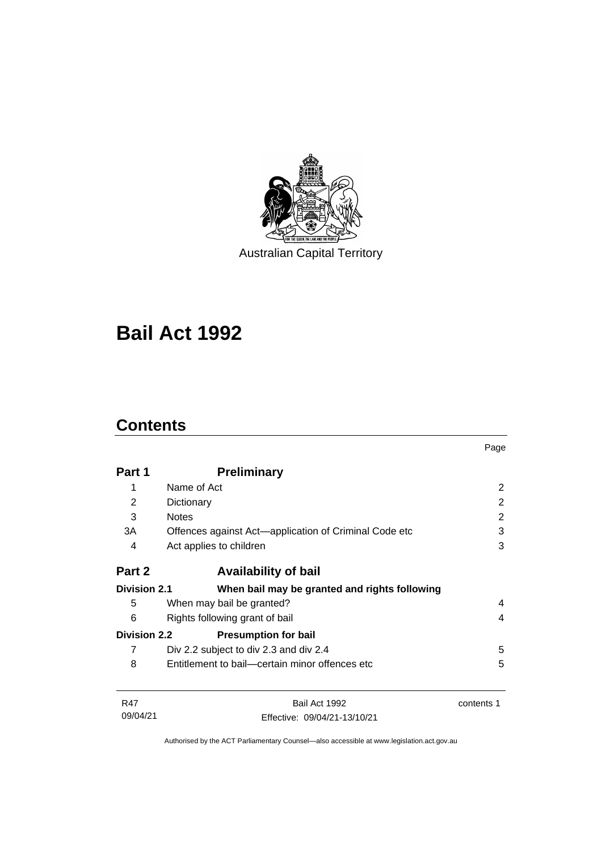

Australian Capital Territory

# **Bail Act 1992**

## **Contents**

|                     |                                                       | Page       |  |
|---------------------|-------------------------------------------------------|------------|--|
| Part 1              | <b>Preliminary</b>                                    |            |  |
| 1                   | Name of Act                                           | 2          |  |
| 2                   | Dictionary                                            | 2          |  |
| 3                   | <b>Notes</b>                                          | 2          |  |
| 3A                  | Offences against Act—application of Criminal Code etc | 3          |  |
| 4                   | Act applies to children                               | 3          |  |
| Part 2              | <b>Availability of bail</b>                           |            |  |
| <b>Division 2.1</b> | When bail may be granted and rights following         |            |  |
| 5                   | When may bail be granted?                             | 4          |  |
| 6                   | Rights following grant of bail                        |            |  |
| <b>Division 2.2</b> | <b>Presumption for bail</b>                           |            |  |
| 7                   | Div 2.2 subject to div 2.3 and div 2.4                | 5          |  |
| 8                   | Entitlement to bail—certain minor offences etc        | 5          |  |
| <b>R47</b>          | Bail Act 1992                                         | contents 1 |  |
| 09/04/21            | Effective: 09/04/21-13/10/21                          |            |  |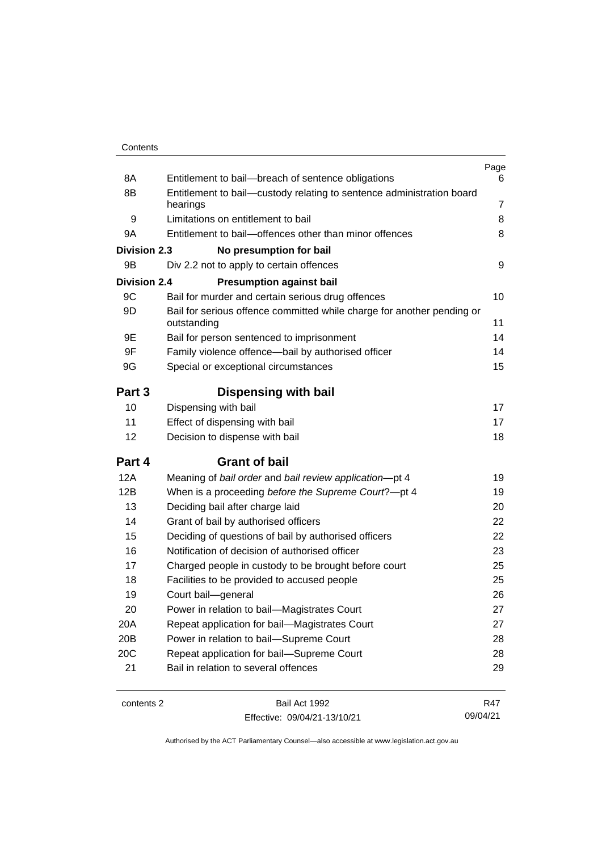| Contents |
|----------|
|----------|

| 8A                  | Entitlement to bail-breach of sentence obligations                                    | Page<br>6      |
|---------------------|---------------------------------------------------------------------------------------|----------------|
| 8B                  | Entitlement to bail-custody relating to sentence administration board                 |                |
|                     | hearings                                                                              | $\overline{7}$ |
| 9                   | Limitations on entitlement to bail                                                    | 8              |
| 9Α                  | Entitlement to bail-offences other than minor offences                                | 8              |
| <b>Division 2.3</b> | No presumption for bail                                                               |                |
| 9B                  | Div 2.2 not to apply to certain offences                                              | 9              |
| <b>Division 2.4</b> | <b>Presumption against bail</b>                                                       |                |
| 9C                  | Bail for murder and certain serious drug offences                                     | 10             |
| 9D                  | Bail for serious offence committed while charge for another pending or<br>outstanding | 11             |
| 9Ε                  | Bail for person sentenced to imprisonment                                             | 14             |
| 9F                  | Family violence offence-bail by authorised officer                                    | 14             |
| 9G                  | Special or exceptional circumstances                                                  | 15             |
| Part 3              | <b>Dispensing with bail</b>                                                           |                |
| 10                  | Dispensing with bail                                                                  | 17             |
| 11                  | Effect of dispensing with bail                                                        | 17             |
| 12                  | Decision to dispense with bail                                                        | 18             |
| Part 4              | <b>Grant of bail</b>                                                                  |                |
| <b>12A</b>          | Meaning of bail order and bail review application-pt 4                                | 19             |
| 12B                 | When is a proceeding before the Supreme Court?-pt 4                                   | 19             |
| 13                  | Deciding bail after charge laid                                                       | 20             |
| 14                  | Grant of bail by authorised officers                                                  | 22             |
| 15                  | Deciding of questions of bail by authorised officers                                  | 22             |
| 16                  | Notification of decision of authorised officer                                        | 23             |
| 17                  | Charged people in custody to be brought before court                                  | 25             |
| 18                  | Facilities to be provided to accused people                                           | 25             |
| 19                  | Court bail-general                                                                    | 26             |
| 20                  | Power in relation to bail-Magistrates Court                                           | 27             |
| 20A                 | Repeat application for bail-Magistrates Court                                         | 27             |
| 20B                 | Power in relation to bail-Supreme Court                                               | 28             |
| 20C                 | Repeat application for bail-Supreme Court                                             | 28             |
| 21                  | Bail in relation to several offences                                                  | 29             |
|                     |                                                                                       |                |

contents 2 Bail Act 1992 Effective: 09/04/21-13/10/21

R47 09/04/21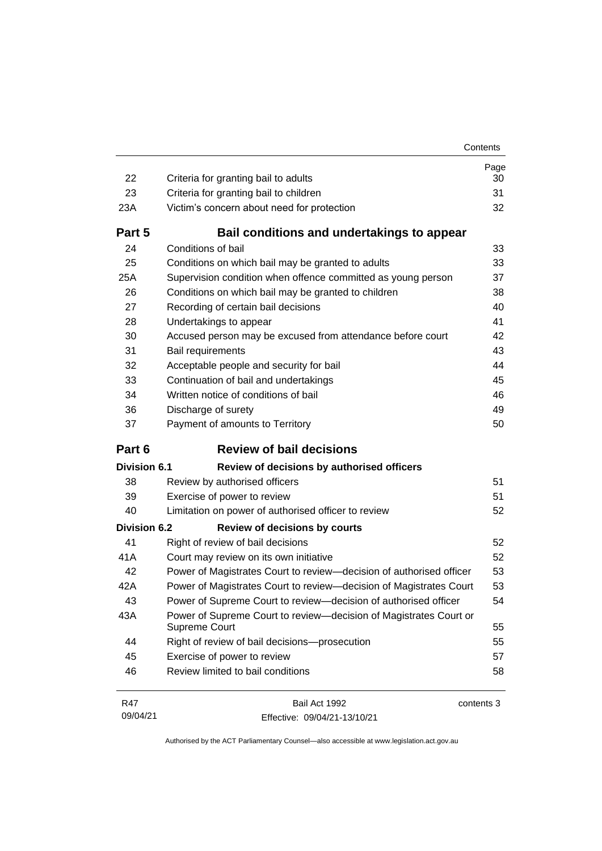| 22                  | Criteria for granting bail to adults                                               | Page<br>30 |
|---------------------|------------------------------------------------------------------------------------|------------|
| 23                  | Criteria for granting bail to children                                             | 31         |
| 23A                 | Victim's concern about need for protection                                         | 32         |
| Part 5              | Bail conditions and undertakings to appear                                         |            |
| 24                  | Conditions of bail                                                                 | 33         |
| 25                  | Conditions on which bail may be granted to adults                                  | 33         |
| 25A                 | Supervision condition when offence committed as young person                       | 37         |
| 26                  | Conditions on which bail may be granted to children                                | 38         |
| 27                  | Recording of certain bail decisions                                                | 40         |
| 28                  | Undertakings to appear                                                             | 41         |
| 30                  | Accused person may be excused from attendance before court                         | 42         |
| 31                  | Bail requirements                                                                  | 43         |
| 32                  | Acceptable people and security for bail                                            | 44         |
| 33                  | Continuation of bail and undertakings                                              | 45         |
| 34                  | Written notice of conditions of bail                                               | 46         |
| 36                  | Discharge of surety                                                                | 49         |
| 37                  | Payment of amounts to Territory                                                    | 50         |
|                     |                                                                                    |            |
| Part 6              | <b>Review of bail decisions</b>                                                    |            |
| <b>Division 6.1</b> | Review of decisions by authorised officers                                         |            |
| 38                  | Review by authorised officers                                                      | 51         |
| 39                  | Exercise of power to review                                                        | 51         |
| 40                  | Limitation on power of authorised officer to review                                | 52         |
| <b>Division 6.2</b> | <b>Review of decisions by courts</b>                                               |            |
| 41                  | Right of review of bail decisions                                                  | 52         |
| 41A                 | Court may review on its own initiative                                             | 52         |
| 42                  | Power of Magistrates Court to review-decision of authorised officer                | 53         |
| 42A                 | Power of Magistrates Court to review-decision of Magistrates Court                 | 53         |
| 43                  | Power of Supreme Court to review-decision of authorised officer                    | 54         |
| 43A                 | Power of Supreme Court to review-decision of Magistrates Court or<br>Supreme Court | 55         |
| 44                  | Right of review of bail decisions-prosecution                                      | 55         |
| 45                  | Exercise of power to review                                                        | 57         |
| 46                  | Review limited to bail conditions                                                  | 58         |

R47 09/04/21 Bail Act 1992 Effective: 09/04/21-13/10/21 contents 3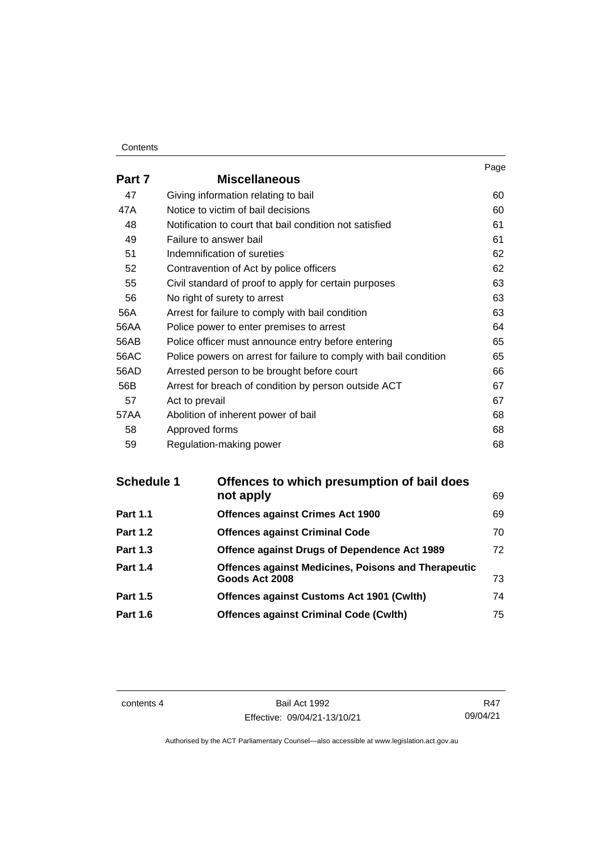#### **Contents**

|        |                                                                   | Page |
|--------|-------------------------------------------------------------------|------|
| Part 7 | <b>Miscellaneous</b>                                              |      |
| 47     | Giving information relating to bail                               | 60   |
| 47A    | Notice to victim of bail decisions                                | 60   |
| 48     | Notification to court that bail condition not satisfied           | 61   |
| 49     | Failure to answer bail                                            | 61   |
| 51     | Indemnification of sureties                                       | 62   |
| 52     | Contravention of Act by police officers                           | 62   |
| 55     | Civil standard of proof to apply for certain purposes             | 63   |
| 56     | No right of surety to arrest                                      | 63   |
| 56A    | Arrest for failure to comply with bail condition                  | 63   |
| 56AA   | Police power to enter premises to arrest                          | 64   |
| 56AB   | Police officer must announce entry before entering                | 65   |
| 56AC   | Police powers on arrest for failure to comply with bail condition | 65   |
| 56AD   | Arrested person to be brought before court                        | 66   |
| 56B    | Arrest for breach of condition by person outside ACT              | 67   |
| 57     | Act to prevail                                                    | 67   |
| 57AA   | Abolition of inherent power of bail                               | 68   |
| 58     | Approved forms                                                    | 68   |
| 59     | Regulation-making power                                           | 68   |

| Offences to which presumption of bail does                 |    |
|------------------------------------------------------------|----|
| not apply                                                  | 69 |
| <b>Offences against Crimes Act 1900</b>                    | 69 |
| <b>Offences against Criminal Code</b>                      | 70 |
| Offence against Drugs of Dependence Act 1989               | 72 |
| <b>Offences against Medicines, Poisons and Therapeutic</b> |    |
| Goods Act 2008                                             | 73 |
| <b>Offences against Customs Act 1901 (Cwith)</b>           | 74 |
| <b>Offences against Criminal Code (Cwlth)</b>              | 75 |
|                                                            |    |

contents 4 Bail Act 1992 Effective: 09/04/21-13/10/21

R47 09/04/21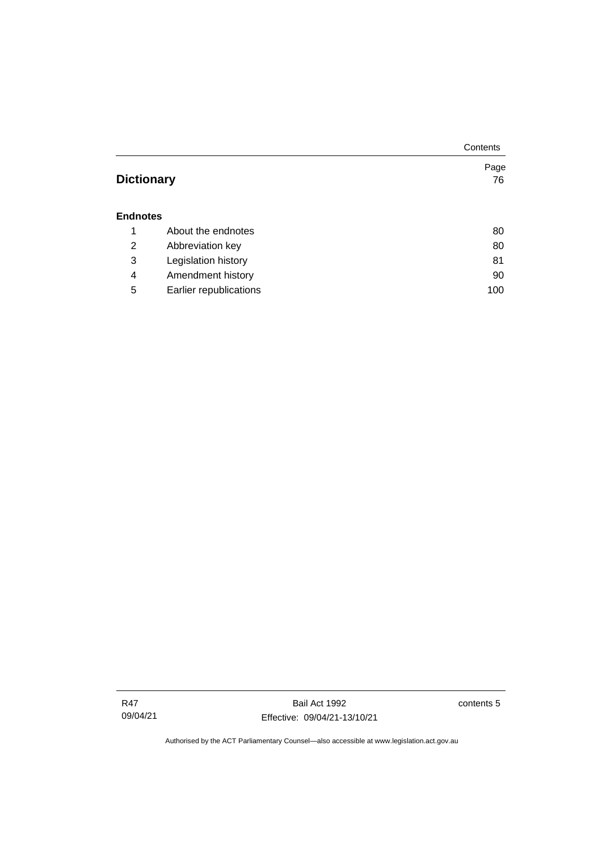|                   |                        | Contents |
|-------------------|------------------------|----------|
|                   |                        | Page     |
| <b>Dictionary</b> |                        | 76       |
|                   |                        |          |
| <b>Endnotes</b>   |                        |          |
| 1                 | About the endnotes     | 80       |
| 2                 | Abbreviation key       | 80       |
| 3                 | Legislation history    | 81       |
| 4                 | Amendment history      | 90       |
| 5                 | Earlier republications | 100      |

contents 5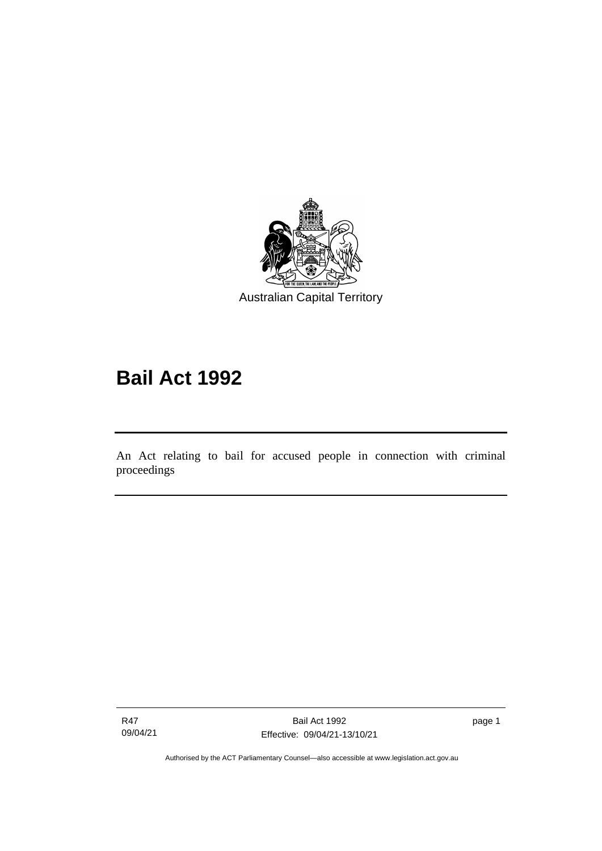

# **Bail Act 1992**

An Act relating to bail for accused people in connection with criminal proceedings

R47 09/04/21

ׅ֖֖֚֚֡֡֬֝֬

page 1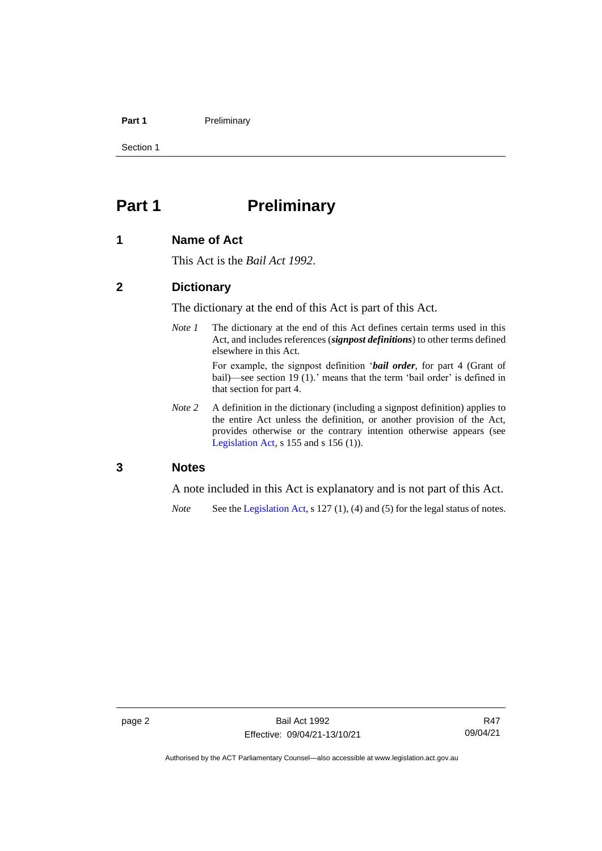#### **Part 1** Preliminary

Section 1

## <span id="page-9-0"></span>**Part 1 Preliminary**

#### <span id="page-9-1"></span>**1 Name of Act**

This Act is the *Bail Act 1992*.

#### <span id="page-9-2"></span>**2 Dictionary**

The dictionary at the end of this Act is part of this Act.

*Note 1* The dictionary at the end of this Act defines certain terms used in this Act, and includes references (*signpost definitions*) to other terms defined elsewhere in this Act.

> For example, the signpost definition '*bail order*, for part 4 (Grant of bail)—see section 19 (1).' means that the term 'bail order' is defined in that section for part 4.

*Note 2* A definition in the dictionary (including a signpost definition) applies to the entire Act unless the definition, or another provision of the Act, provides otherwise or the contrary intention otherwise appears (see [Legislation Act,](http://www.legislation.act.gov.au/a/2001-14) s  $155$  and s  $156$  (1)).

#### <span id="page-9-3"></span>**3 Notes**

A note included in this Act is explanatory and is not part of this Act.

*Note* See the [Legislation Act,](http://www.legislation.act.gov.au/a/2001-14) s 127 (1), (4) and (5) for the legal status of notes.

Authorised by the ACT Parliamentary Counsel—also accessible at www.legislation.act.gov.au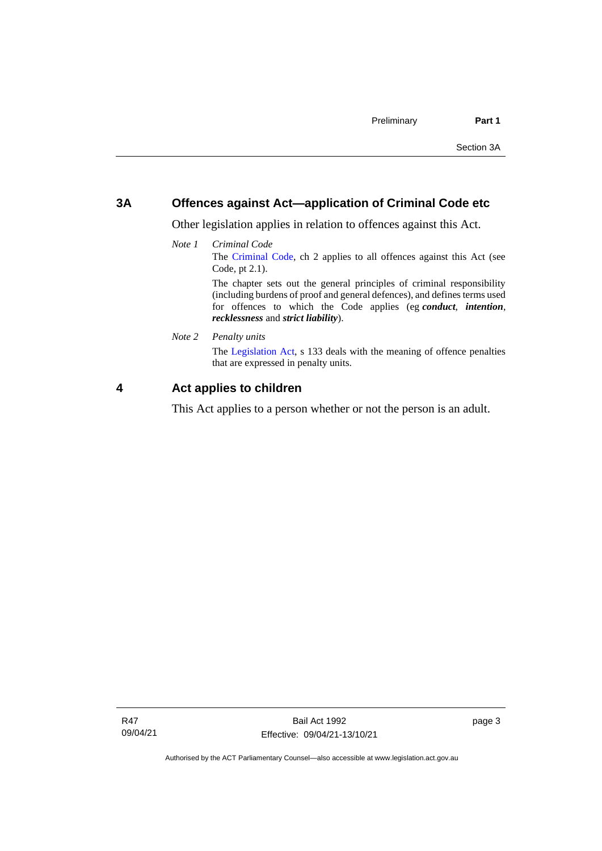#### <span id="page-10-0"></span>**3A Offences against Act—application of Criminal Code etc**

Other legislation applies in relation to offences against this Act.

*Note 1 Criminal Code* The [Criminal Code,](http://www.legislation.act.gov.au/a/2002-51) ch 2 applies to all offences against this Act (see Code, pt 2.1). The chapter sets out the general principles of criminal responsibility

(including burdens of proof and general defences), and defines terms used for offences to which the Code applies (eg *conduct*, *intention*, *recklessness* and *strict liability*).

*Note 2 Penalty units*

The [Legislation Act,](http://www.legislation.act.gov.au/a/2001-14) s 133 deals with the meaning of offence penalties that are expressed in penalty units.

#### <span id="page-10-1"></span>**4 Act applies to children**

This Act applies to a person whether or not the person is an adult.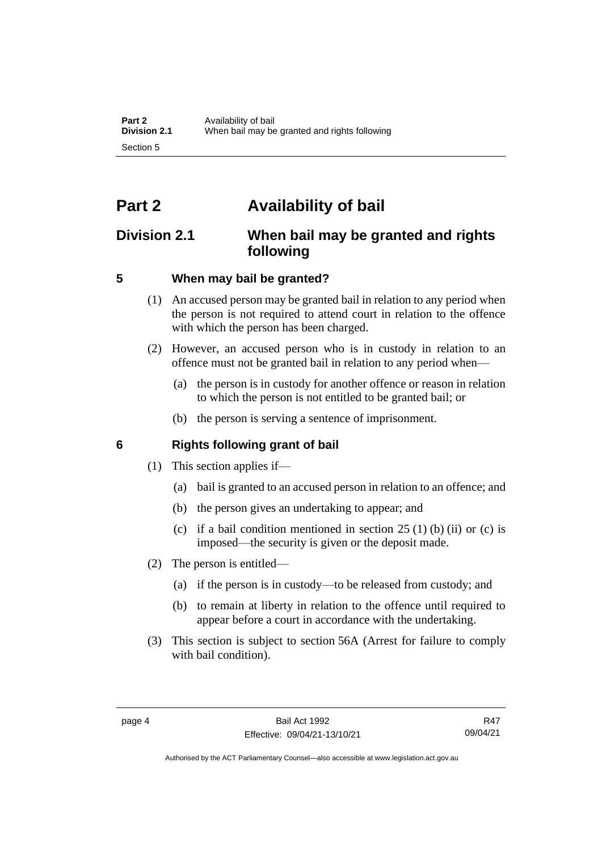## <span id="page-11-0"></span>**Part 2 Availability of bail**

## <span id="page-11-1"></span>**Division 2.1 When bail may be granted and rights following**

#### <span id="page-11-2"></span>**5 When may bail be granted?**

- (1) An accused person may be granted bail in relation to any period when the person is not required to attend court in relation to the offence with which the person has been charged.
- (2) However, an accused person who is in custody in relation to an offence must not be granted bail in relation to any period when—
	- (a) the person is in custody for another offence or reason in relation to which the person is not entitled to be granted bail; or
	- (b) the person is serving a sentence of imprisonment.

#### <span id="page-11-3"></span>**6 Rights following grant of bail**

- (1) This section applies if—
	- (a) bail is granted to an accused person in relation to an offence; and
	- (b) the person gives an undertaking to appear; and
	- (c) if a bail condition mentioned in section  $25(1)$  (b) (ii) or (c) is imposed—the security is given or the deposit made.
- (2) The person is entitled—
	- (a) if the person is in custody—to be released from custody; and
	- (b) to remain at liberty in relation to the offence until required to appear before a court in accordance with the undertaking.
- (3) This section is subject to section 56A (Arrest for failure to comply with bail condition).

R47 09/04/21

Authorised by the ACT Parliamentary Counsel—also accessible at www.legislation.act.gov.au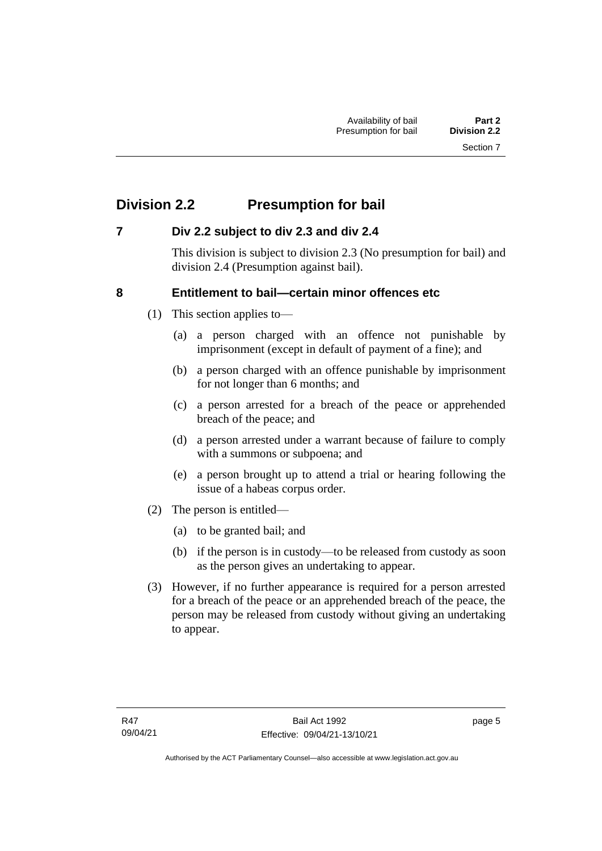## <span id="page-12-0"></span>**Division 2.2 Presumption for bail**

#### <span id="page-12-1"></span>**7 Div 2.2 subject to div 2.3 and div 2.4**

This division is subject to division 2.3 (No presumption for bail) and division 2.4 (Presumption against bail).

#### <span id="page-12-2"></span>**8 Entitlement to bail—certain minor offences etc**

- (1) This section applies to—
	- (a) a person charged with an offence not punishable by imprisonment (except in default of payment of a fine); and
	- (b) a person charged with an offence punishable by imprisonment for not longer than 6 months; and
	- (c) a person arrested for a breach of the peace or apprehended breach of the peace; and
	- (d) a person arrested under a warrant because of failure to comply with a summons or subpoena; and
	- (e) a person brought up to attend a trial or hearing following the issue of a habeas corpus order.
- (2) The person is entitled—
	- (a) to be granted bail; and
	- (b) if the person is in custody—to be released from custody as soon as the person gives an undertaking to appear.
- (3) However, if no further appearance is required for a person arrested for a breach of the peace or an apprehended breach of the peace, the person may be released from custody without giving an undertaking to appear.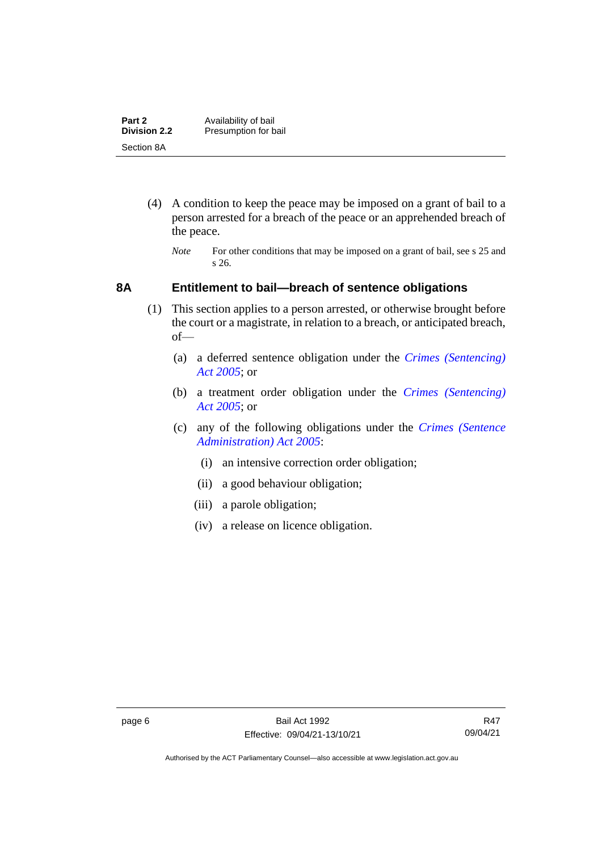| Part 2              | Availability of bail |
|---------------------|----------------------|
| <b>Division 2.2</b> | Presumption for bail |
| Section 8A          |                      |

- (4) A condition to keep the peace may be imposed on a grant of bail to a person arrested for a breach of the peace or an apprehended breach of the peace.
	- *Note* For other conditions that may be imposed on a grant of bail, see s 25 and s 26.

#### <span id="page-13-0"></span>**8A Entitlement to bail—breach of sentence obligations**

- (1) This section applies to a person arrested, or otherwise brought before the court or a magistrate, in relation to a breach, or anticipated breach, of—
	- (a) a deferred sentence obligation under the *[Crimes \(Sentencing\)](http://www.legislation.act.gov.au/a/2005-58)  [Act 2005](http://www.legislation.act.gov.au/a/2005-58)*; or
	- (b) a treatment order obligation under the *[Crimes \(Sentencing\)](http://www.legislation.act.gov.au/a/2005-58)  Act [2005](http://www.legislation.act.gov.au/a/2005-58)*; or
	- (c) any of the following obligations under the *[Crimes \(Sentence](http://www.legislation.act.gov.au/a/2005-59)  [Administration\) Act 2005](http://www.legislation.act.gov.au/a/2005-59)*:
		- (i) an intensive correction order obligation;
		- (ii) a good behaviour obligation;
		- (iii) a parole obligation;
		- (iv) a release on licence obligation.

Authorised by the ACT Parliamentary Counsel—also accessible at www.legislation.act.gov.au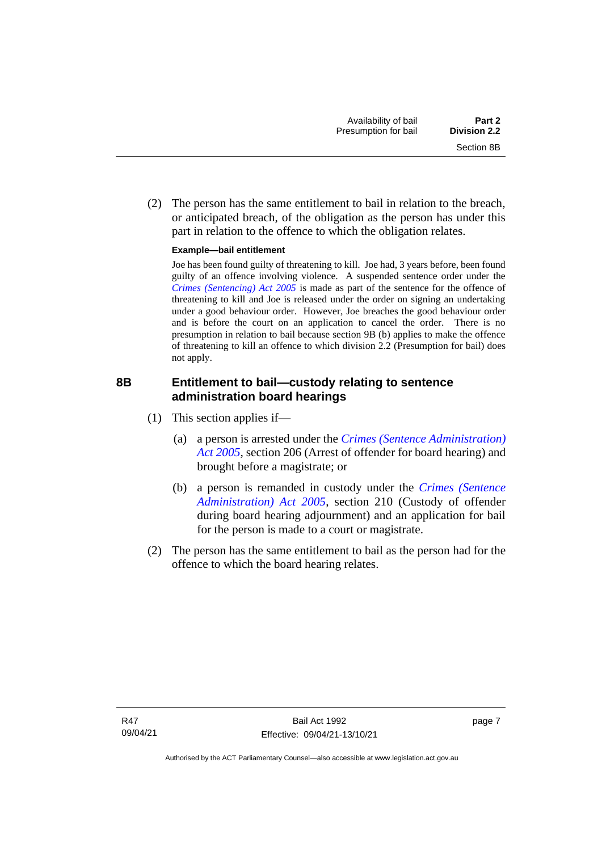(2) The person has the same entitlement to bail in relation to the breach, or anticipated breach, of the obligation as the person has under this part in relation to the offence to which the obligation relates.

#### **Example—bail entitlement**

Joe has been found guilty of threatening to kill. Joe had, 3 years before, been found guilty of an offence involving violence. A suspended sentence order under the *[Crimes \(Sentencing\) Act 2005](http://www.legislation.act.gov.au/a/2005-58)* is made as part of the sentence for the offence of threatening to kill and Joe is released under the order on signing an undertaking under a good behaviour order. However, Joe breaches the good behaviour order and is before the court on an application to cancel the order. There is no presumption in relation to bail because section 9B (b) applies to make the offence of threatening to kill an offence to which division 2.2 (Presumption for bail) does not apply.

#### <span id="page-14-0"></span>**8B Entitlement to bail—custody relating to sentence administration board hearings**

- (1) This section applies if—
	- (a) a person is arrested under the *[Crimes \(Sentence Administration\)](http://www.legislation.act.gov.au/a/2005-59)  [Act 2005](http://www.legislation.act.gov.au/a/2005-59)*, section 206 (Arrest of offender for board hearing) and brought before a magistrate; or
	- (b) a person is remanded in custody under the *[Crimes \(Sentence](http://www.legislation.act.gov.au/a/2005-59)  [Administration\) Act 2005](http://www.legislation.act.gov.au/a/2005-59)*, section 210 (Custody of offender during board hearing adjournment) and an application for bail for the person is made to a court or magistrate.
- (2) The person has the same entitlement to bail as the person had for the offence to which the board hearing relates.

page 7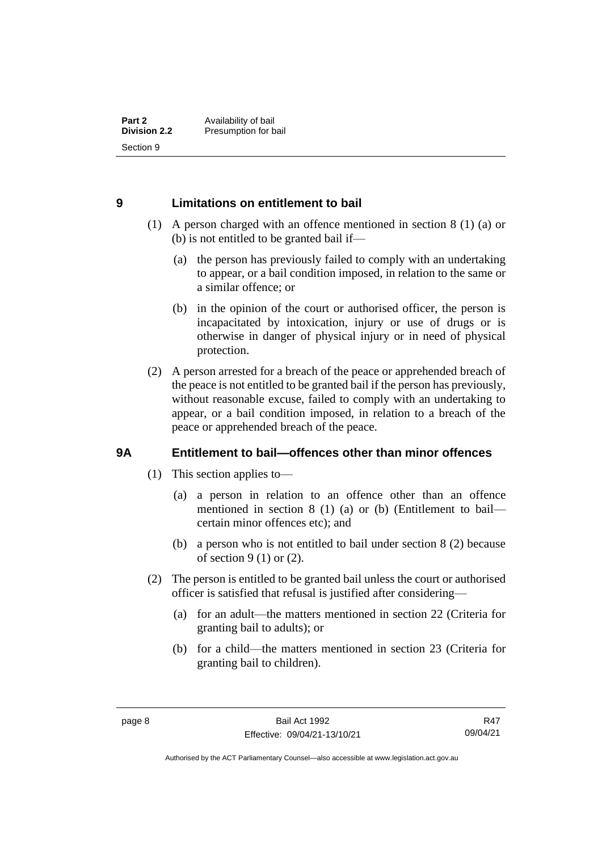#### <span id="page-15-0"></span>**9 Limitations on entitlement to bail**

- (1) A person charged with an offence mentioned in section 8 (1) (a) or (b) is not entitled to be granted bail if—
	- (a) the person has previously failed to comply with an undertaking to appear, or a bail condition imposed, in relation to the same or a similar offence; or
	- (b) in the opinion of the court or authorised officer, the person is incapacitated by intoxication, injury or use of drugs or is otherwise in danger of physical injury or in need of physical protection.
- (2) A person arrested for a breach of the peace or apprehended breach of the peace is not entitled to be granted bail if the person has previously, without reasonable excuse, failed to comply with an undertaking to appear, or a bail condition imposed, in relation to a breach of the peace or apprehended breach of the peace.

#### <span id="page-15-1"></span>**9A Entitlement to bail—offences other than minor offences**

- (1) This section applies to—
	- (a) a person in relation to an offence other than an offence mentioned in section 8 (1) (a) or (b) (Entitlement to bail certain minor offences etc); and
	- (b) a person who is not entitled to bail under section 8 (2) because of section 9 (1) or (2).
- (2) The person is entitled to be granted bail unless the court or authorised officer is satisfied that refusal is justified after considering—
	- (a) for an adult—the matters mentioned in section 22 (Criteria for granting bail to adults); or
	- (b) for a child—the matters mentioned in section 23 (Criteria for granting bail to children).

R47 09/04/21

Authorised by the ACT Parliamentary Counsel—also accessible at www.legislation.act.gov.au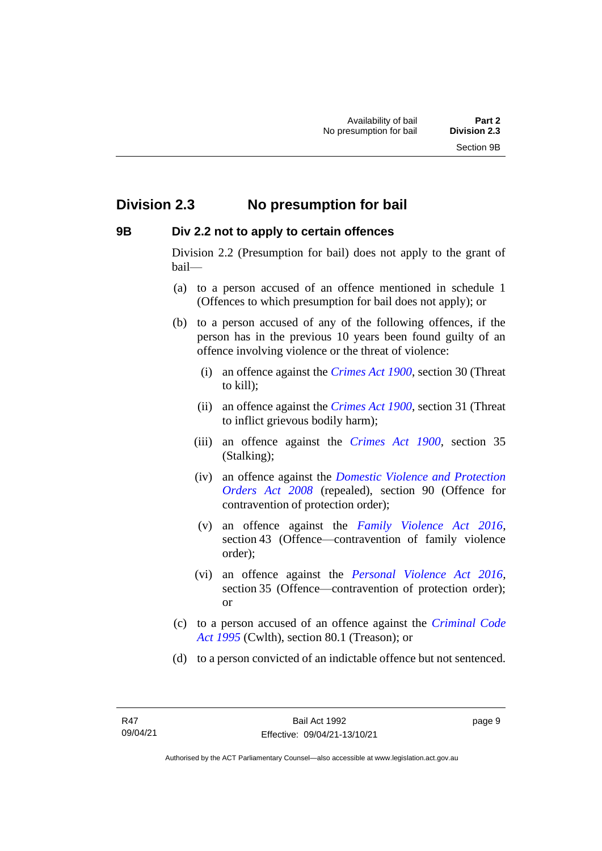## <span id="page-16-0"></span>**Division 2.3 No presumption for bail**

#### <span id="page-16-1"></span>**9B Div 2.2 not to apply to certain offences**

Division 2.2 (Presumption for bail) does not apply to the grant of bail—

- (a) to a person accused of an offence mentioned in schedule 1 (Offences to which presumption for bail does not apply); or
- (b) to a person accused of any of the following offences, if the person has in the previous 10 years been found guilty of an offence involving violence or the threat of violence:
	- (i) an offence against the *[Crimes Act 1900](http://www.legislation.act.gov.au/a/1900-40)*, section 30 (Threat to kill);
	- (ii) an offence against the *[Crimes Act 1900](http://www.legislation.act.gov.au/a/1900-40)*, section 31 (Threat to inflict grievous bodily harm);
	- (iii) an offence against the *[Crimes Act 1900](http://www.legislation.act.gov.au/a/1900-40)*, section 35 (Stalking);
	- (iv) an offence against the *[Domestic Violence and Protection](http://www.legislation.act.gov.au/a/2008-46)  [Orders Act 2008](http://www.legislation.act.gov.au/a/2008-46)* (repealed), section 90 (Offence for contravention of protection order);
	- (v) an offence against the *[Family Violence Act 2016](http://www.legislation.act.gov.au/a/2016-42)*, section 43 (Offence—contravention of family violence order);
	- (vi) an offence against the *[Personal Violence Act 2016](http://www.legislation.act.gov.au/a/2016-43)*, section 35 (Offence—contravention of protection order); or
- (c) to a person accused of an offence against the *[Criminal Code](http://www.comlaw.gov.au/Details/C2013C00138)  Act [1995](http://www.comlaw.gov.au/Details/C2013C00138)* (Cwlth), section 80.1 (Treason); or
- (d) to a person convicted of an indictable offence but not sentenced.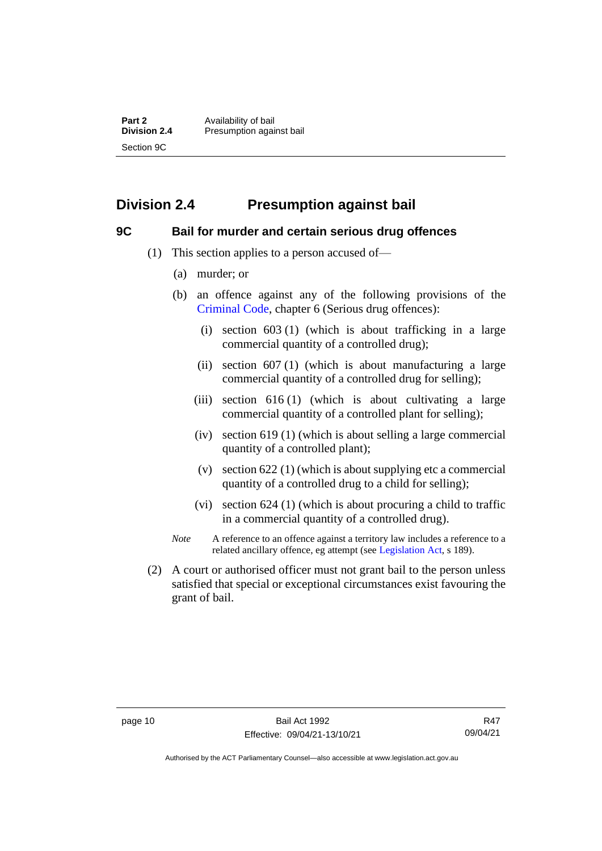**Part 2** Availability of bail<br> **Division 2.4** Presumption again **Division 2.4** Presumption against bail Section 9C

### <span id="page-17-0"></span>**Division 2.4 Presumption against bail**

#### <span id="page-17-1"></span>**9C Bail for murder and certain serious drug offences**

- (1) This section applies to a person accused of—
	- (a) murder; or
	- (b) an offence against any of the following provisions of the [Criminal Code,](http://www.legislation.act.gov.au/a/2002-51) chapter 6 (Serious drug offences):
		- (i) section 603 (1) (which is about trafficking in a large commercial quantity of a controlled drug);
		- (ii) section 607 (1) (which is about manufacturing a large commercial quantity of a controlled drug for selling);
		- (iii) section 616 (1) (which is about cultivating a large commercial quantity of a controlled plant for selling);
		- (iv) section 619 (1) (which is about selling a large commercial quantity of a controlled plant);
		- (v) section 622 (1) (which is about supplying etc a commercial quantity of a controlled drug to a child for selling);
		- (vi) section 624 (1) (which is about procuring a child to traffic in a commercial quantity of a controlled drug).
	- *Note* A reference to an offence against a territory law includes a reference to a related ancillary offence, eg attempt (see [Legislation Act,](http://www.legislation.act.gov.au/a/2001-14) s 189).
- (2) A court or authorised officer must not grant bail to the person unless satisfied that special or exceptional circumstances exist favouring the grant of bail.

Authorised by the ACT Parliamentary Counsel—also accessible at www.legislation.act.gov.au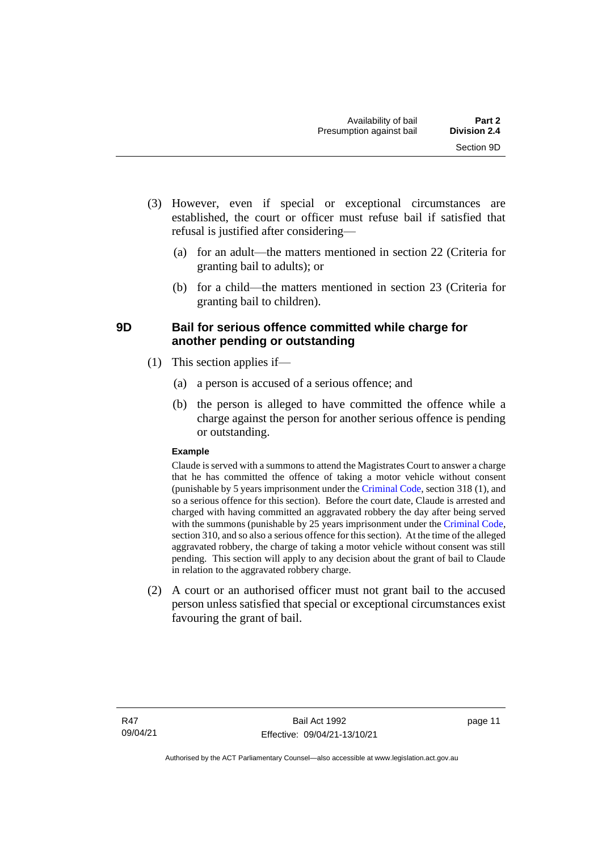- (3) However, even if special or exceptional circumstances are established, the court or officer must refuse bail if satisfied that refusal is justified after considering—
	- (a) for an adult—the matters mentioned in section 22 (Criteria for granting bail to adults); or
	- (b) for a child—the matters mentioned in section 23 (Criteria for granting bail to children).

#### <span id="page-18-0"></span>**9D Bail for serious offence committed while charge for another pending or outstanding**

- (1) This section applies if—
	- (a) a person is accused of a serious offence; and
	- (b) the person is alleged to have committed the offence while a charge against the person for another serious offence is pending or outstanding.

#### **Example**

Claude is served with a summons to attend the Magistrates Court to answer a charge that he has committed the offence of taking a motor vehicle without consent (punishable by 5 years imprisonment under the [Criminal Code,](http://www.legislation.act.gov.au/a/2002-51) section 318 (1), and so a serious offence for this section). Before the court date, Claude is arrested and charged with having committed an aggravated robbery the day after being served with the summons (punishable by 25 years imprisonment under the [Criminal Code,](http://www.legislation.act.gov.au/a/2002-51) section 310, and so also a serious offence for this section). At the time of the alleged aggravated robbery, the charge of taking a motor vehicle without consent was still pending. This section will apply to any decision about the grant of bail to Claude in relation to the aggravated robbery charge.

(2) A court or an authorised officer must not grant bail to the accused person unless satisfied that special or exceptional circumstances exist favouring the grant of bail.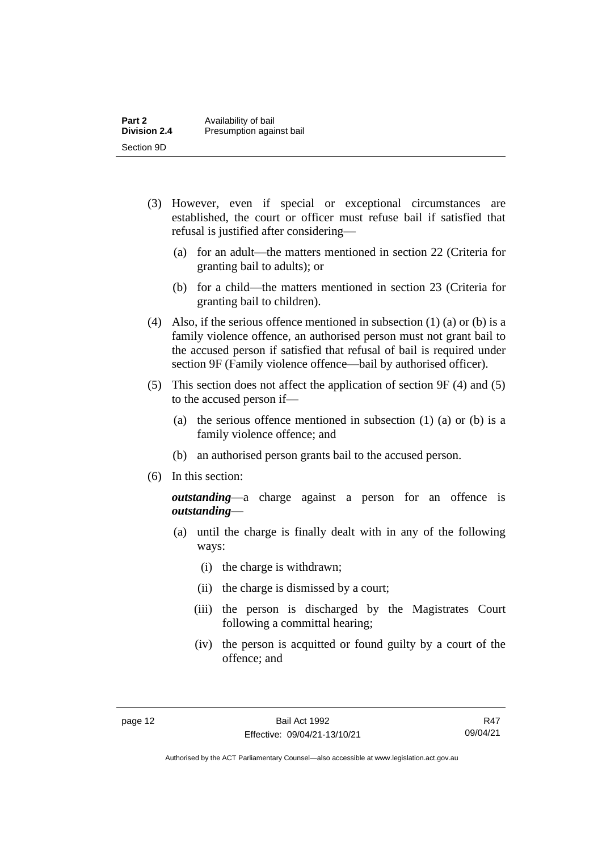| Part 2              | Availability of bail     |
|---------------------|--------------------------|
| <b>Division 2.4</b> | Presumption against bail |
| Section 9D          |                          |

- (3) However, even if special or exceptional circumstances are established, the court or officer must refuse bail if satisfied that refusal is justified after considering—
	- (a) for an adult—the matters mentioned in section 22 (Criteria for granting bail to adults); or
	- (b) for a child—the matters mentioned in section 23 (Criteria for granting bail to children).
- (4) Also, if the serious offence mentioned in subsection (1) (a) or (b) is a family violence offence, an authorised person must not grant bail to the accused person if satisfied that refusal of bail is required under section 9F (Family violence offence—bail by authorised officer).
- (5) This section does not affect the application of section 9F (4) and (5) to the accused person if—
	- (a) the serious offence mentioned in subsection (1) (a) or (b) is a family violence offence; and
	- (b) an authorised person grants bail to the accused person.
- (6) In this section:

*outstanding*—a charge against a person for an offence is *outstanding*—

- (a) until the charge is finally dealt with in any of the following ways:
	- (i) the charge is withdrawn;
	- (ii) the charge is dismissed by a court;
	- (iii) the person is discharged by the Magistrates Court following a committal hearing;
	- (iv) the person is acquitted or found guilty by a court of the offence; and

R47 09/04/21

Authorised by the ACT Parliamentary Counsel—also accessible at www.legislation.act.gov.au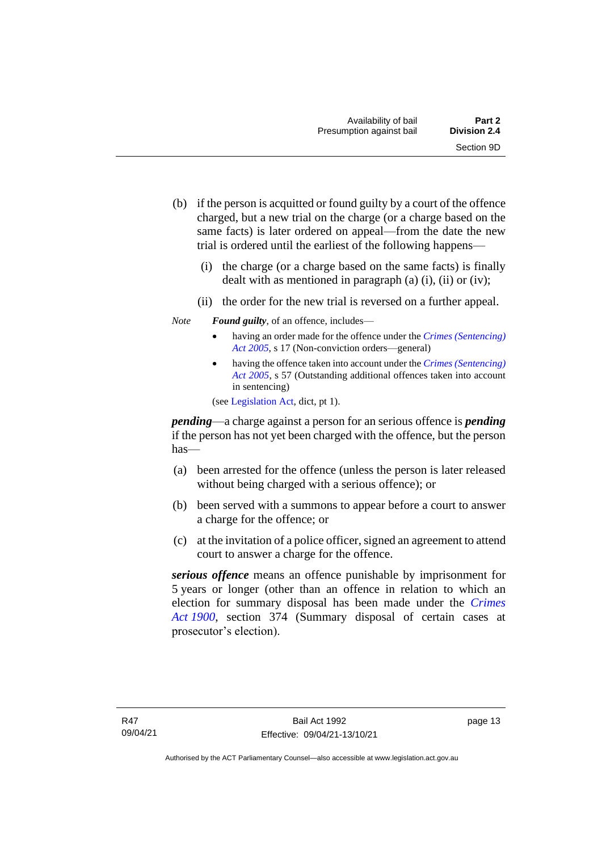- (b) if the person is acquitted or found guilty by a court of the offence charged, but a new trial on the charge (or a charge based on the same facts) is later ordered on appeal—from the date the new trial is ordered until the earliest of the following happens—
	- (i) the charge (or a charge based on the same facts) is finally dealt with as mentioned in paragraph  $(a)$   $(i)$ ,  $(ii)$  or  $(iv)$ ;
	- (ii) the order for the new trial is reversed on a further appeal.
- *Note Found guilty*, of an offence, includes—
	- having an order made for the offence under the *[Crimes \(Sentencing\)](http://www.legislation.act.gov.au/a/2005-58)  [Act 2005](http://www.legislation.act.gov.au/a/2005-58)*, s 17 (Non-conviction orders—general)
	- having the offence taken into account under the *[Crimes \(Sentencing\)](http://www.legislation.act.gov.au/a/2005-58)  [Act 2005](http://www.legislation.act.gov.au/a/2005-58)*, s 57 (Outstanding additional offences taken into account in sentencing)

(se[e Legislation Act,](http://www.legislation.act.gov.au/a/2001-14) dict, pt 1).

*pending*—a charge against a person for an serious offence is *pending*  if the person has not yet been charged with the offence, but the person has—

- (a) been arrested for the offence (unless the person is later released without being charged with a serious offence); or
- (b) been served with a summons to appear before a court to answer a charge for the offence; or
- (c) at the invitation of a police officer, signed an agreement to attend court to answer a charge for the offence.

*serious offence* means an offence punishable by imprisonment for 5 years or longer (other than an offence in relation to which an election for summary disposal has been made under the *[Crimes](http://www.legislation.act.gov.au/a/1900-40)  Act [1900](http://www.legislation.act.gov.au/a/1900-40)*, section 374 (Summary disposal of certain cases at prosecutor's election).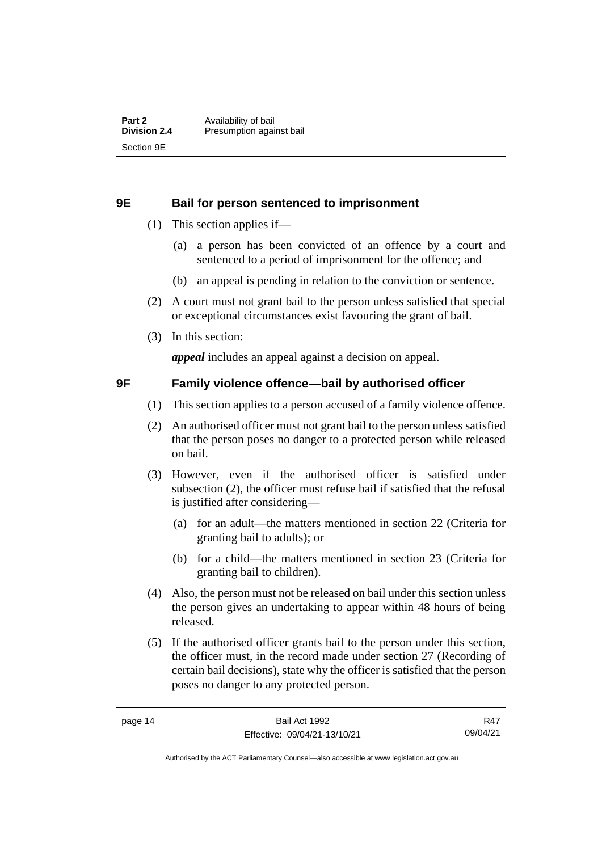#### <span id="page-21-0"></span>**9E Bail for person sentenced to imprisonment**

- (1) This section applies if—
	- (a) a person has been convicted of an offence by a court and sentenced to a period of imprisonment for the offence; and
	- (b) an appeal is pending in relation to the conviction or sentence.
- (2) A court must not grant bail to the person unless satisfied that special or exceptional circumstances exist favouring the grant of bail.
- (3) In this section:

*appeal* includes an appeal against a decision on appeal.

#### <span id="page-21-1"></span>**9F Family violence offence—bail by authorised officer**

- (1) This section applies to a person accused of a family violence offence.
- (2) An authorised officer must not grant bail to the person unless satisfied that the person poses no danger to a protected person while released on bail.
- (3) However, even if the authorised officer is satisfied under subsection (2), the officer must refuse bail if satisfied that the refusal is justified after considering—
	- (a) for an adult—the matters mentioned in section 22 (Criteria for granting bail to adults); or
	- (b) for a child—the matters mentioned in section 23 (Criteria for granting bail to children).
- (4) Also, the person must not be released on bail under this section unless the person gives an undertaking to appear within 48 hours of being released.
- (5) If the authorised officer grants bail to the person under this section, the officer must, in the record made under section 27 (Recording of certain bail decisions), state why the officer is satisfied that the person poses no danger to any protected person.

R47 09/04/21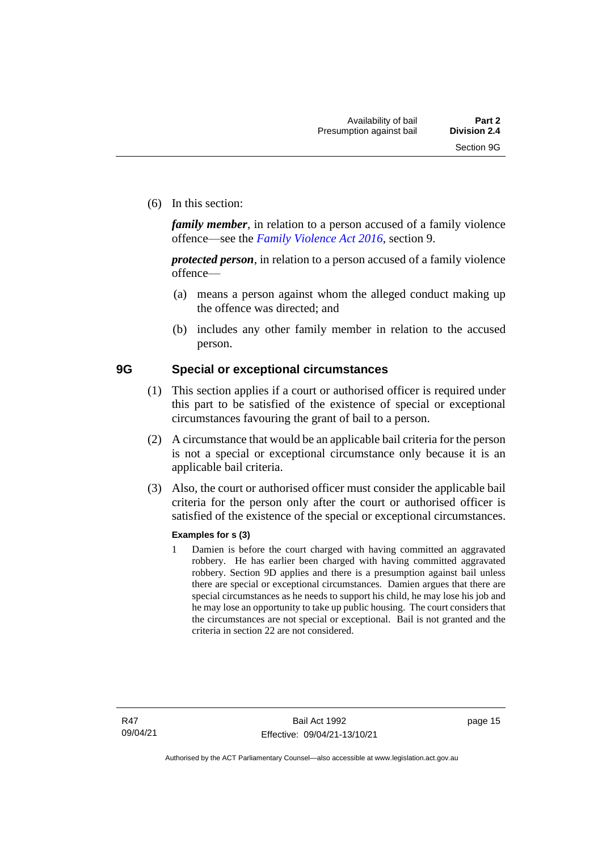(6) In this section:

*family member*, in relation to a person accused of a family violence offence—see the *[Family Violence Act 2016](http://www.legislation.act.gov.au/a/2016-42)*, section 9.

*protected person*, in relation to a person accused of a family violence offence—

- (a) means a person against whom the alleged conduct making up the offence was directed; and
- (b) includes any other family member in relation to the accused person.

#### <span id="page-22-0"></span>**9G Special or exceptional circumstances**

- (1) This section applies if a court or authorised officer is required under this part to be satisfied of the existence of special or exceptional circumstances favouring the grant of bail to a person.
- (2) A circumstance that would be an applicable bail criteria for the person is not a special or exceptional circumstance only because it is an applicable bail criteria.
- (3) Also, the court or authorised officer must consider the applicable bail criteria for the person only after the court or authorised officer is satisfied of the existence of the special or exceptional circumstances.

#### **Examples for s (3)**

1 Damien is before the court charged with having committed an aggravated robbery. He has earlier been charged with having committed aggravated robbery. Section 9D applies and there is a presumption against bail unless there are special or exceptional circumstances. Damien argues that there are special circumstances as he needs to support his child, he may lose his job and he may lose an opportunity to take up public housing. The court considers that the circumstances are not special or exceptional. Bail is not granted and the criteria in section 22 are not considered.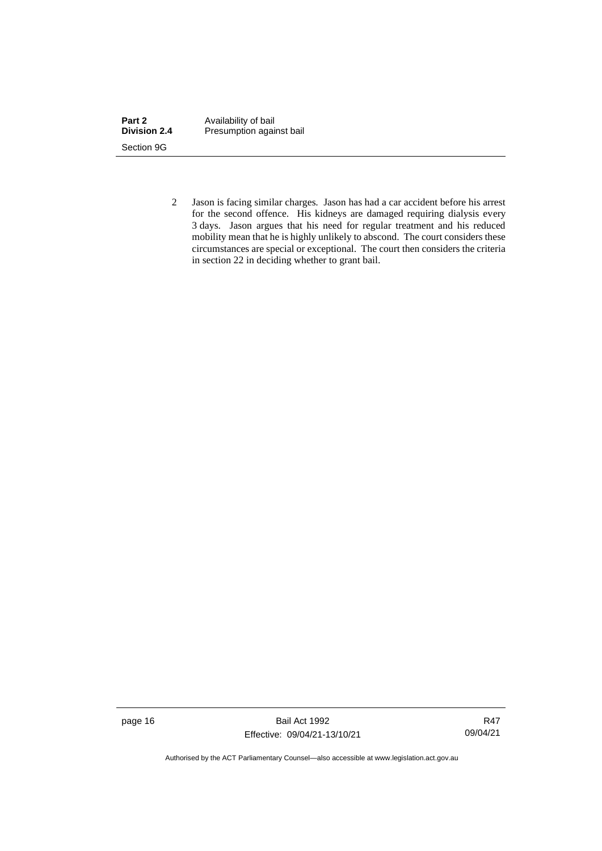| Part 2              | Availability of bail     |
|---------------------|--------------------------|
| <b>Division 2.4</b> | Presumption against bail |
| Section 9G          |                          |

2 Jason is facing similar charges. Jason has had a car accident before his arrest for the second offence. His kidneys are damaged requiring dialysis every 3 days. Jason argues that his need for regular treatment and his reduced mobility mean that he is highly unlikely to abscond. The court considers these circumstances are special or exceptional. The court then considers the criteria in section 22 in deciding whether to grant bail.

page 16 Bail Act 1992 Effective: 09/04/21-13/10/21

R47 09/04/21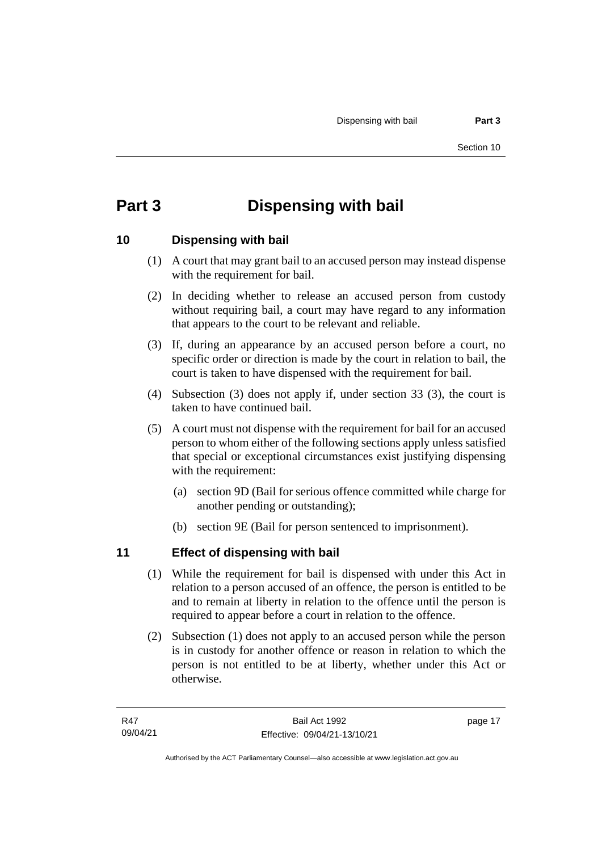## <span id="page-24-0"></span>**Part 3 Dispensing with bail**

#### <span id="page-24-1"></span>**10 Dispensing with bail**

- (1) A court that may grant bail to an accused person may instead dispense with the requirement for bail.
- (2) In deciding whether to release an accused person from custody without requiring bail, a court may have regard to any information that appears to the court to be relevant and reliable.
- (3) If, during an appearance by an accused person before a court, no specific order or direction is made by the court in relation to bail, the court is taken to have dispensed with the requirement for bail.
- (4) Subsection (3) does not apply if, under section 33 (3), the court is taken to have continued bail.
- (5) A court must not dispense with the requirement for bail for an accused person to whom either of the following sections apply unless satisfied that special or exceptional circumstances exist justifying dispensing with the requirement:
	- (a) section 9D (Bail for serious offence committed while charge for another pending or outstanding);
	- (b) section 9E (Bail for person sentenced to imprisonment).

### <span id="page-24-2"></span>**11 Effect of dispensing with bail**

- (1) While the requirement for bail is dispensed with under this Act in relation to a person accused of an offence, the person is entitled to be and to remain at liberty in relation to the offence until the person is required to appear before a court in relation to the offence.
- (2) Subsection (1) does not apply to an accused person while the person is in custody for another offence or reason in relation to which the person is not entitled to be at liberty, whether under this Act or otherwise.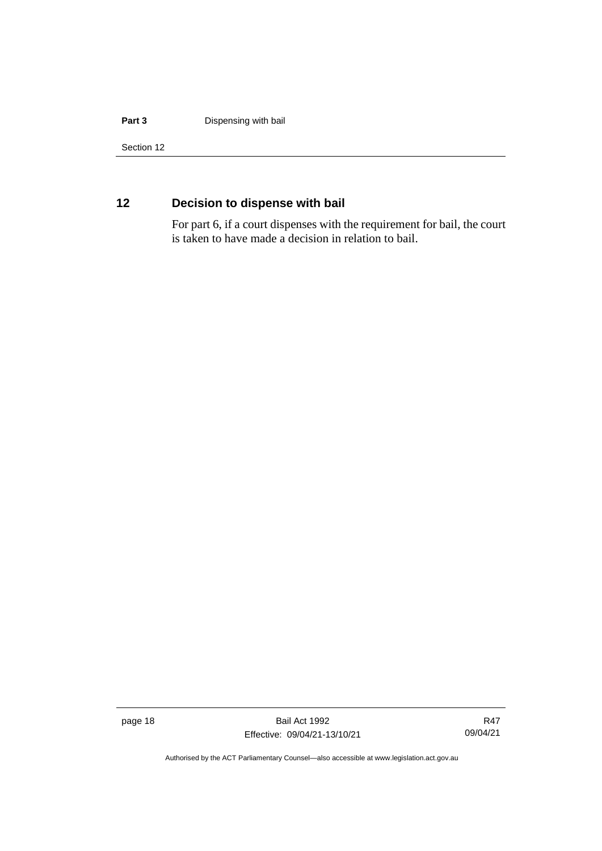#### **Part 3 Dispensing with bail**

Section 12

### <span id="page-25-0"></span>**12 Decision to dispense with bail**

For part 6, if a court dispenses with the requirement for bail, the court is taken to have made a decision in relation to bail.

page 18 Bail Act 1992 Effective: 09/04/21-13/10/21

R47 09/04/21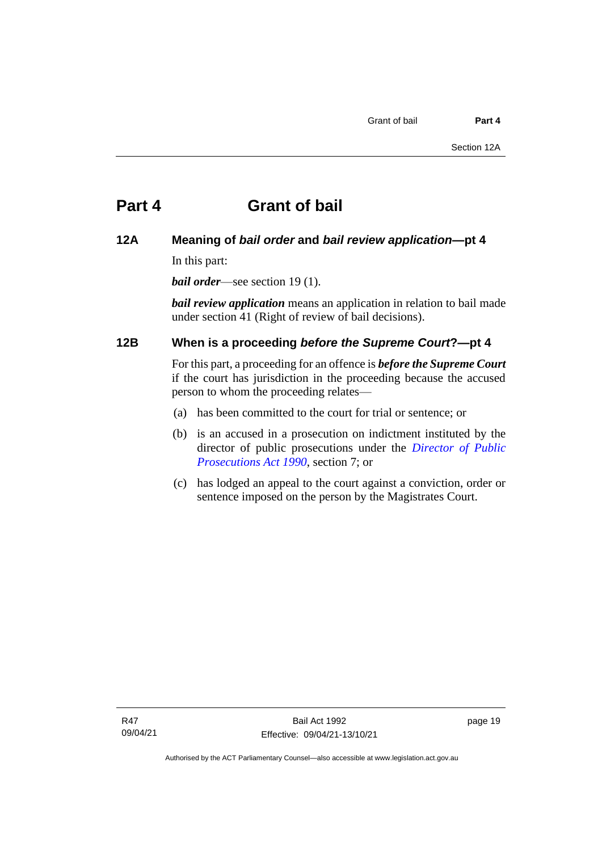#### <span id="page-26-1"></span><span id="page-26-0"></span>**12A Meaning of** *bail order* **and** *bail review application***—pt 4**

In this part:

*bail order*—see section 19 (1).

*bail review application* means an application in relation to bail made under section 41 (Right of review of bail decisions).

#### <span id="page-26-2"></span>**12B When is a proceeding** *before the Supreme Court***?—pt 4**

For this part, a proceeding for an offence is *before the Supreme Court* if the court has jurisdiction in the proceeding because the accused person to whom the proceeding relates—

- (a) has been committed to the court for trial or sentence; or
- (b) is an accused in a prosecution on indictment instituted by the director of public prosecutions under the *[Director of Public](http://www.legislation.act.gov.au/a/1990-22)  [Prosecutions Act 1990](http://www.legislation.act.gov.au/a/1990-22)*, section 7; or
- (c) has lodged an appeal to the court against a conviction, order or sentence imposed on the person by the Magistrates Court.

page 19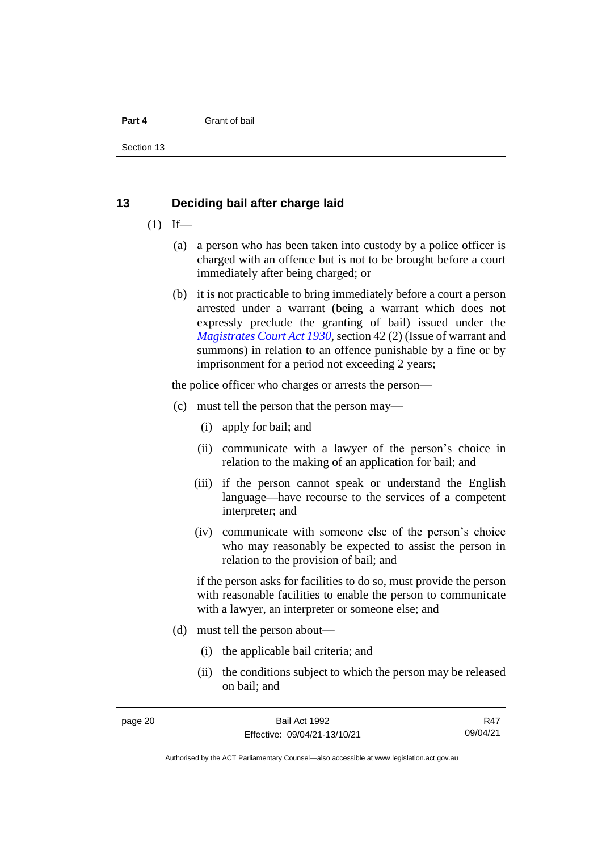Section 13

#### <span id="page-27-0"></span>**13 Deciding bail after charge laid**

- $(1)$  If—
	- (a) a person who has been taken into custody by a police officer is charged with an offence but is not to be brought before a court immediately after being charged; or
	- (b) it is not practicable to bring immediately before a court a person arrested under a warrant (being a warrant which does not expressly preclude the granting of bail) issued under the *[Magistrates Court Act 1930](http://www.legislation.act.gov.au/a/1930-21)*, section 42 (2) (Issue of warrant and summons) in relation to an offence punishable by a fine or by imprisonment for a period not exceeding 2 years;

the police officer who charges or arrests the person—

- (c) must tell the person that the person may—
	- (i) apply for bail; and
	- (ii) communicate with a lawyer of the person's choice in relation to the making of an application for bail; and
	- (iii) if the person cannot speak or understand the English language—have recourse to the services of a competent interpreter; and
	- (iv) communicate with someone else of the person's choice who may reasonably be expected to assist the person in relation to the provision of bail; and

if the person asks for facilities to do so, must provide the person with reasonable facilities to enable the person to communicate with a lawyer, an interpreter or someone else; and

- (d) must tell the person about—
	- (i) the applicable bail criteria; and
	- (ii) the conditions subject to which the person may be released on bail; and

R47 09/04/21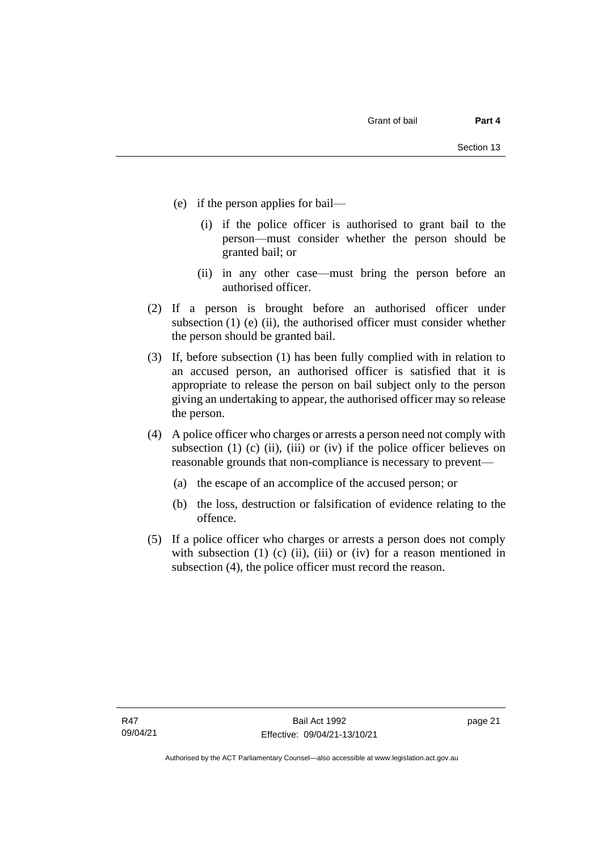- (e) if the person applies for bail—
	- (i) if the police officer is authorised to grant bail to the person—must consider whether the person should be granted bail; or
	- (ii) in any other case—must bring the person before an authorised officer.
- (2) If a person is brought before an authorised officer under subsection  $(1)$  (e)  $(ii)$ , the authorised officer must consider whether the person should be granted bail.
- (3) If, before subsection (1) has been fully complied with in relation to an accused person, an authorised officer is satisfied that it is appropriate to release the person on bail subject only to the person giving an undertaking to appear, the authorised officer may so release the person.
- (4) A police officer who charges or arrests a person need not comply with subsection (1) (c) (ii), (iii) or (iv) if the police officer believes on reasonable grounds that non-compliance is necessary to prevent—
	- (a) the escape of an accomplice of the accused person; or
	- (b) the loss, destruction or falsification of evidence relating to the offence.
- (5) If a police officer who charges or arrests a person does not comply with subsection  $(1)$   $(c)$   $(ii)$ ,  $(iii)$  or  $(iv)$  for a reason mentioned in subsection (4), the police officer must record the reason.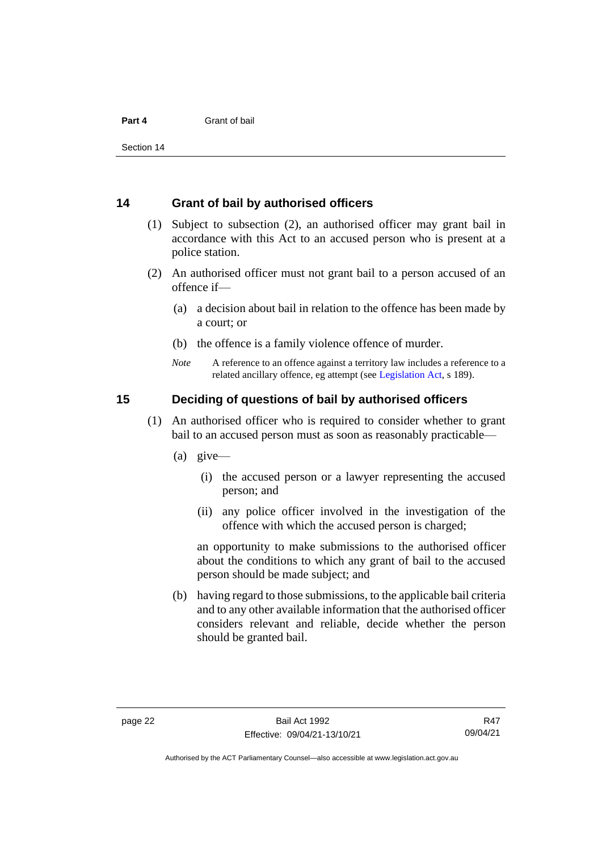Section 14

#### <span id="page-29-0"></span>**14 Grant of bail by authorised officers**

- (1) Subject to subsection (2), an authorised officer may grant bail in accordance with this Act to an accused person who is present at a police station.
- (2) An authorised officer must not grant bail to a person accused of an offence if—
	- (a) a decision about bail in relation to the offence has been made by a court; or
	- (b) the offence is a family violence offence of murder.
	- *Note* A reference to an offence against a territory law includes a reference to a related ancillary offence, eg attempt (see [Legislation Act,](http://www.legislation.act.gov.au/a/2001-14) s 189).

#### <span id="page-29-1"></span>**15 Deciding of questions of bail by authorised officers**

- (1) An authorised officer who is required to consider whether to grant bail to an accused person must as soon as reasonably practicable—
	- (a) give—
		- (i) the accused person or a lawyer representing the accused person; and
		- (ii) any police officer involved in the investigation of the offence with which the accused person is charged;

an opportunity to make submissions to the authorised officer about the conditions to which any grant of bail to the accused person should be made subject; and

(b) having regard to those submissions, to the applicable bail criteria and to any other available information that the authorised officer considers relevant and reliable, decide whether the person should be granted bail.

Authorised by the ACT Parliamentary Counsel—also accessible at www.legislation.act.gov.au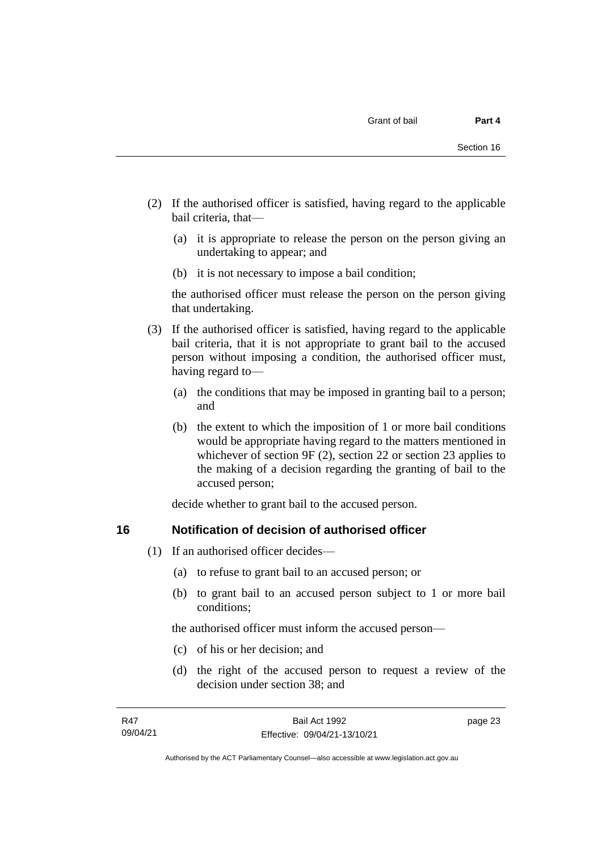- (2) If the authorised officer is satisfied, having regard to the applicable bail criteria, that—
	- (a) it is appropriate to release the person on the person giving an undertaking to appear; and
	- (b) it is not necessary to impose a bail condition;

the authorised officer must release the person on the person giving that undertaking.

- (3) If the authorised officer is satisfied, having regard to the applicable bail criteria, that it is not appropriate to grant bail to the accused person without imposing a condition, the authorised officer must, having regard to—
	- (a) the conditions that may be imposed in granting bail to a person; and
	- (b) the extent to which the imposition of 1 or more bail conditions would be appropriate having regard to the matters mentioned in whichever of section 9F (2), section 22 or section 23 applies to the making of a decision regarding the granting of bail to the accused person;

decide whether to grant bail to the accused person.

#### <span id="page-30-0"></span>**16 Notification of decision of authorised officer**

- (1) If an authorised officer decides—
	- (a) to refuse to grant bail to an accused person; or
	- (b) to grant bail to an accused person subject to 1 or more bail conditions;

the authorised officer must inform the accused person—

- (c) of his or her decision; and
- (d) the right of the accused person to request a review of the decision under section 38; and

page 23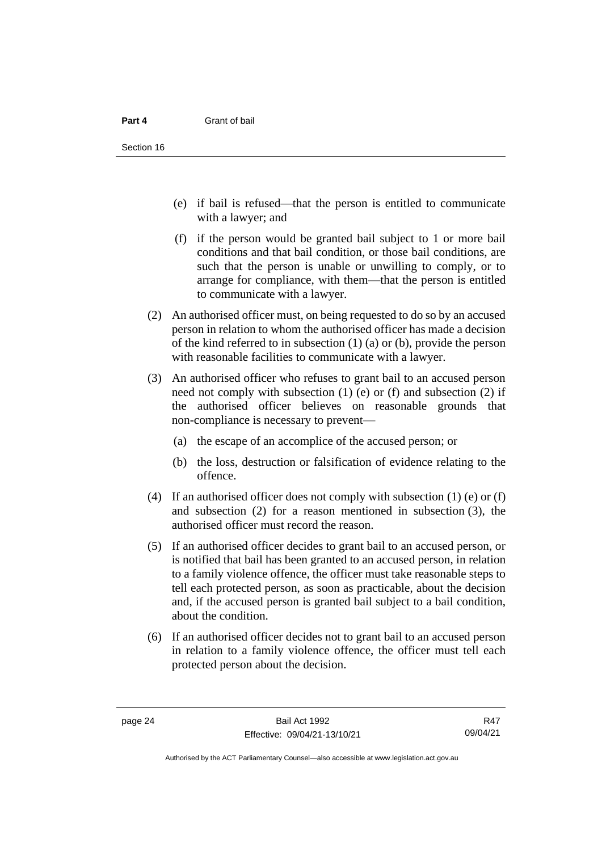- (e) if bail is refused—that the person is entitled to communicate with a lawyer; and
- (f) if the person would be granted bail subject to 1 or more bail conditions and that bail condition, or those bail conditions, are such that the person is unable or unwilling to comply, or to arrange for compliance, with them—that the person is entitled to communicate with a lawyer.
- (2) An authorised officer must, on being requested to do so by an accused person in relation to whom the authorised officer has made a decision of the kind referred to in subsection (1) (a) or (b), provide the person with reasonable facilities to communicate with a lawyer.
- (3) An authorised officer who refuses to grant bail to an accused person need not comply with subsection (1) (e) or (f) and subsection (2) if the authorised officer believes on reasonable grounds that non-compliance is necessary to prevent—
	- (a) the escape of an accomplice of the accused person; or
	- (b) the loss, destruction or falsification of evidence relating to the offence.
- (4) If an authorised officer does not comply with subsection (1) (e) or (f) and subsection (2) for a reason mentioned in subsection (3), the authorised officer must record the reason.
- (5) If an authorised officer decides to grant bail to an accused person, or is notified that bail has been granted to an accused person, in relation to a family violence offence, the officer must take reasonable steps to tell each protected person, as soon as practicable, about the decision and, if the accused person is granted bail subject to a bail condition, about the condition.
- (6) If an authorised officer decides not to grant bail to an accused person in relation to a family violence offence, the officer must tell each protected person about the decision.

R47 09/04/21

Authorised by the ACT Parliamentary Counsel—also accessible at www.legislation.act.gov.au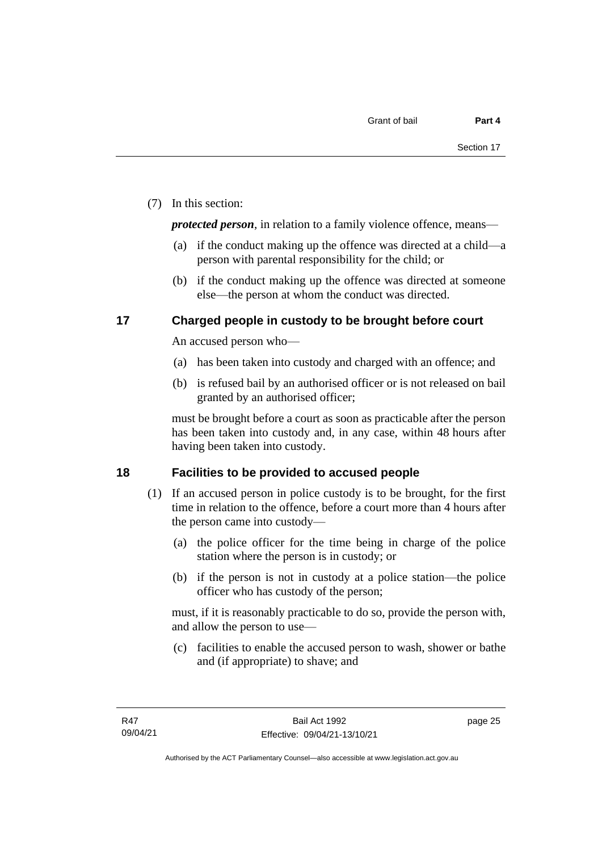(7) In this section:

*protected person*, in relation to a family violence offence, means—

- (a) if the conduct making up the offence was directed at a child—a person with parental responsibility for the child; or
- (b) if the conduct making up the offence was directed at someone else—the person at whom the conduct was directed.

#### <span id="page-32-0"></span>**17 Charged people in custody to be brought before court**

An accused person who—

- (a) has been taken into custody and charged with an offence; and
- (b) is refused bail by an authorised officer or is not released on bail granted by an authorised officer;

must be brought before a court as soon as practicable after the person has been taken into custody and, in any case, within 48 hours after having been taken into custody.

#### <span id="page-32-1"></span>**18 Facilities to be provided to accused people**

- (1) If an accused person in police custody is to be brought, for the first time in relation to the offence, before a court more than 4 hours after the person came into custody—
	- (a) the police officer for the time being in charge of the police station where the person is in custody; or
	- (b) if the person is not in custody at a police station—the police officer who has custody of the person;

must, if it is reasonably practicable to do so, provide the person with, and allow the person to use—

(c) facilities to enable the accused person to wash, shower or bathe and (if appropriate) to shave; and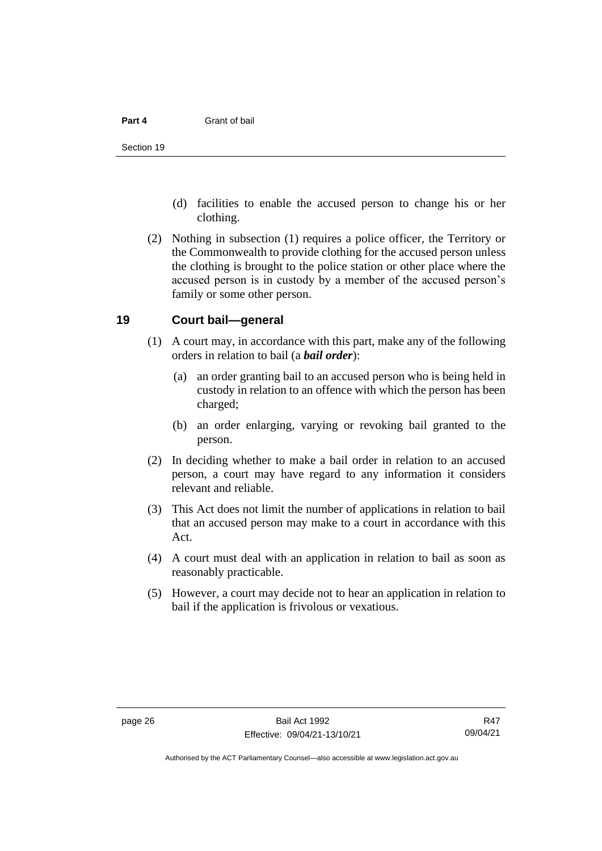- (d) facilities to enable the accused person to change his or her clothing.
- (2) Nothing in subsection (1) requires a police officer, the Territory or the Commonwealth to provide clothing for the accused person unless the clothing is brought to the police station or other place where the accused person is in custody by a member of the accused person's family or some other person.

#### <span id="page-33-0"></span>**19 Court bail—general**

- (1) A court may, in accordance with this part, make any of the following orders in relation to bail (a *bail order*):
	- (a) an order granting bail to an accused person who is being held in custody in relation to an offence with which the person has been charged;
	- (b) an order enlarging, varying or revoking bail granted to the person.
- (2) In deciding whether to make a bail order in relation to an accused person, a court may have regard to any information it considers relevant and reliable.
- (3) This Act does not limit the number of applications in relation to bail that an accused person may make to a court in accordance with this Act.
- (4) A court must deal with an application in relation to bail as soon as reasonably practicable.
- (5) However, a court may decide not to hear an application in relation to bail if the application is frivolous or vexatious.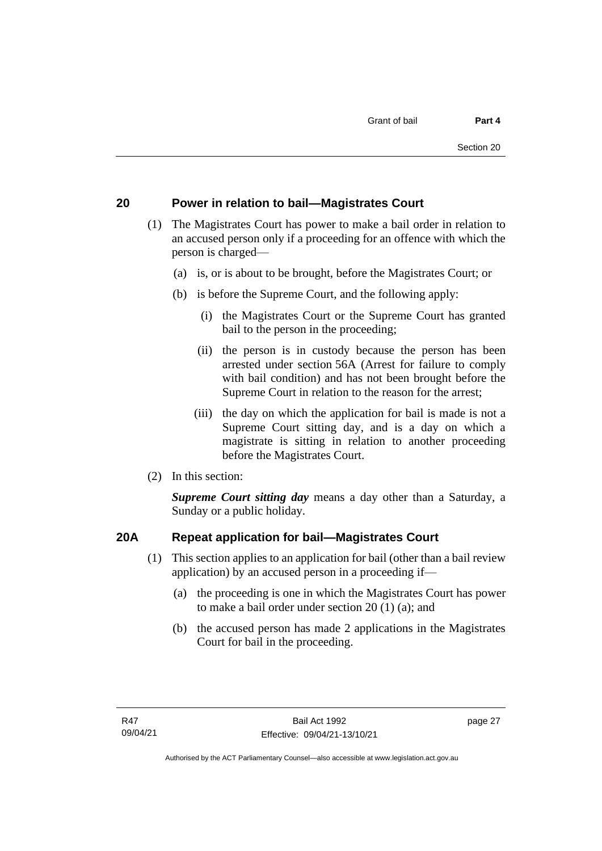#### <span id="page-34-0"></span>**20 Power in relation to bail—Magistrates Court**

- (1) The Magistrates Court has power to make a bail order in relation to an accused person only if a proceeding for an offence with which the person is charged—
	- (a) is, or is about to be brought, before the Magistrates Court; or
	- (b) is before the Supreme Court, and the following apply:
		- (i) the Magistrates Court or the Supreme Court has granted bail to the person in the proceeding;
		- (ii) the person is in custody because the person has been arrested under section 56A (Arrest for failure to comply with bail condition) and has not been brought before the Supreme Court in relation to the reason for the arrest;
		- (iii) the day on which the application for bail is made is not a Supreme Court sitting day, and is a day on which a magistrate is sitting in relation to another proceeding before the Magistrates Court.
- (2) In this section:

*Supreme Court sitting day* means a day other than a Saturday, a Sunday or a public holiday.

#### <span id="page-34-1"></span>**20A Repeat application for bail—Magistrates Court**

- (1) This section applies to an application for bail (other than a bail review application) by an accused person in a proceeding if—
	- (a) the proceeding is one in which the Magistrates Court has power to make a bail order under section 20 (1) (a); and
	- (b) the accused person has made 2 applications in the Magistrates Court for bail in the proceeding.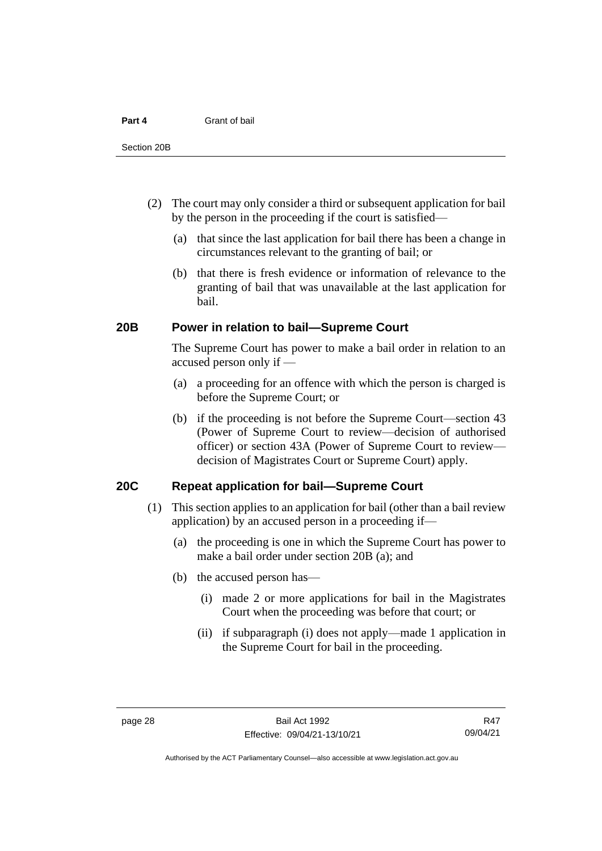- (2) The court may only consider a third or subsequent application for bail by the person in the proceeding if the court is satisfied—
	- (a) that since the last application for bail there has been a change in circumstances relevant to the granting of bail; or
	- (b) that there is fresh evidence or information of relevance to the granting of bail that was unavailable at the last application for bail.

#### <span id="page-35-0"></span>**20B Power in relation to bail—Supreme Court**

The Supreme Court has power to make a bail order in relation to an accused person only if —

- (a) a proceeding for an offence with which the person is charged is before the Supreme Court; or
- (b) if the proceeding is not before the Supreme Court—section 43 (Power of Supreme Court to review—decision of authorised officer) or section 43A (Power of Supreme Court to review decision of Magistrates Court or Supreme Court) apply.

#### <span id="page-35-1"></span>**20C Repeat application for bail—Supreme Court**

- (1) This section applies to an application for bail (other than a bail review application) by an accused person in a proceeding if—
	- (a) the proceeding is one in which the Supreme Court has power to make a bail order under section 20B (a); and
	- (b) the accused person has—
		- (i) made 2 or more applications for bail in the Magistrates Court when the proceeding was before that court; or
		- (ii) if subparagraph (i) does not apply—made 1 application in the Supreme Court for bail in the proceeding.

R47 09/04/21

Authorised by the ACT Parliamentary Counsel—also accessible at www.legislation.act.gov.au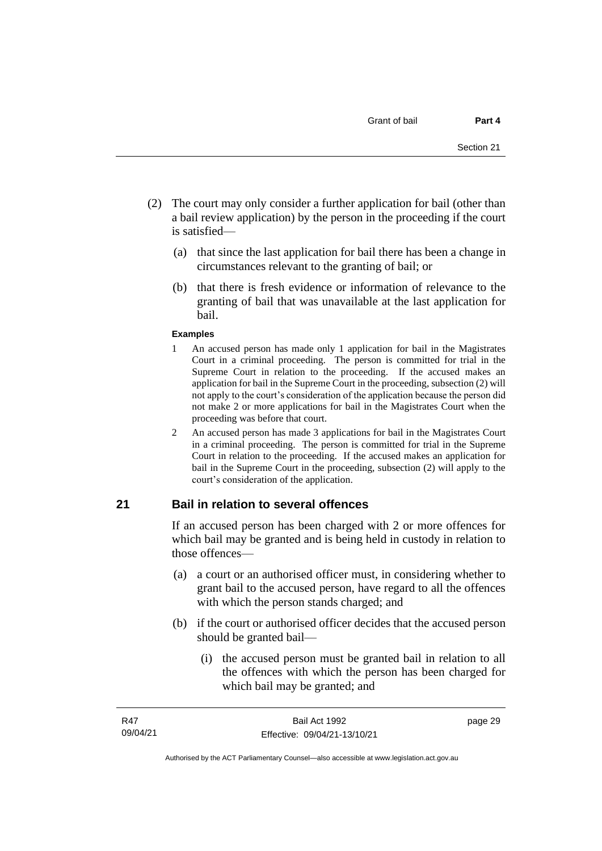- (2) The court may only consider a further application for bail (other than a bail review application) by the person in the proceeding if the court is satisfied—
	- (a) that since the last application for bail there has been a change in circumstances relevant to the granting of bail; or
	- (b) that there is fresh evidence or information of relevance to the granting of bail that was unavailable at the last application for bail.

#### **Examples**

- 1 An accused person has made only 1 application for bail in the Magistrates Court in a criminal proceeding. The person is committed for trial in the Supreme Court in relation to the proceeding. If the accused makes an application for bail in the Supreme Court in the proceeding, subsection (2) will not apply to the court's consideration of the application because the person did not make 2 or more applications for bail in the Magistrates Court when the proceeding was before that court.
- 2 An accused person has made 3 applications for bail in the Magistrates Court in a criminal proceeding. The person is committed for trial in the Supreme Court in relation to the proceeding. If the accused makes an application for bail in the Supreme Court in the proceeding, subsection (2) will apply to the court's consideration of the application.

### **21 Bail in relation to several offences**

If an accused person has been charged with 2 or more offences for which bail may be granted and is being held in custody in relation to those offences—

- (a) a court or an authorised officer must, in considering whether to grant bail to the accused person, have regard to all the offences with which the person stands charged; and
- (b) if the court or authorised officer decides that the accused person should be granted bail—
	- (i) the accused person must be granted bail in relation to all the offences with which the person has been charged for which bail may be granted; and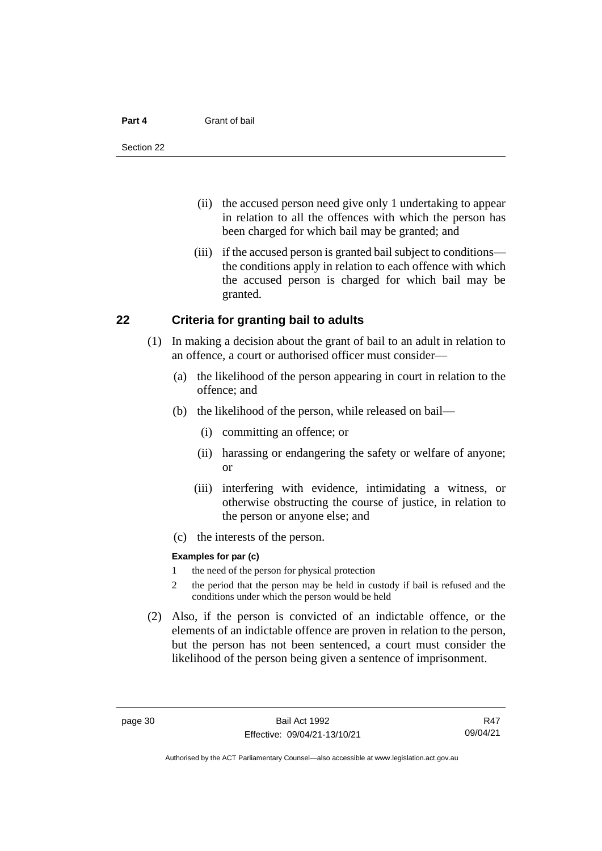#### **Part 4** Grant of bail

- (ii) the accused person need give only 1 undertaking to appear in relation to all the offences with which the person has been charged for which bail may be granted; and
- (iii) if the accused person is granted bail subject to conditions the conditions apply in relation to each offence with which the accused person is charged for which bail may be granted.

### **22 Criteria for granting bail to adults**

- (1) In making a decision about the grant of bail to an adult in relation to an offence, a court or authorised officer must consider—
	- (a) the likelihood of the person appearing in court in relation to the offence; and
	- (b) the likelihood of the person, while released on bail—
		- (i) committing an offence; or
		- (ii) harassing or endangering the safety or welfare of anyone; or
		- (iii) interfering with evidence, intimidating a witness, or otherwise obstructing the course of justice, in relation to the person or anyone else; and
	- (c) the interests of the person.

#### **Examples for par (c)**

- 1 the need of the person for physical protection
- 2 the period that the person may be held in custody if bail is refused and the conditions under which the person would be held
- (2) Also, if the person is convicted of an indictable offence, or the elements of an indictable offence are proven in relation to the person, but the person has not been sentenced, a court must consider the likelihood of the person being given a sentence of imprisonment.

R47 09/04/21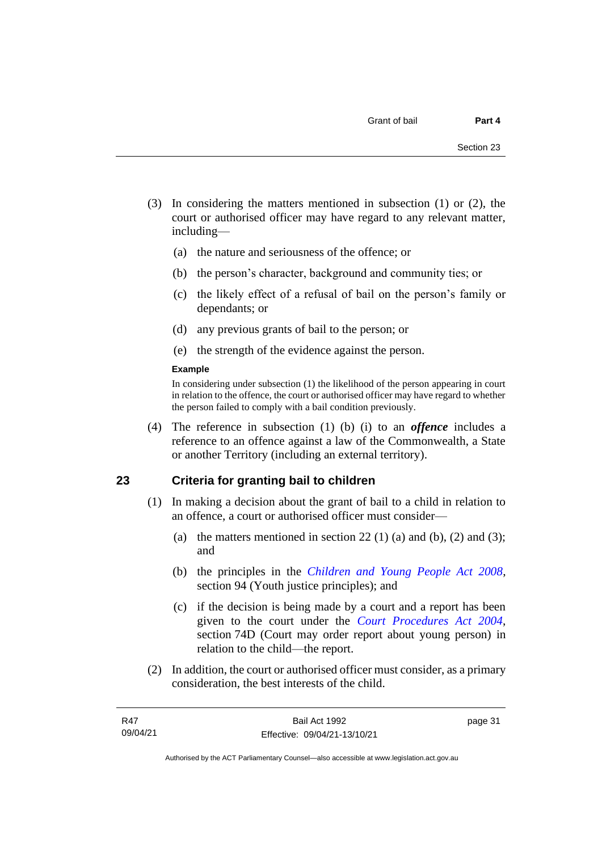- (3) In considering the matters mentioned in subsection (1) or (2), the court or authorised officer may have regard to any relevant matter, including—
	- (a) the nature and seriousness of the offence; or
	- (b) the person's character, background and community ties; or
	- (c) the likely effect of a refusal of bail on the person's family or dependants; or
	- (d) any previous grants of bail to the person; or
	- (e) the strength of the evidence against the person.

#### **Example**

In considering under subsection (1) the likelihood of the person appearing in court in relation to the offence, the court or authorised officer may have regard to whether the person failed to comply with a bail condition previously.

(4) The reference in subsection (1) (b) (i) to an *offence* includes a reference to an offence against a law of the Commonwealth, a State or another Territory (including an external territory).

### **23 Criteria for granting bail to children**

- (1) In making a decision about the grant of bail to a child in relation to an offence, a court or authorised officer must consider—
	- (a) the matters mentioned in section 22 (1) (a) and (b), (2) and (3); and
	- (b) the principles in the *[Children and Young People Act 2008](http://www.legislation.act.gov.au/a/2008-19)*, section 94 (Youth justice principles); and
	- (c) if the decision is being made by a court and a report has been given to the court under the *[Court Procedures Act 2004](http://www.legislation.act.gov.au/a/2004-59)*, section 74D (Court may order report about young person) in relation to the child—the report.
- (2) In addition, the court or authorised officer must consider, as a primary consideration, the best interests of the child.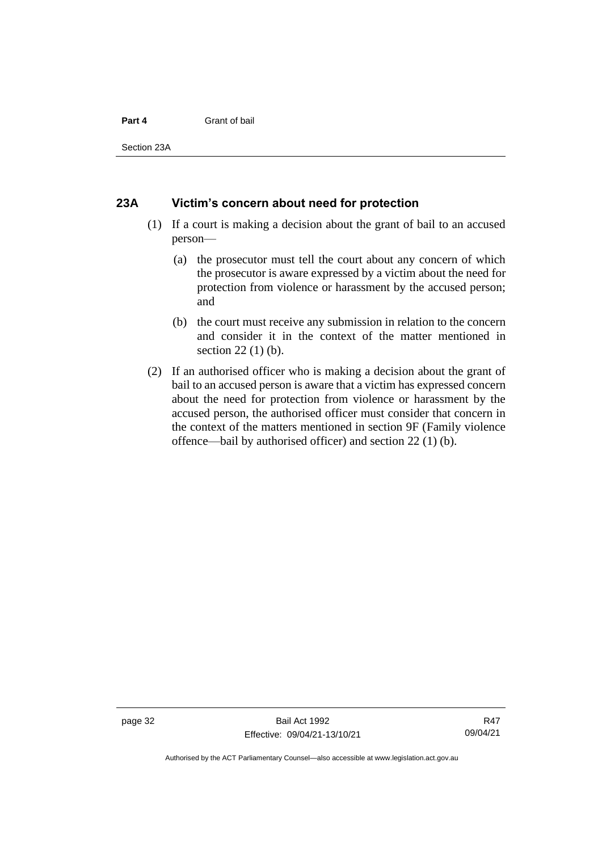#### **Part 4** Grant of bail

Section 23A

### **23A Victim's concern about need for protection**

- (1) If a court is making a decision about the grant of bail to an accused person—
	- (a) the prosecutor must tell the court about any concern of which the prosecutor is aware expressed by a victim about the need for protection from violence or harassment by the accused person; and
	- (b) the court must receive any submission in relation to the concern and consider it in the context of the matter mentioned in section 22 (1) (b).
- (2) If an authorised officer who is making a decision about the grant of bail to an accused person is aware that a victim has expressed concern about the need for protection from violence or harassment by the accused person, the authorised officer must consider that concern in the context of the matters mentioned in section 9F (Family violence offence—bail by authorised officer) and section 22 (1) (b).

Authorised by the ACT Parliamentary Counsel—also accessible at www.legislation.act.gov.au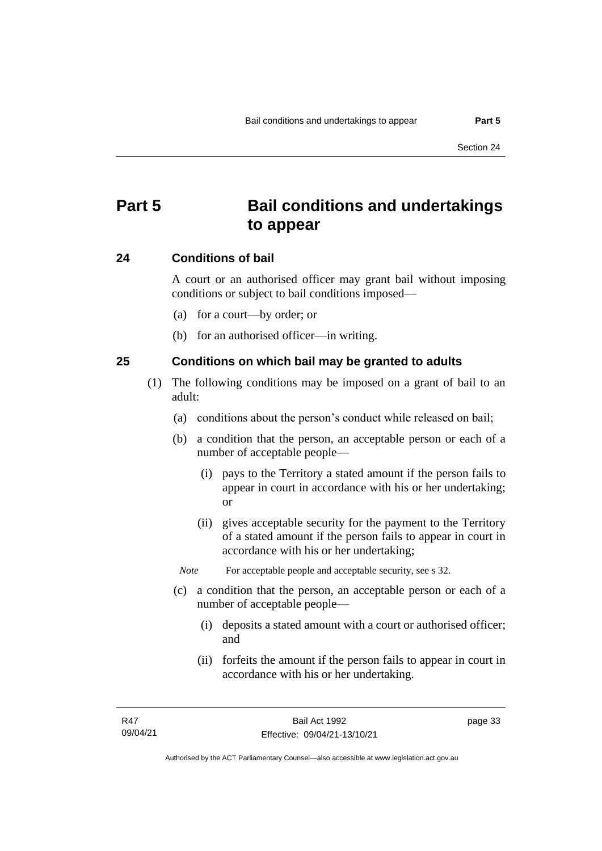# **Part 5 Bail conditions and undertakings to appear**

### **24 Conditions of bail**

A court or an authorised officer may grant bail without imposing conditions or subject to bail conditions imposed—

- (a) for a court—by order; or
- (b) for an authorised officer—in writing.

### **25 Conditions on which bail may be granted to adults**

- (1) The following conditions may be imposed on a grant of bail to an adult:
	- (a) conditions about the person's conduct while released on bail;
	- (b) a condition that the person, an acceptable person or each of a number of acceptable people—
		- (i) pays to the Territory a stated amount if the person fails to appear in court in accordance with his or her undertaking; or
		- (ii) gives acceptable security for the payment to the Territory of a stated amount if the person fails to appear in court in accordance with his or her undertaking;

*Note* For acceptable people and acceptable security, see s 32.

- (c) a condition that the person, an acceptable person or each of a number of acceptable people—
	- (i) deposits a stated amount with a court or authorised officer; and
	- (ii) forfeits the amount if the person fails to appear in court in accordance with his or her undertaking.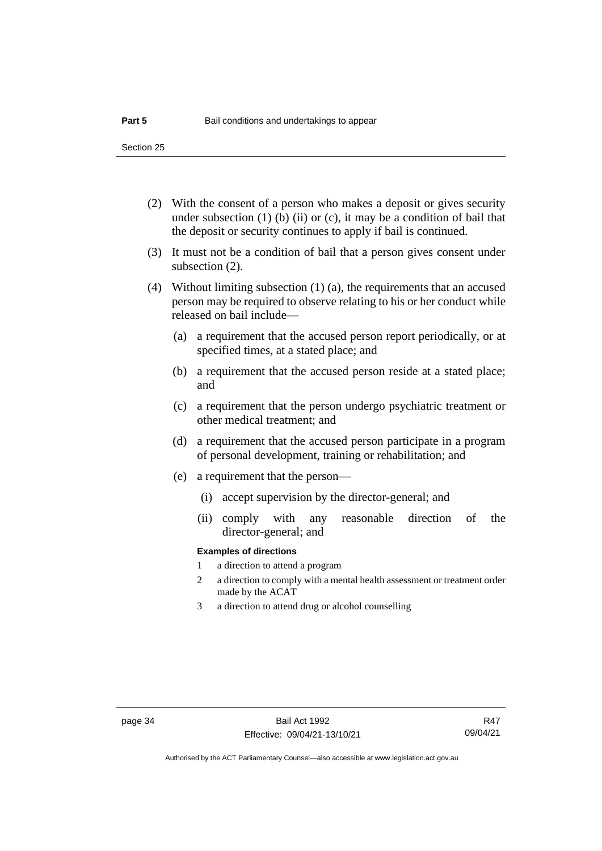- (2) With the consent of a person who makes a deposit or gives security under subsection  $(1)$  (b)  $(ii)$  or  $(c)$ , it may be a condition of bail that the deposit or security continues to apply if bail is continued.
- (3) It must not be a condition of bail that a person gives consent under subsection (2).
- (4) Without limiting subsection (1) (a), the requirements that an accused person may be required to observe relating to his or her conduct while released on bail include—
	- (a) a requirement that the accused person report periodically, or at specified times, at a stated place; and
	- (b) a requirement that the accused person reside at a stated place; and
	- (c) a requirement that the person undergo psychiatric treatment or other medical treatment; and
	- (d) a requirement that the accused person participate in a program of personal development, training or rehabilitation; and
	- (e) a requirement that the person—
		- (i) accept supervision by the director-general; and
		- (ii) comply with any reasonable direction of the director-general; and

#### **Examples of directions**

- 1 a direction to attend a program
- 2 a direction to comply with a mental health assessment or treatment order made by the ACAT
- 3 a direction to attend drug or alcohol counselling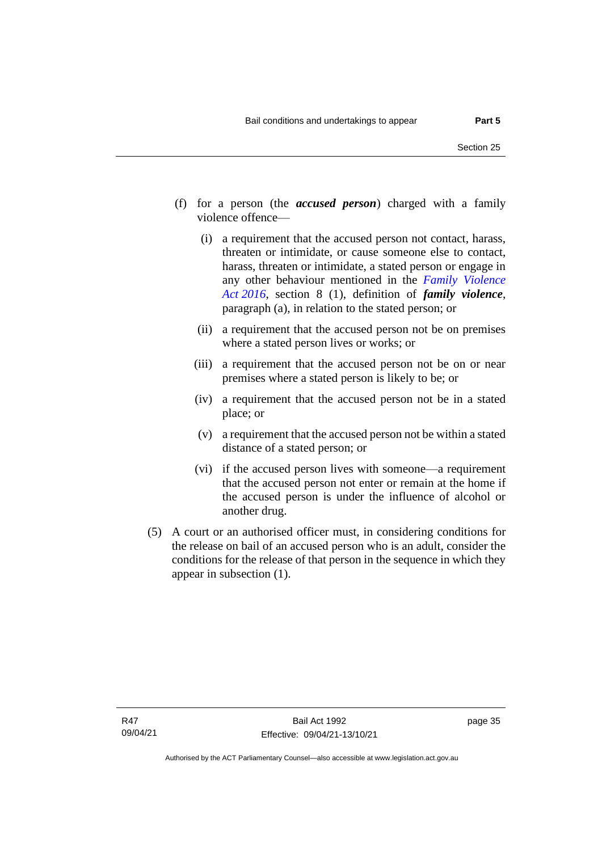- (f) for a person (the *accused person*) charged with a family violence offence—
	- (i) a requirement that the accused person not contact, harass, threaten or intimidate, or cause someone else to contact, harass, threaten or intimidate, a stated person or engage in any other behaviour mentioned in the *[Family Violence](http://www.legislation.act.gov.au/a/2016-42)  Act [2016](http://www.legislation.act.gov.au/a/2016-42)*, section 8 (1), definition of *family violence*, paragraph (a), in relation to the stated person; or
	- (ii) a requirement that the accused person not be on premises where a stated person lives or works; or
	- (iii) a requirement that the accused person not be on or near premises where a stated person is likely to be; or
	- (iv) a requirement that the accused person not be in a stated place; or
	- (v) a requirement that the accused person not be within a stated distance of a stated person; or
	- (vi) if the accused person lives with someone—a requirement that the accused person not enter or remain at the home if the accused person is under the influence of alcohol or another drug.
- (5) A court or an authorised officer must, in considering conditions for the release on bail of an accused person who is an adult, consider the conditions for the release of that person in the sequence in which they appear in subsection (1).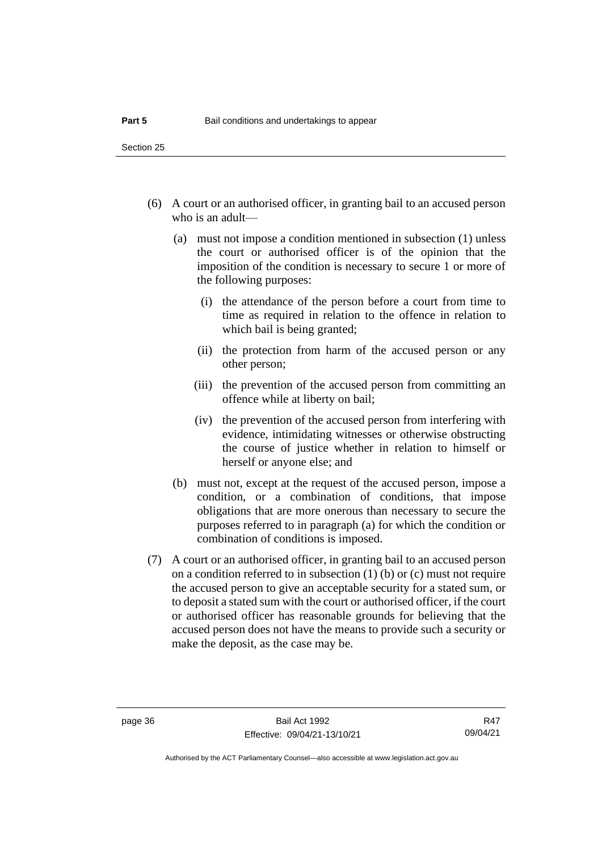- (6) A court or an authorised officer, in granting bail to an accused person who is an adult—
	- (a) must not impose a condition mentioned in subsection (1) unless the court or authorised officer is of the opinion that the imposition of the condition is necessary to secure 1 or more of the following purposes:
		- (i) the attendance of the person before a court from time to time as required in relation to the offence in relation to which bail is being granted;
		- (ii) the protection from harm of the accused person or any other person;
		- (iii) the prevention of the accused person from committing an offence while at liberty on bail;
		- (iv) the prevention of the accused person from interfering with evidence, intimidating witnesses or otherwise obstructing the course of justice whether in relation to himself or herself or anyone else; and
	- (b) must not, except at the request of the accused person, impose a condition, or a combination of conditions, that impose obligations that are more onerous than necessary to secure the purposes referred to in paragraph (a) for which the condition or combination of conditions is imposed.
- (7) A court or an authorised officer, in granting bail to an accused person on a condition referred to in subsection (1) (b) or (c) must not require the accused person to give an acceptable security for a stated sum, or to deposit a stated sum with the court or authorised officer, if the court or authorised officer has reasonable grounds for believing that the accused person does not have the means to provide such a security or make the deposit, as the case may be.

R47 09/04/21

Authorised by the ACT Parliamentary Counsel—also accessible at www.legislation.act.gov.au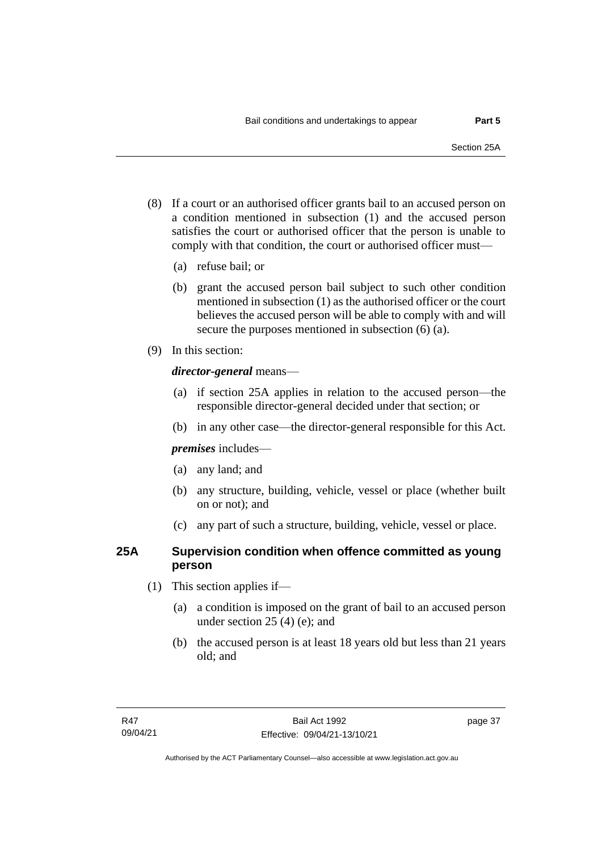- (8) If a court or an authorised officer grants bail to an accused person on a condition mentioned in subsection (1) and the accused person satisfies the court or authorised officer that the person is unable to comply with that condition, the court or authorised officer must—
	- (a) refuse bail; or
	- (b) grant the accused person bail subject to such other condition mentioned in subsection (1) as the authorised officer or the court believes the accused person will be able to comply with and will secure the purposes mentioned in subsection (6) (a).
- (9) In this section:

### *director-general* means—

- (a) if section 25A applies in relation to the accused person—the responsible director-general decided under that section; or
- (b) in any other case—the director-general responsible for this Act.

*premises* includes—

- (a) any land; and
- (b) any structure, building, vehicle, vessel or place (whether built on or not); and
- (c) any part of such a structure, building, vehicle, vessel or place.

### **25A Supervision condition when offence committed as young person**

- (1) This section applies if—
	- (a) a condition is imposed on the grant of bail to an accused person under section 25 (4) (e); and
	- (b) the accused person is at least 18 years old but less than 21 years old; and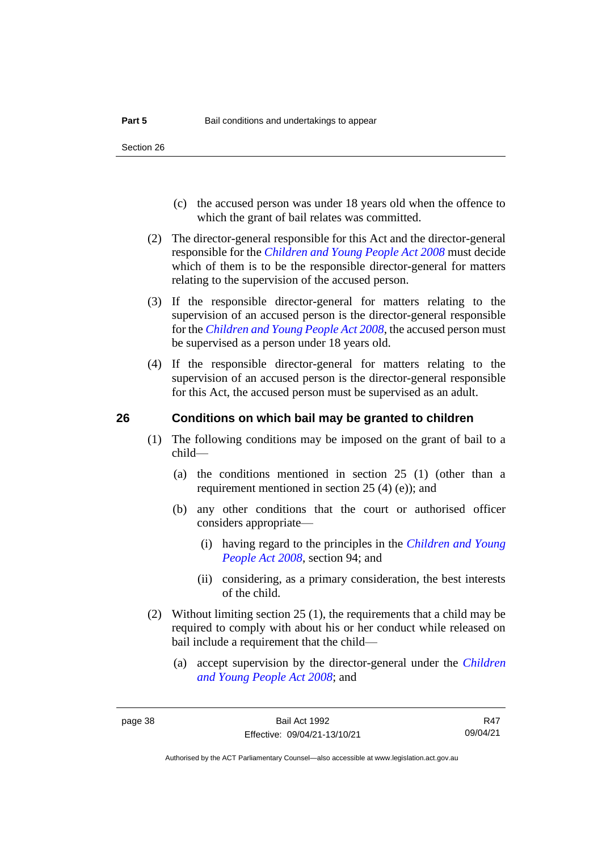- (c) the accused person was under 18 years old when the offence to which the grant of bail relates was committed.
- (2) The director-general responsible for this Act and the director-general responsible for the *[Children and Young People Act 2008](http://www.legislation.act.gov.au/a/2008-19)* must decide which of them is to be the responsible director-general for matters relating to the supervision of the accused person.
- (3) If the responsible director-general for matters relating to the supervision of an accused person is the director-general responsible for the *[Children and Young People Act 2008](http://www.legislation.act.gov.au/a/2008-19)*, the accused person must be supervised as a person under 18 years old.
- (4) If the responsible director-general for matters relating to the supervision of an accused person is the director-general responsible for this Act, the accused person must be supervised as an adult.

### **26 Conditions on which bail may be granted to children**

- (1) The following conditions may be imposed on the grant of bail to a child—
	- (a) the conditions mentioned in section 25 (1) (other than a requirement mentioned in section 25 (4) (e)); and
	- (b) any other conditions that the court or authorised officer considers appropriate—
		- (i) having regard to the principles in the *[Children and Young](http://www.legislation.act.gov.au/a/2008-19)  [People Act 2008](http://www.legislation.act.gov.au/a/2008-19)*, section 94; and
		- (ii) considering, as a primary consideration, the best interests of the child.
- (2) Without limiting section 25 (1), the requirements that a child may be required to comply with about his or her conduct while released on bail include a requirement that the child—
	- (a) accept supervision by the director-general under the *[Children](http://www.legislation.act.gov.au/a/2008-19)  [and Young People Act 2008](http://www.legislation.act.gov.au/a/2008-19)*; and

R47 09/04/21

Authorised by the ACT Parliamentary Counsel—also accessible at www.legislation.act.gov.au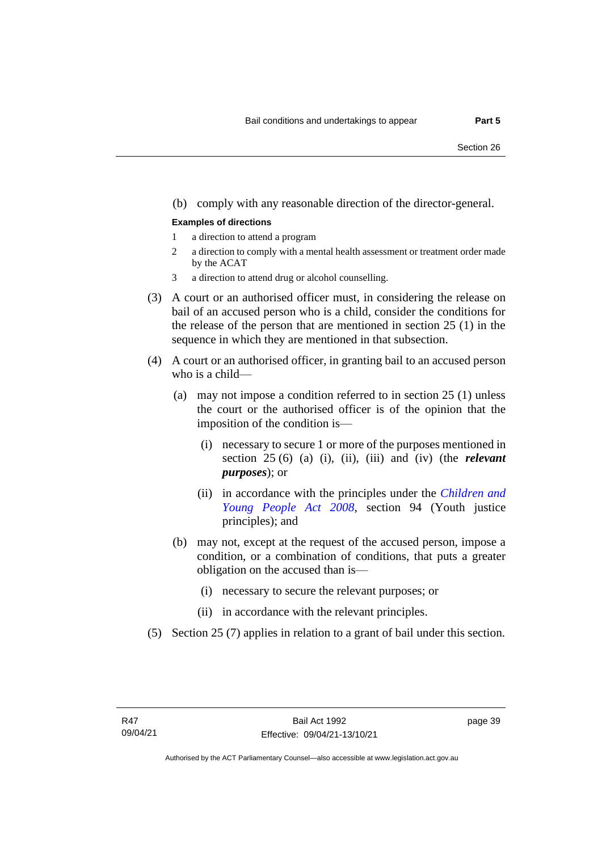### (b) comply with any reasonable direction of the director-general.

#### **Examples of directions**

- 1 a direction to attend a program
- 2 a direction to comply with a mental health assessment or treatment order made by the ACAT
- 3 a direction to attend drug or alcohol counselling.
- (3) A court or an authorised officer must, in considering the release on bail of an accused person who is a child, consider the conditions for the release of the person that are mentioned in section 25 (1) in the sequence in which they are mentioned in that subsection.
- (4) A court or an authorised officer, in granting bail to an accused person who is a child—
	- (a) may not impose a condition referred to in section 25 (1) unless the court or the authorised officer is of the opinion that the imposition of the condition is—
		- (i) necessary to secure 1 or more of the purposes mentioned in section 25 (6) (a) (i), (ii), (iii) and (iv) (the *relevant purposes*); or
		- (ii) in accordance with the principles under the *[Children and](http://www.legislation.act.gov.au/a/2008-19)  [Young People Act 2008](http://www.legislation.act.gov.au/a/2008-19)*, section 94 (Youth justice principles); and
	- (b) may not, except at the request of the accused person, impose a condition, or a combination of conditions, that puts a greater obligation on the accused than is—
		- (i) necessary to secure the relevant purposes; or
		- (ii) in accordance with the relevant principles.
- (5) Section 25 (7) applies in relation to a grant of bail under this section.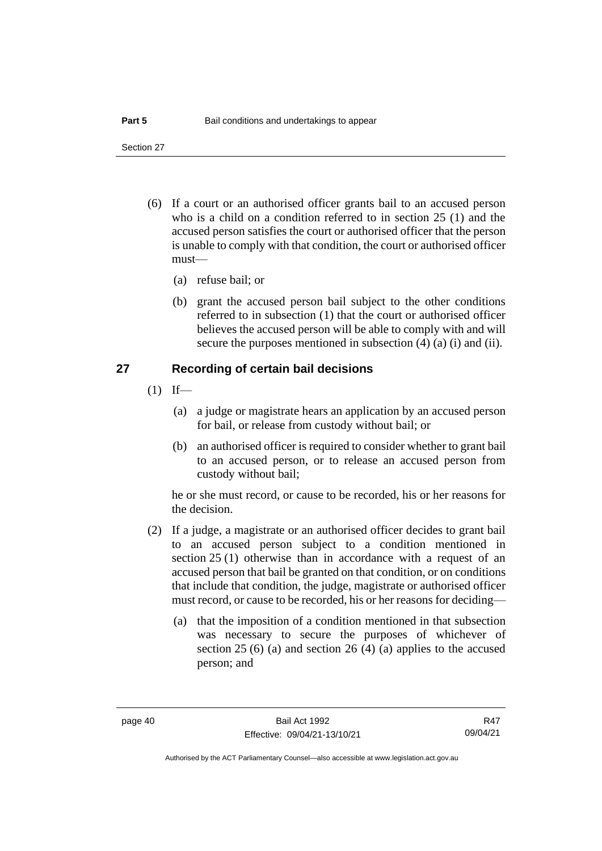Section 27

- (6) If a court or an authorised officer grants bail to an accused person who is a child on a condition referred to in section 25 (1) and the accused person satisfies the court or authorised officer that the person is unable to comply with that condition, the court or authorised officer must—
	- (a) refuse bail; or
	- (b) grant the accused person bail subject to the other conditions referred to in subsection (1) that the court or authorised officer believes the accused person will be able to comply with and will secure the purposes mentioned in subsection (4) (a) (i) and (ii).

### **27 Recording of certain bail decisions**

- $(1)$  If—
	- (a) a judge or magistrate hears an application by an accused person for bail, or release from custody without bail; or
	- (b) an authorised officer is required to consider whether to grant bail to an accused person, or to release an accused person from custody without bail;

he or she must record, or cause to be recorded, his or her reasons for the decision.

- (2) If a judge, a magistrate or an authorised officer decides to grant bail to an accused person subject to a condition mentioned in section 25 (1) otherwise than in accordance with a request of an accused person that bail be granted on that condition, or on conditions that include that condition, the judge, magistrate or authorised officer must record, or cause to be recorded, his or her reasons for deciding—
	- (a) that the imposition of a condition mentioned in that subsection was necessary to secure the purposes of whichever of section 25 (6) (a) and section 26 (4) (a) applies to the accused person; and

R47 09/04/21

Authorised by the ACT Parliamentary Counsel—also accessible at www.legislation.act.gov.au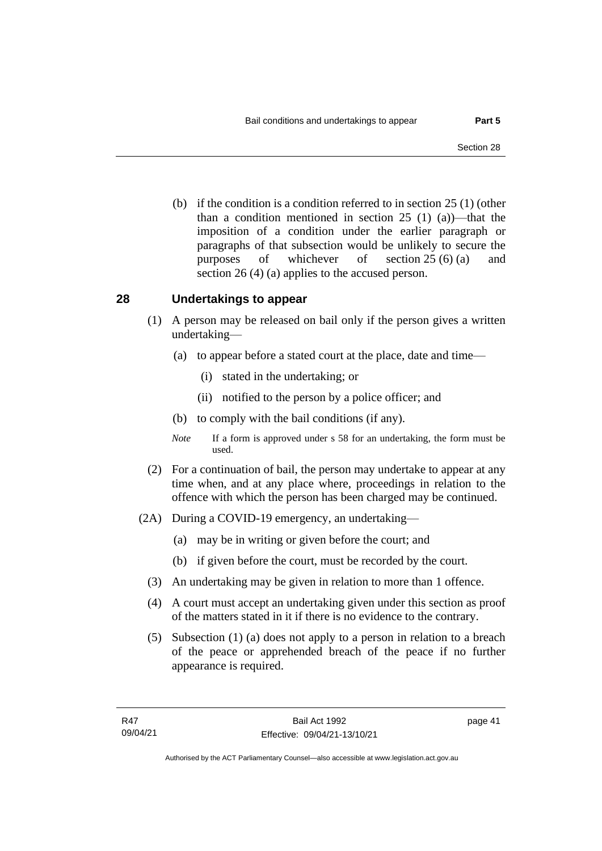(b) if the condition is a condition referred to in section 25 (1) (other than a condition mentioned in section 25 (1) (a))—that the imposition of a condition under the earlier paragraph or paragraphs of that subsection would be unlikely to secure the purposes of whichever of section 25 (6) (a) and section 26 (4) (a) applies to the accused person.

### **28 Undertakings to appear**

- (1) A person may be released on bail only if the person gives a written undertaking—
	- (a) to appear before a stated court at the place, date and time—
		- (i) stated in the undertaking; or
		- (ii) notified to the person by a police officer; and
	- (b) to comply with the bail conditions (if any).
	- *Note* If a form is approved under s 58 for an undertaking, the form must be used.
- (2) For a continuation of bail, the person may undertake to appear at any time when, and at any place where, proceedings in relation to the offence with which the person has been charged may be continued.
- (2A) During a COVID-19 emergency, an undertaking—
	- (a) may be in writing or given before the court; and
	- (b) if given before the court, must be recorded by the court.
	- (3) An undertaking may be given in relation to more than 1 offence.
	- (4) A court must accept an undertaking given under this section as proof of the matters stated in it if there is no evidence to the contrary.
	- (5) Subsection (1) (a) does not apply to a person in relation to a breach of the peace or apprehended breach of the peace if no further appearance is required.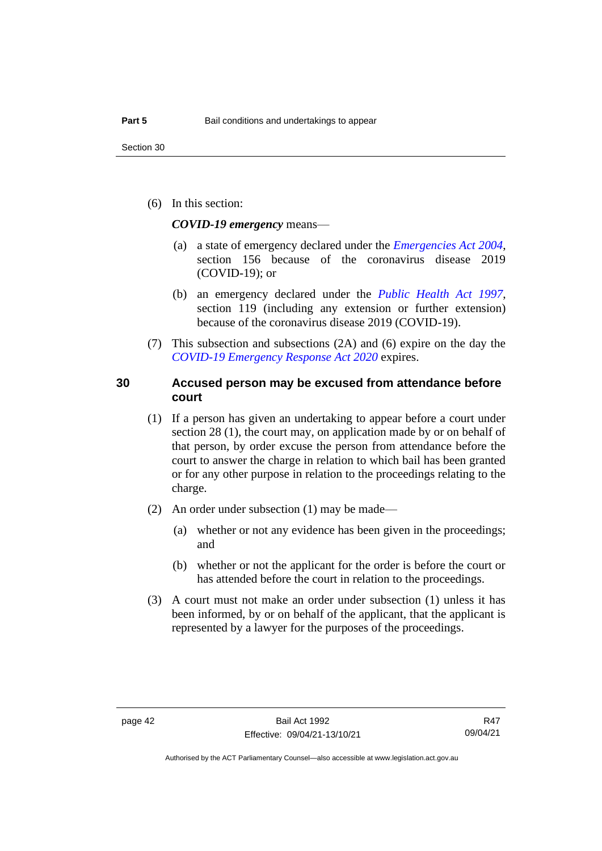(6) In this section:

*COVID-19 emergency* means—

- (a) a state of emergency declared under the *[Emergencies Act 2004](http://www.legislation.act.gov.au/a/2004-28)*, section 156 because of the coronavirus disease 2019 (COVID-19); or
- (b) an emergency declared under the *[Public Health Act 1997](http://www.legislation.act.gov.au/a/1997-69)*, section 119 (including any extension or further extension) because of the coronavirus disease 2019 (COVID-19).
- (7) This subsection and subsections (2A) and (6) expire on the day the *[COVID-19 Emergency Response Act 2020](http://www.legislation.act.gov.au/a/2020-11)* expires.

### **30 Accused person may be excused from attendance before court**

- (1) If a person has given an undertaking to appear before a court under section 28 (1), the court may, on application made by or on behalf of that person, by order excuse the person from attendance before the court to answer the charge in relation to which bail has been granted or for any other purpose in relation to the proceedings relating to the charge.
- (2) An order under subsection (1) may be made—
	- (a) whether or not any evidence has been given in the proceedings; and
	- (b) whether or not the applicant for the order is before the court or has attended before the court in relation to the proceedings.
- (3) A court must not make an order under subsection (1) unless it has been informed, by or on behalf of the applicant, that the applicant is represented by a lawyer for the purposes of the proceedings.

Authorised by the ACT Parliamentary Counsel—also accessible at www.legislation.act.gov.au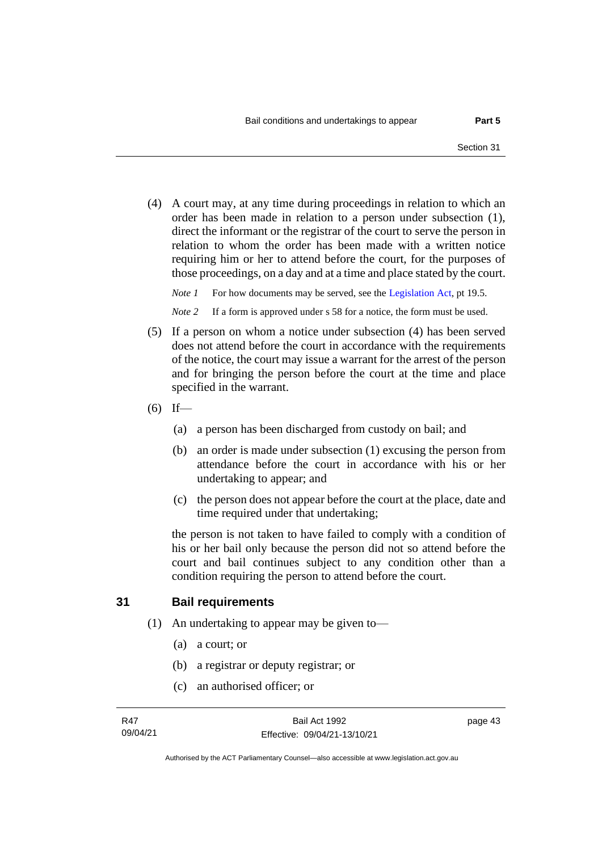(4) A court may, at any time during proceedings in relation to which an order has been made in relation to a person under subsection (1), direct the informant or the registrar of the court to serve the person in relation to whom the order has been made with a written notice requiring him or her to attend before the court, for the purposes of those proceedings, on a day and at a time and place stated by the court.

*Note 1* For how documents may be served, see th[e Legislation Act,](http://www.legislation.act.gov.au/a/2001-14) pt 19.5.

*Note* 2 If a form is approved under s 58 for a notice, the form must be used.

- (5) If a person on whom a notice under subsection (4) has been served does not attend before the court in accordance with the requirements of the notice, the court may issue a warrant for the arrest of the person and for bringing the person before the court at the time and place specified in the warrant.
- $(6)$  If—
	- (a) a person has been discharged from custody on bail; and
	- (b) an order is made under subsection (1) excusing the person from attendance before the court in accordance with his or her undertaking to appear; and
	- (c) the person does not appear before the court at the place, date and time required under that undertaking;

the person is not taken to have failed to comply with a condition of his or her bail only because the person did not so attend before the court and bail continues subject to any condition other than a condition requiring the person to attend before the court.

### **31 Bail requirements**

- (1) An undertaking to appear may be given to—
	- (a) a court; or
	- (b) a registrar or deputy registrar; or
	- (c) an authorised officer; or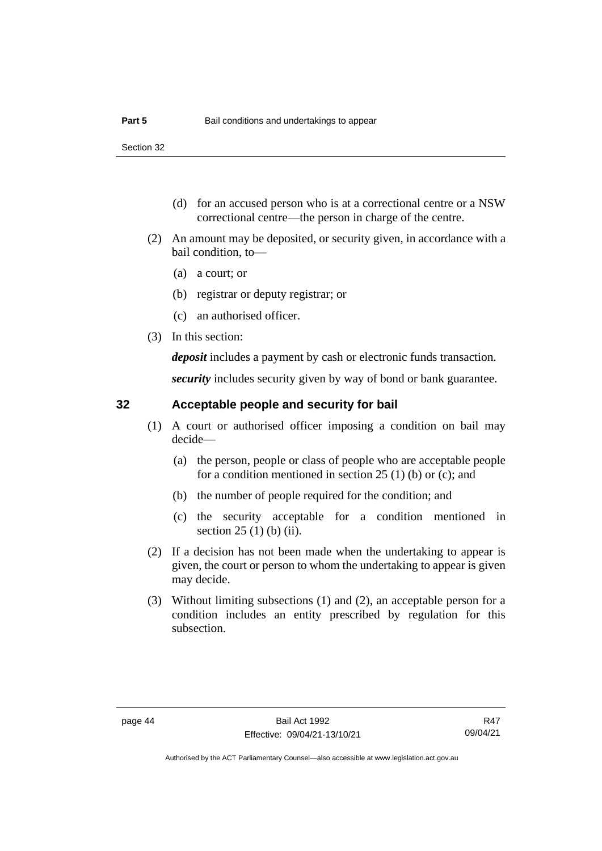- (d) for an accused person who is at a correctional centre or a NSW correctional centre—the person in charge of the centre.
- (2) An amount may be deposited, or security given, in accordance with a bail condition, to—
	- (a) a court; or
	- (b) registrar or deputy registrar; or
	- (c) an authorised officer.
- (3) In this section:

*deposit* includes a payment by cash or electronic funds transaction.

*security* includes security given by way of bond or bank guarantee.

### **32 Acceptable people and security for bail**

- (1) A court or authorised officer imposing a condition on bail may decide—
	- (a) the person, people or class of people who are acceptable people for a condition mentioned in section 25 (1) (b) or (c); and
	- (b) the number of people required for the condition; and
	- (c) the security acceptable for a condition mentioned in section 25 (1) (b) (ii).
- (2) If a decision has not been made when the undertaking to appear is given, the court or person to whom the undertaking to appear is given may decide.
- (3) Without limiting subsections (1) and (2), an acceptable person for a condition includes an entity prescribed by regulation for this subsection.

R47 09/04/21

Authorised by the ACT Parliamentary Counsel—also accessible at www.legislation.act.gov.au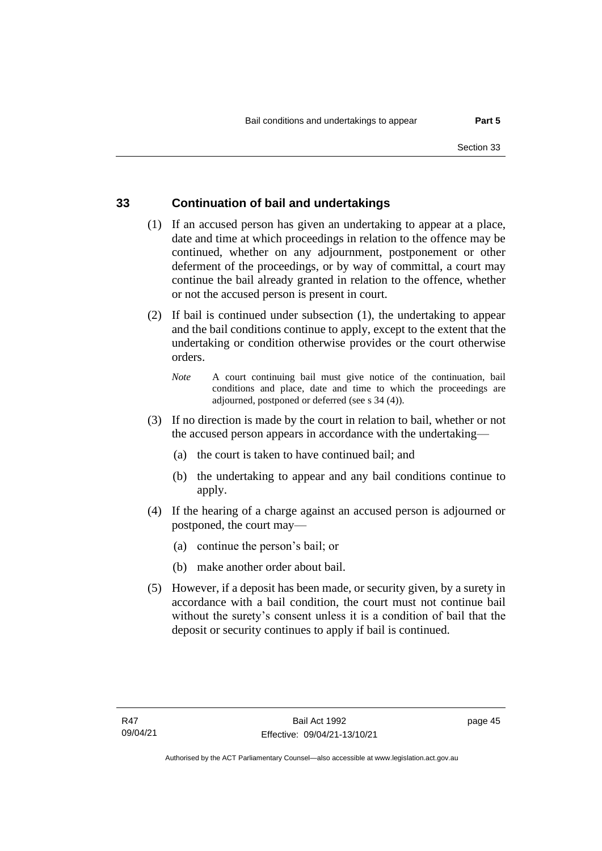### **33 Continuation of bail and undertakings**

- (1) If an accused person has given an undertaking to appear at a place, date and time at which proceedings in relation to the offence may be continued, whether on any adjournment, postponement or other deferment of the proceedings, or by way of committal, a court may continue the bail already granted in relation to the offence, whether or not the accused person is present in court.
- (2) If bail is continued under subsection (1), the undertaking to appear and the bail conditions continue to apply, except to the extent that the undertaking or condition otherwise provides or the court otherwise orders.
	- *Note* A court continuing bail must give notice of the continuation, bail conditions and place, date and time to which the proceedings are adjourned, postponed or deferred (see s 34 (4)).
- (3) If no direction is made by the court in relation to bail, whether or not the accused person appears in accordance with the undertaking—
	- (a) the court is taken to have continued bail; and
	- (b) the undertaking to appear and any bail conditions continue to apply.
- (4) If the hearing of a charge against an accused person is adjourned or postponed, the court may—
	- (a) continue the person's bail; or
	- (b) make another order about bail.
- (5) However, if a deposit has been made, or security given, by a surety in accordance with a bail condition, the court must not continue bail without the surety's consent unless it is a condition of bail that the deposit or security continues to apply if bail is continued.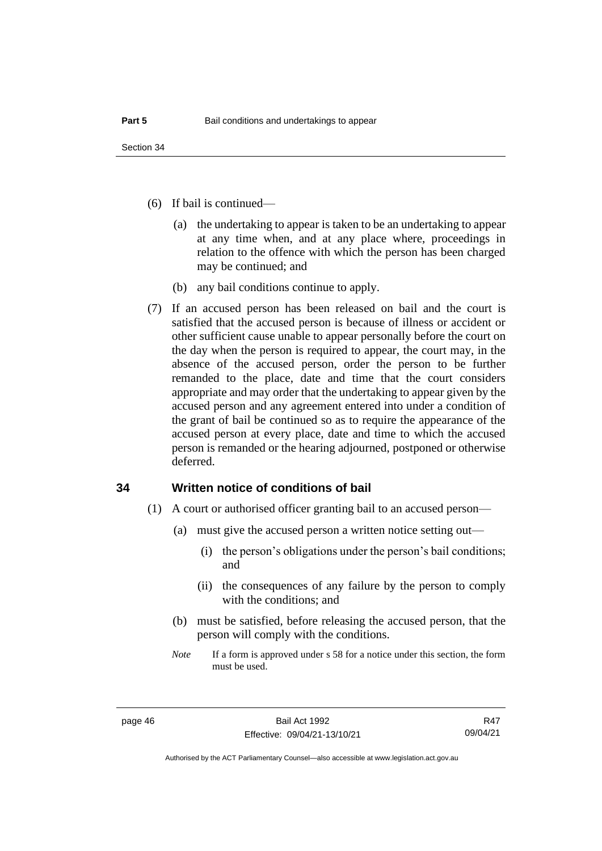- (6) If bail is continued—
	- (a) the undertaking to appear is taken to be an undertaking to appear at any time when, and at any place where, proceedings in relation to the offence with which the person has been charged may be continued; and
	- (b) any bail conditions continue to apply.
- (7) If an accused person has been released on bail and the court is satisfied that the accused person is because of illness or accident or other sufficient cause unable to appear personally before the court on the day when the person is required to appear, the court may, in the absence of the accused person, order the person to be further remanded to the place, date and time that the court considers appropriate and may order that the undertaking to appear given by the accused person and any agreement entered into under a condition of the grant of bail be continued so as to require the appearance of the accused person at every place, date and time to which the accused person is remanded or the hearing adjourned, postponed or otherwise deferred.

### **34 Written notice of conditions of bail**

- (1) A court or authorised officer granting bail to an accused person—
	- (a) must give the accused person a written notice setting out—
		- (i) the person's obligations under the person's bail conditions; and
		- (ii) the consequences of any failure by the person to comply with the conditions; and
	- (b) must be satisfied, before releasing the accused person, that the person will comply with the conditions.
	- *Note* If a form is approved under s 58 for a notice under this section, the form must be used.

R47 09/04/21

Authorised by the ACT Parliamentary Counsel—also accessible at www.legislation.act.gov.au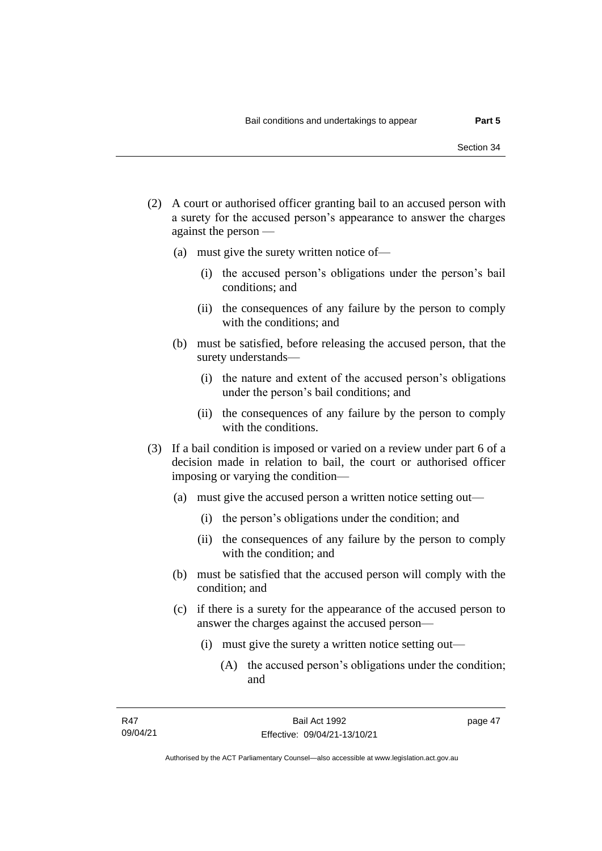- (2) A court or authorised officer granting bail to an accused person with a surety for the accused person's appearance to answer the charges against the person —
	- (a) must give the surety written notice of—
		- (i) the accused person's obligations under the person's bail conditions; and
		- (ii) the consequences of any failure by the person to comply with the conditions; and
	- (b) must be satisfied, before releasing the accused person, that the surety understands—
		- (i) the nature and extent of the accused person's obligations under the person's bail conditions; and
		- (ii) the consequences of any failure by the person to comply with the conditions.
- (3) If a bail condition is imposed or varied on a review under part 6 of a decision made in relation to bail, the court or authorised officer imposing or varying the condition—
	- (a) must give the accused person a written notice setting out—
		- (i) the person's obligations under the condition; and
		- (ii) the consequences of any failure by the person to comply with the condition; and
	- (b) must be satisfied that the accused person will comply with the condition; and
	- (c) if there is a surety for the appearance of the accused person to answer the charges against the accused person—
		- (i) must give the surety a written notice setting out—
			- (A) the accused person's obligations under the condition; and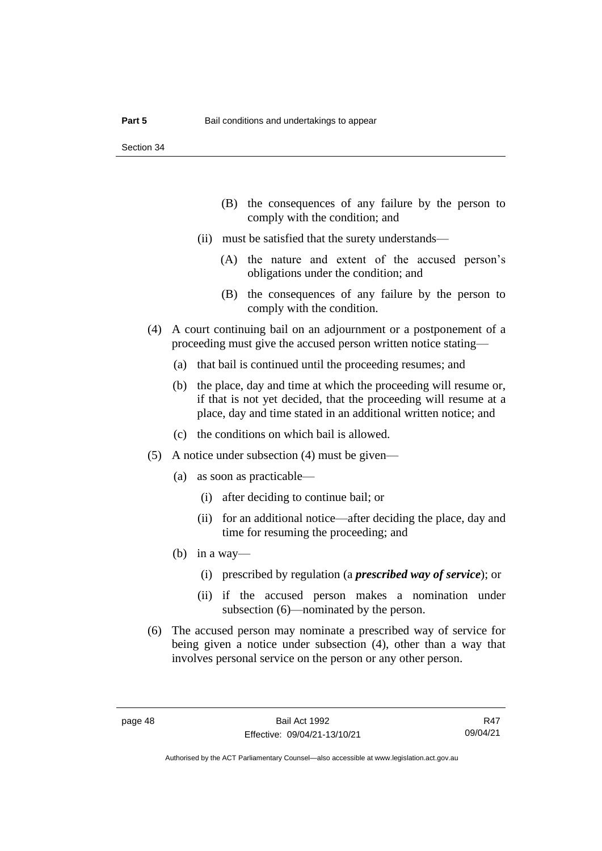Section 34

- (B) the consequences of any failure by the person to comply with the condition; and
- (ii) must be satisfied that the surety understands—
	- (A) the nature and extent of the accused person's obligations under the condition; and
	- (B) the consequences of any failure by the person to comply with the condition.
- (4) A court continuing bail on an adjournment or a postponement of a proceeding must give the accused person written notice stating—
	- (a) that bail is continued until the proceeding resumes; and
	- (b) the place, day and time at which the proceeding will resume or, if that is not yet decided, that the proceeding will resume at a place, day and time stated in an additional written notice; and
	- (c) the conditions on which bail is allowed.
- (5) A notice under subsection (4) must be given—
	- (a) as soon as practicable—
		- (i) after deciding to continue bail; or
		- (ii) for an additional notice—after deciding the place, day and time for resuming the proceeding; and
	- (b) in a way—
		- (i) prescribed by regulation (a *prescribed way of service*); or
		- (ii) if the accused person makes a nomination under subsection (6)—nominated by the person.
- (6) The accused person may nominate a prescribed way of service for being given a notice under subsection (4), other than a way that involves personal service on the person or any other person.

R47 09/04/21

Authorised by the ACT Parliamentary Counsel—also accessible at www.legislation.act.gov.au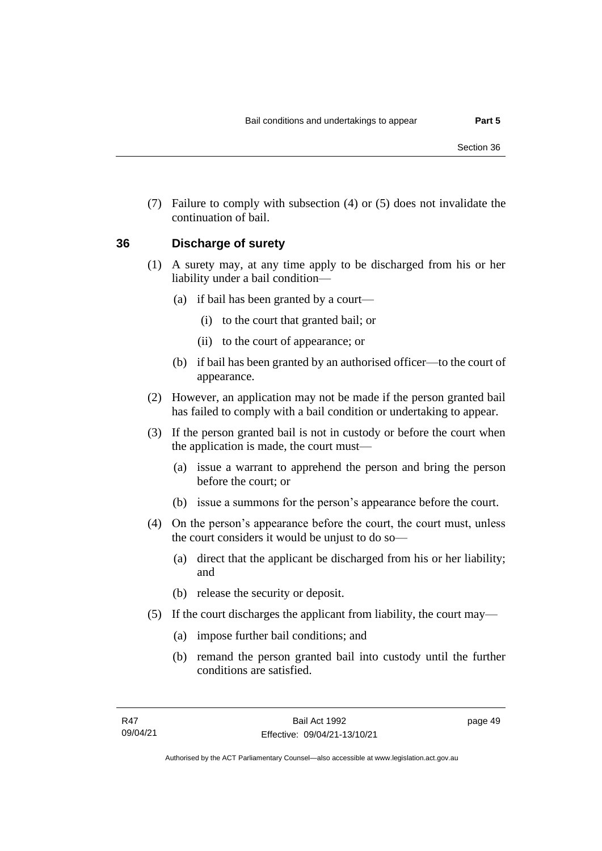(7) Failure to comply with subsection (4) or (5) does not invalidate the continuation of bail.

#### **36 Discharge of surety**

- (1) A surety may, at any time apply to be discharged from his or her liability under a bail condition—
	- (a) if bail has been granted by a court—
		- (i) to the court that granted bail; or
		- (ii) to the court of appearance; or
	- (b) if bail has been granted by an authorised officer—to the court of appearance.
- (2) However, an application may not be made if the person granted bail has failed to comply with a bail condition or undertaking to appear.
- (3) If the person granted bail is not in custody or before the court when the application is made, the court must—
	- (a) issue a warrant to apprehend the person and bring the person before the court; or
	- (b) issue a summons for the person's appearance before the court.
- (4) On the person's appearance before the court, the court must, unless the court considers it would be unjust to do so—
	- (a) direct that the applicant be discharged from his or her liability; and
	- (b) release the security or deposit.
- (5) If the court discharges the applicant from liability, the court may—
	- (a) impose further bail conditions; and
	- (b) remand the person granted bail into custody until the further conditions are satisfied.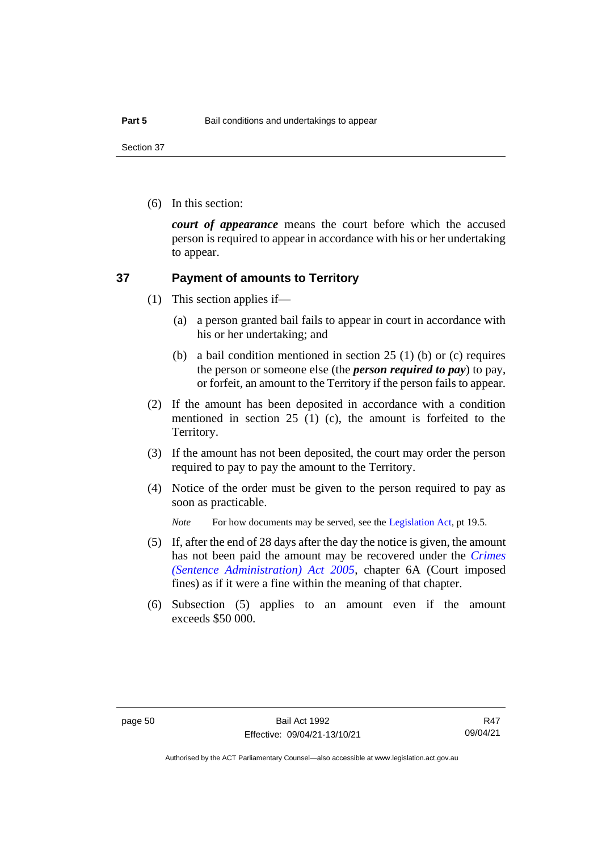Section 37

(6) In this section:

*court of appearance* means the court before which the accused person is required to appear in accordance with his or her undertaking to appear.

### **37 Payment of amounts to Territory**

- (1) This section applies if—
	- (a) a person granted bail fails to appear in court in accordance with his or her undertaking; and
	- (b) a bail condition mentioned in section 25 (1) (b) or (c) requires the person or someone else (the *person required to pay*) to pay, or forfeit, an amount to the Territory if the person fails to appear.
- (2) If the amount has been deposited in accordance with a condition mentioned in section 25 (1) (c), the amount is forfeited to the Territory.
- (3) If the amount has not been deposited, the court may order the person required to pay to pay the amount to the Territory.
- (4) Notice of the order must be given to the person required to pay as soon as practicable.

*Note* For how documents may be served, see th[e Legislation Act,](http://www.legislation.act.gov.au/a/2001-14) pt 19.5.

- (5) If, after the end of 28 days after the day the notice is given, the amount has not been paid the amount may be recovered under the *[Crimes](http://www.legislation.act.gov.au/a/2005-59)  [\(Sentence Administration\) Act 2005](http://www.legislation.act.gov.au/a/2005-59)*, chapter 6A (Court imposed fines) as if it were a fine within the meaning of that chapter.
- (6) Subsection (5) applies to an amount even if the amount exceeds \$50 000.

R47 09/04/21

Authorised by the ACT Parliamentary Counsel—also accessible at www.legislation.act.gov.au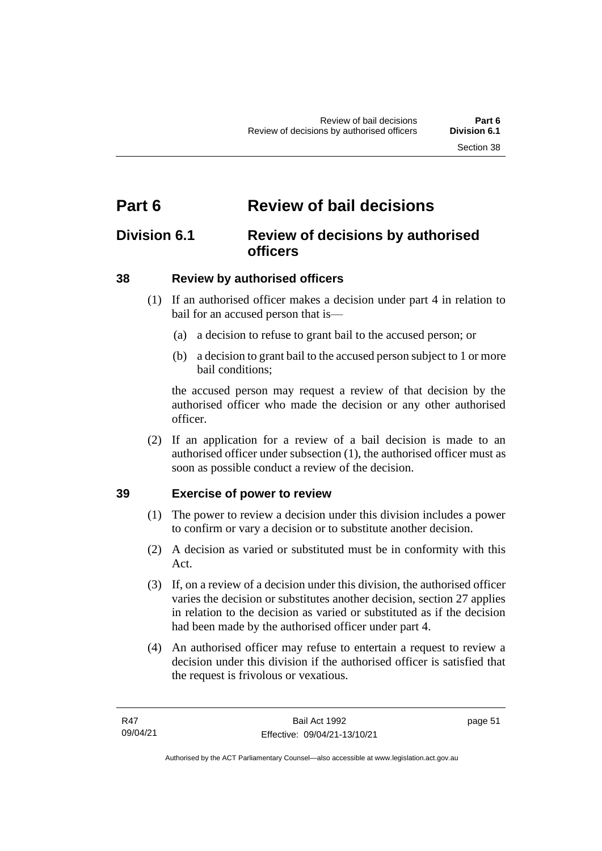# **Part 6 Review of bail decisions**

# **Division 6.1 Review of decisions by authorised officers**

# **38 Review by authorised officers**

- (1) If an authorised officer makes a decision under part 4 in relation to bail for an accused person that is—
	- (a) a decision to refuse to grant bail to the accused person; or
	- (b) a decision to grant bail to the accused person subject to 1 or more bail conditions;

the accused person may request a review of that decision by the authorised officer who made the decision or any other authorised officer.

(2) If an application for a review of a bail decision is made to an authorised officer under subsection (1), the authorised officer must as soon as possible conduct a review of the decision.

# **39 Exercise of power to review**

- (1) The power to review a decision under this division includes a power to confirm or vary a decision or to substitute another decision.
- (2) A decision as varied or substituted must be in conformity with this Act.
- (3) If, on a review of a decision under this division, the authorised officer varies the decision or substitutes another decision, section 27 applies in relation to the decision as varied or substituted as if the decision had been made by the authorised officer under part 4.
- (4) An authorised officer may refuse to entertain a request to review a decision under this division if the authorised officer is satisfied that the request is frivolous or vexatious.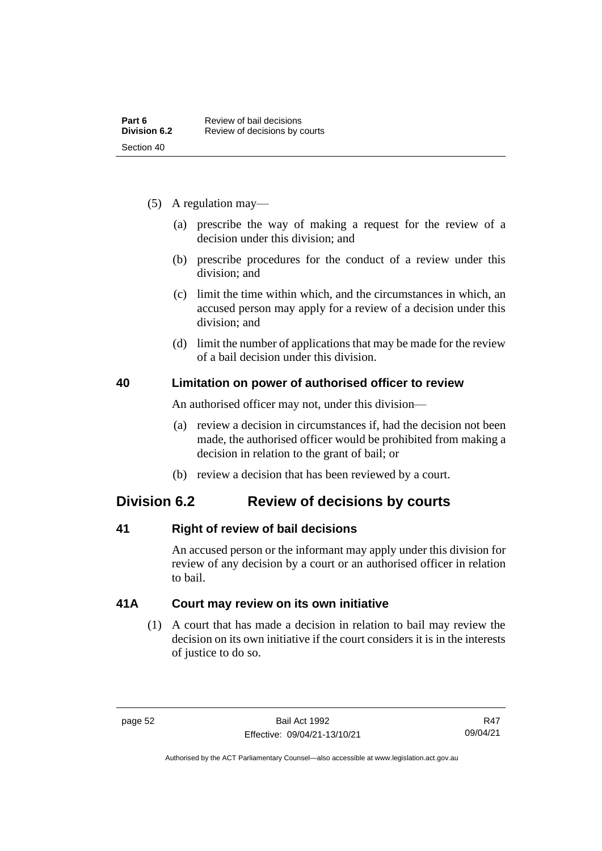- (5) A regulation may—
	- (a) prescribe the way of making a request for the review of a decision under this division; and
	- (b) prescribe procedures for the conduct of a review under this division; and
	- (c) limit the time within which, and the circumstances in which, an accused person may apply for a review of a decision under this division; and
	- (d) limit the number of applications that may be made for the review of a bail decision under this division.

### **40 Limitation on power of authorised officer to review**

An authorised officer may not, under this division—

- (a) review a decision in circumstances if, had the decision not been made, the authorised officer would be prohibited from making a decision in relation to the grant of bail; or
- (b) review a decision that has been reviewed by a court.

# **Division 6.2 Review of decisions by courts**

# **41 Right of review of bail decisions**

An accused person or the informant may apply under this division for review of any decision by a court or an authorised officer in relation to bail.

# **41A Court may review on its own initiative**

(1) A court that has made a decision in relation to bail may review the decision on its own initiative if the court considers it is in the interests of justice to do so.

Authorised by the ACT Parliamentary Counsel—also accessible at www.legislation.act.gov.au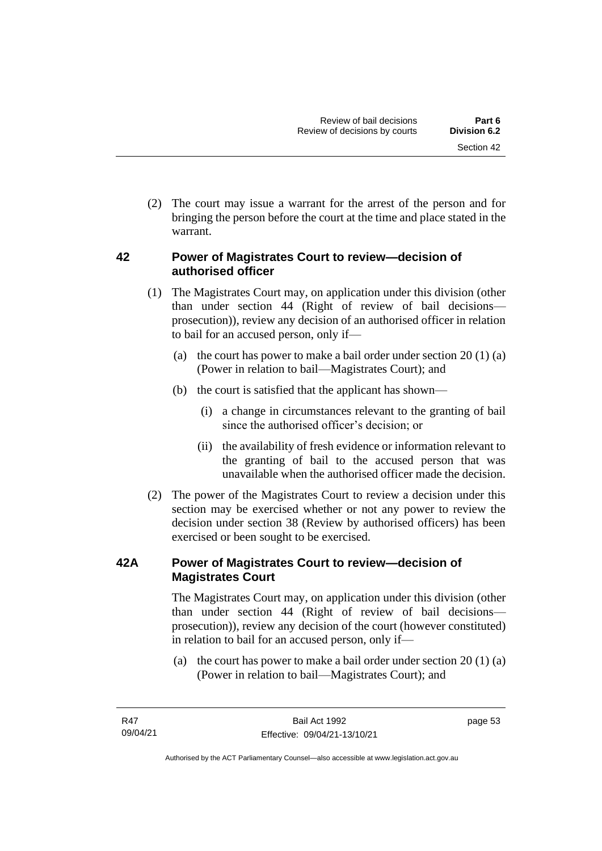(2) The court may issue a warrant for the arrest of the person and for bringing the person before the court at the time and place stated in the warrant.

# **42 Power of Magistrates Court to review—decision of authorised officer**

- (1) The Magistrates Court may, on application under this division (other than under section 44 (Right of review of bail decisions prosecution)), review any decision of an authorised officer in relation to bail for an accused person, only if—
	- (a) the court has power to make a bail order under section  $20(1)(a)$ (Power in relation to bail—Magistrates Court); and
	- (b) the court is satisfied that the applicant has shown—
		- (i) a change in circumstances relevant to the granting of bail since the authorised officer's decision; or
		- (ii) the availability of fresh evidence or information relevant to the granting of bail to the accused person that was unavailable when the authorised officer made the decision.
- (2) The power of the Magistrates Court to review a decision under this section may be exercised whether or not any power to review the decision under section 38 (Review by authorised officers) has been exercised or been sought to be exercised.

# **42A Power of Magistrates Court to review—decision of Magistrates Court**

The Magistrates Court may, on application under this division (other than under section 44 (Right of review of bail decisions prosecution)), review any decision of the court (however constituted) in relation to bail for an accused person, only if—

(a) the court has power to make a bail order under section 20 (1) (a) (Power in relation to bail—Magistrates Court); and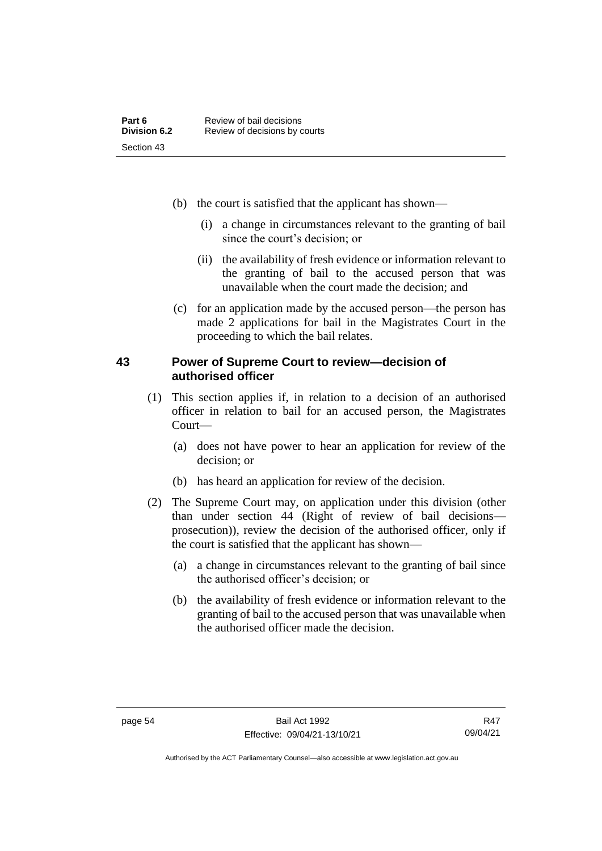- (b) the court is satisfied that the applicant has shown—
	- (i) a change in circumstances relevant to the granting of bail since the court's decision; or
	- (ii) the availability of fresh evidence or information relevant to the granting of bail to the accused person that was unavailable when the court made the decision; and
- (c) for an application made by the accused person—the person has made 2 applications for bail in the Magistrates Court in the proceeding to which the bail relates.

### **43 Power of Supreme Court to review—decision of authorised officer**

- (1) This section applies if, in relation to a decision of an authorised officer in relation to bail for an accused person, the Magistrates Court—
	- (a) does not have power to hear an application for review of the decision; or
	- (b) has heard an application for review of the decision.
- (2) The Supreme Court may, on application under this division (other than under section 44 (Right of review of bail decisions prosecution)), review the decision of the authorised officer, only if the court is satisfied that the applicant has shown—
	- (a) a change in circumstances relevant to the granting of bail since the authorised officer's decision; or
	- (b) the availability of fresh evidence or information relevant to the granting of bail to the accused person that was unavailable when the authorised officer made the decision.

Authorised by the ACT Parliamentary Counsel—also accessible at www.legislation.act.gov.au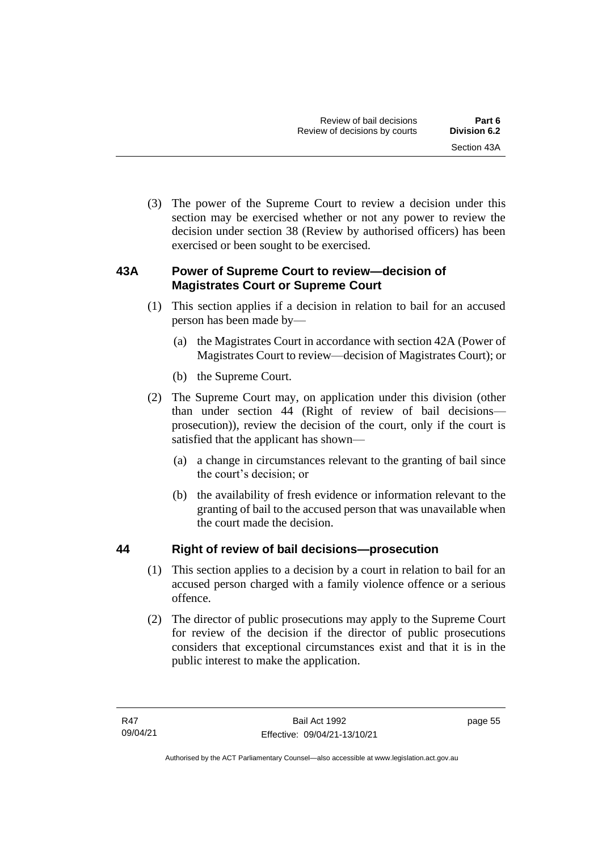(3) The power of the Supreme Court to review a decision under this section may be exercised whether or not any power to review the decision under section 38 (Review by authorised officers) has been exercised or been sought to be exercised.

# **43A Power of Supreme Court to review—decision of Magistrates Court or Supreme Court**

- (1) This section applies if a decision in relation to bail for an accused person has been made by—
	- (a) the Magistrates Court in accordance with section 42A (Power of Magistrates Court to review—decision of Magistrates Court); or
	- (b) the Supreme Court.
- (2) The Supreme Court may, on application under this division (other than under section 44 (Right of review of bail decisions prosecution)), review the decision of the court, only if the court is satisfied that the applicant has shown—
	- (a) a change in circumstances relevant to the granting of bail since the court's decision; or
	- (b) the availability of fresh evidence or information relevant to the granting of bail to the accused person that was unavailable when the court made the decision.

# **44 Right of review of bail decisions—prosecution**

- (1) This section applies to a decision by a court in relation to bail for an accused person charged with a family violence offence or a serious offence.
- (2) The director of public prosecutions may apply to the Supreme Court for review of the decision if the director of public prosecutions considers that exceptional circumstances exist and that it is in the public interest to make the application.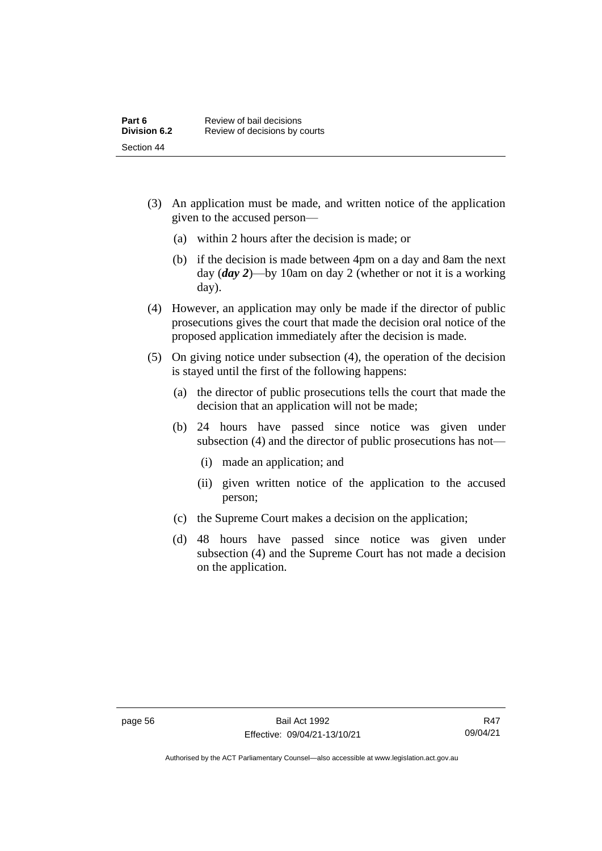- (3) An application must be made, and written notice of the application given to the accused person—
	- (a) within 2 hours after the decision is made; or
	- (b) if the decision is made between 4pm on a day and 8am the next day (*day 2*)—by 10am on day 2 (whether or not it is a working day).
- (4) However, an application may only be made if the director of public prosecutions gives the court that made the decision oral notice of the proposed application immediately after the decision is made.
- (5) On giving notice under subsection (4), the operation of the decision is stayed until the first of the following happens:
	- (a) the director of public prosecutions tells the court that made the decision that an application will not be made;
	- (b) 24 hours have passed since notice was given under subsection (4) and the director of public prosecutions has not—
		- (i) made an application; and
		- (ii) given written notice of the application to the accused person;
	- (c) the Supreme Court makes a decision on the application;
	- (d) 48 hours have passed since notice was given under subsection (4) and the Supreme Court has not made a decision on the application.

Authorised by the ACT Parliamentary Counsel—also accessible at www.legislation.act.gov.au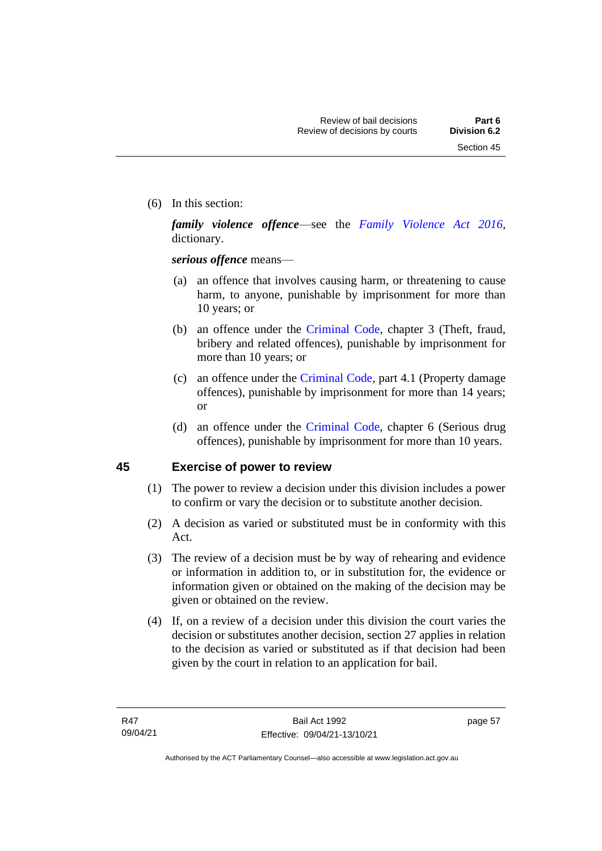(6) In this section:

*family violence offence*—see the *[Family Violence Act 2016](http://www.legislation.act.gov.au/a/2016-42)*, dictionary.

*serious offence* means—

- (a) an offence that involves causing harm, or threatening to cause harm, to anyone, punishable by imprisonment for more than 10 years; or
- (b) an offence under the [Criminal Code,](http://www.legislation.act.gov.au/a/2002-51) chapter 3 (Theft, fraud, bribery and related offences), punishable by imprisonment for more than 10 years; or
- (c) an offence under the [Criminal Code,](http://www.legislation.act.gov.au/a/2002-51) part 4.1 (Property damage offences), punishable by imprisonment for more than 14 years; or
- (d) an offence under the [Criminal Code,](http://www.legislation.act.gov.au/a/2002-51) chapter 6 (Serious drug offences), punishable by imprisonment for more than 10 years.

# **45 Exercise of power to review**

- (1) The power to review a decision under this division includes a power to confirm or vary the decision or to substitute another decision.
- (2) A decision as varied or substituted must be in conformity with this Act.
- (3) The review of a decision must be by way of rehearing and evidence or information in addition to, or in substitution for, the evidence or information given or obtained on the making of the decision may be given or obtained on the review.
- (4) If, on a review of a decision under this division the court varies the decision or substitutes another decision, section 27 applies in relation to the decision as varied or substituted as if that decision had been given by the court in relation to an application for bail.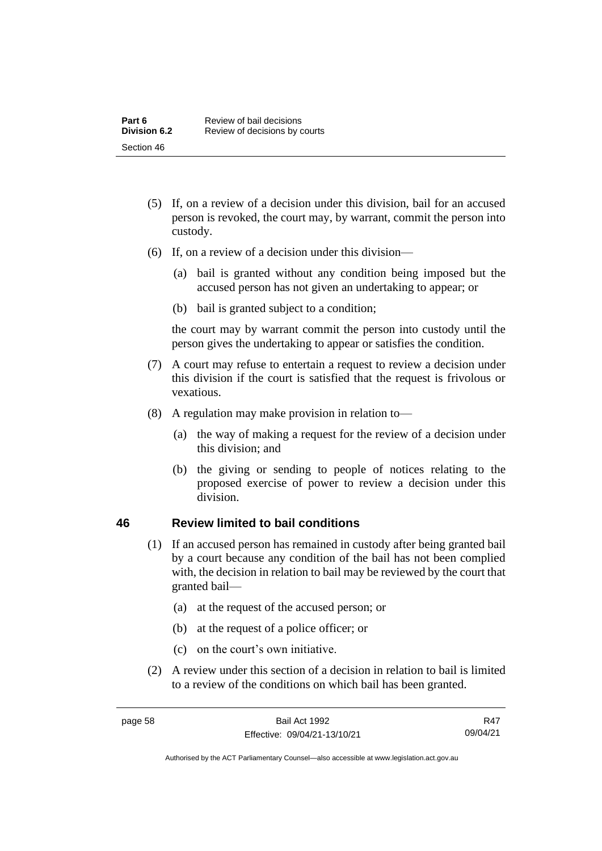- (5) If, on a review of a decision under this division, bail for an accused person is revoked, the court may, by warrant, commit the person into custody.
- (6) If, on a review of a decision under this division—
	- (a) bail is granted without any condition being imposed but the accused person has not given an undertaking to appear; or
	- (b) bail is granted subject to a condition;

the court may by warrant commit the person into custody until the person gives the undertaking to appear or satisfies the condition.

- (7) A court may refuse to entertain a request to review a decision under this division if the court is satisfied that the request is frivolous or vexatious.
- (8) A regulation may make provision in relation to—
	- (a) the way of making a request for the review of a decision under this division; and
	- (b) the giving or sending to people of notices relating to the proposed exercise of power to review a decision under this division.

### **46 Review limited to bail conditions**

- (1) If an accused person has remained in custody after being granted bail by a court because any condition of the bail has not been complied with, the decision in relation to bail may be reviewed by the court that granted bail—
	- (a) at the request of the accused person; or
	- (b) at the request of a police officer; or
	- (c) on the court's own initiative.
- (2) A review under this section of a decision in relation to bail is limited to a review of the conditions on which bail has been granted.

R47 09/04/21

Authorised by the ACT Parliamentary Counsel—also accessible at www.legislation.act.gov.au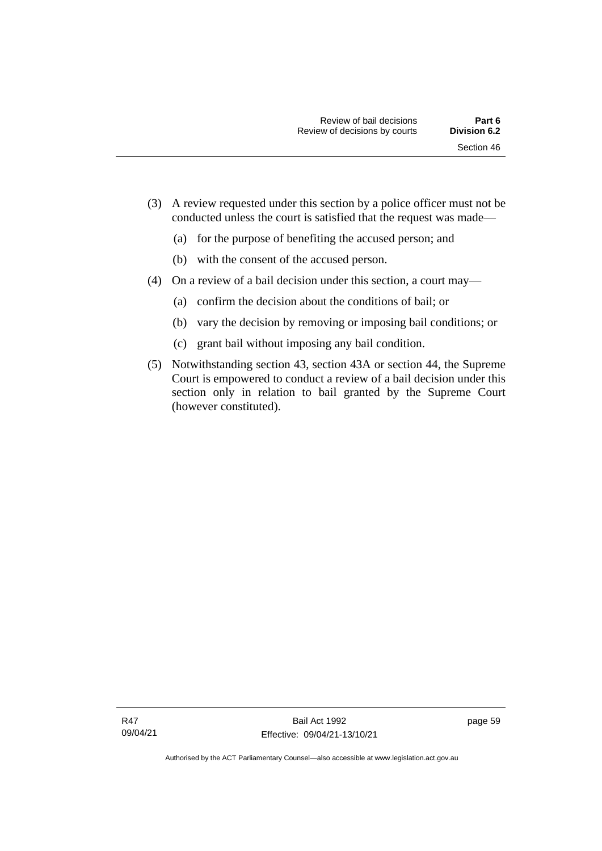- (3) A review requested under this section by a police officer must not be conducted unless the court is satisfied that the request was made—
	- (a) for the purpose of benefiting the accused person; and
	- (b) with the consent of the accused person.
- (4) On a review of a bail decision under this section, a court may—
	- (a) confirm the decision about the conditions of bail; or
	- (b) vary the decision by removing or imposing bail conditions; or
	- (c) grant bail without imposing any bail condition.
- (5) Notwithstanding section 43, section 43A or section 44, the Supreme Court is empowered to conduct a review of a bail decision under this section only in relation to bail granted by the Supreme Court (however constituted).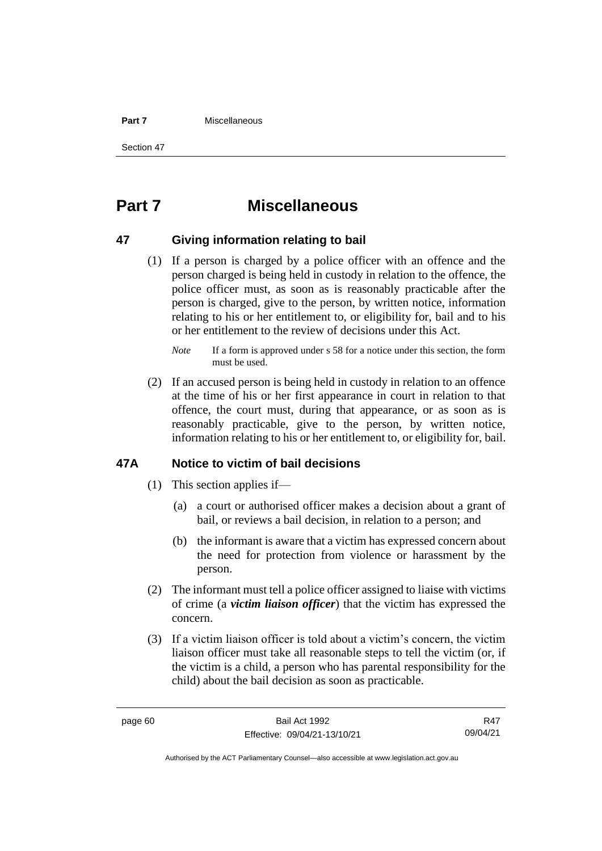#### **Part 7** Miscellaneous

Section 47

# **Part 7 Miscellaneous**

### **47 Giving information relating to bail**

(1) If a person is charged by a police officer with an offence and the person charged is being held in custody in relation to the offence, the police officer must, as soon as is reasonably practicable after the person is charged, give to the person, by written notice, information relating to his or her entitlement to, or eligibility for, bail and to his or her entitlement to the review of decisions under this Act.

(2) If an accused person is being held in custody in relation to an offence at the time of his or her first appearance in court in relation to that offence, the court must, during that appearance, or as soon as is reasonably practicable, give to the person, by written notice, information relating to his or her entitlement to, or eligibility for, bail.

### **47A Notice to victim of bail decisions**

- (1) This section applies if—
	- (a) a court or authorised officer makes a decision about a grant of bail, or reviews a bail decision, in relation to a person; and
	- (b) the informant is aware that a victim has expressed concern about the need for protection from violence or harassment by the person.
- (2) The informant must tell a police officer assigned to liaise with victims of crime (a *victim liaison officer*) that the victim has expressed the concern.
- (3) If a victim liaison officer is told about a victim's concern, the victim liaison officer must take all reasonable steps to tell the victim (or, if the victim is a child, a person who has parental responsibility for the child) about the bail decision as soon as practicable.

R47 09/04/21

*Note* If a form is approved under s 58 for a notice under this section, the form must be used.

Authorised by the ACT Parliamentary Counsel—also accessible at www.legislation.act.gov.au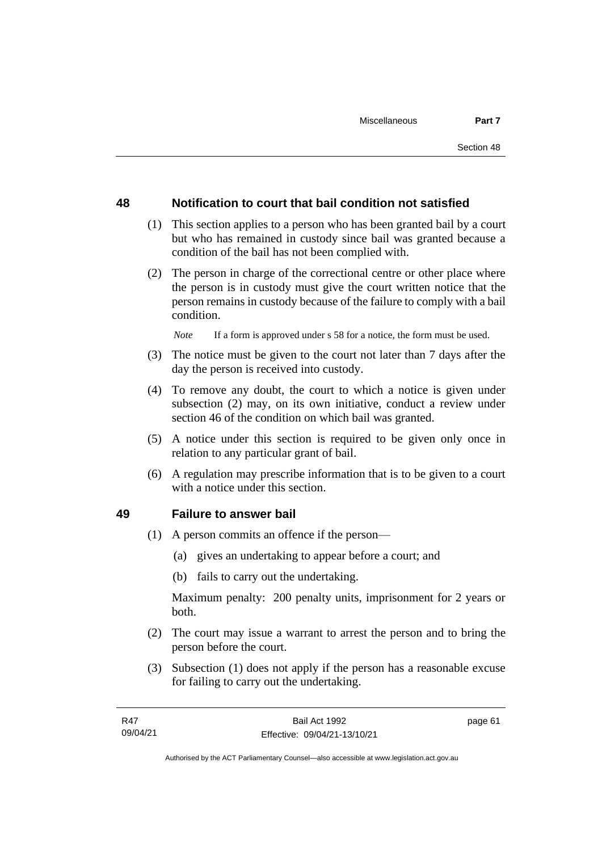### **48 Notification to court that bail condition not satisfied**

- (1) This section applies to a person who has been granted bail by a court but who has remained in custody since bail was granted because a condition of the bail has not been complied with.
- (2) The person in charge of the correctional centre or other place where the person is in custody must give the court written notice that the person remains in custody because of the failure to comply with a bail condition.

*Note* If a form is approved under s 58 for a notice, the form must be used.

- (3) The notice must be given to the court not later than 7 days after the day the person is received into custody.
- (4) To remove any doubt, the court to which a notice is given under subsection (2) may, on its own initiative, conduct a review under section 46 of the condition on which bail was granted.
- (5) A notice under this section is required to be given only once in relation to any particular grant of bail.
- (6) A regulation may prescribe information that is to be given to a court with a notice under this section.

### **49 Failure to answer bail**

- (1) A person commits an offence if the person—
	- (a) gives an undertaking to appear before a court; and
	- (b) fails to carry out the undertaking.

Maximum penalty: 200 penalty units, imprisonment for 2 years or both.

- (2) The court may issue a warrant to arrest the person and to bring the person before the court.
- (3) Subsection (1) does not apply if the person has a reasonable excuse for failing to carry out the undertaking.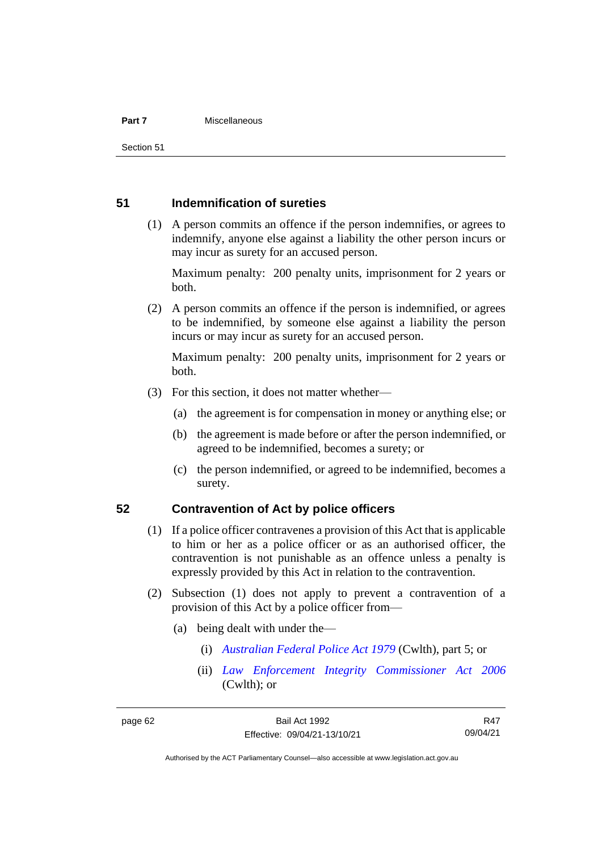#### **Part 7** Miscellaneous

Section 51

### **51 Indemnification of sureties**

(1) A person commits an offence if the person indemnifies, or agrees to indemnify, anyone else against a liability the other person incurs or may incur as surety for an accused person.

Maximum penalty: 200 penalty units, imprisonment for 2 years or both.

(2) A person commits an offence if the person is indemnified, or agrees to be indemnified, by someone else against a liability the person incurs or may incur as surety for an accused person.

Maximum penalty: 200 penalty units, imprisonment for 2 years or both.

- (3) For this section, it does not matter whether—
	- (a) the agreement is for compensation in money or anything else; or
	- (b) the agreement is made before or after the person indemnified, or agreed to be indemnified, becomes a surety; or
	- (c) the person indemnified, or agreed to be indemnified, becomes a surety.

### **52 Contravention of Act by police officers**

- (1) If a police officer contravenes a provision of this Act that is applicable to him or her as a police officer or as an authorised officer, the contravention is not punishable as an offence unless a penalty is expressly provided by this Act in relation to the contravention.
- (2) Subsection (1) does not apply to prevent a contravention of a provision of this Act by a police officer from—
	- (a) being dealt with under the—
		- (i) *[Australian Federal Police Act 1979](http://www.comlaw.gov.au/Series/C2004A02068)* (Cwlth), part 5; or
		- (ii) *[Law Enforcement Integrity Commissioner Act 2006](http://www.comlaw.gov.au/Series/C2006A00085)* (Cwlth); or

R47 09/04/21

Authorised by the ACT Parliamentary Counsel—also accessible at www.legislation.act.gov.au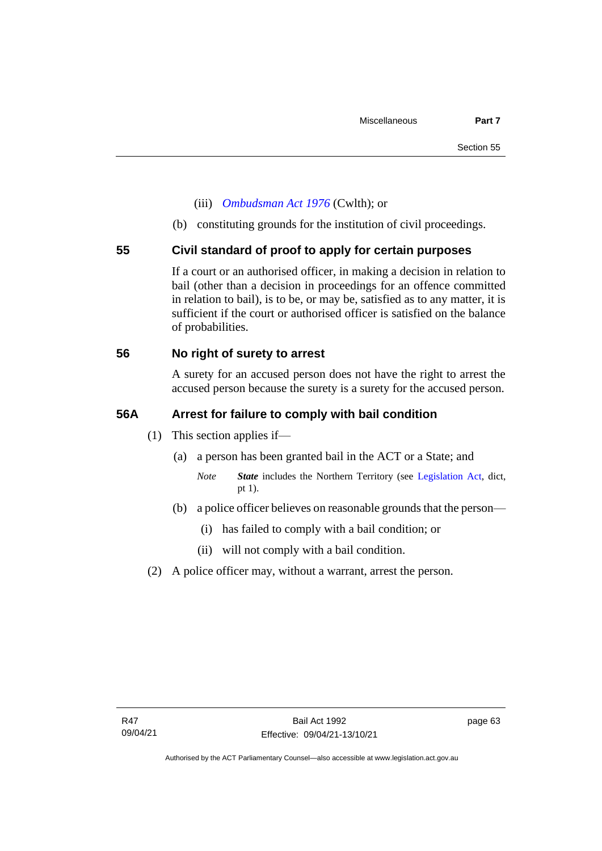- (iii) *[Ombudsman Act 1976](http://www.comlaw.gov.au/Series/C2004A01611)* (Cwlth); or
- (b) constituting grounds for the institution of civil proceedings.

### **55 Civil standard of proof to apply for certain purposes**

If a court or an authorised officer, in making a decision in relation to bail (other than a decision in proceedings for an offence committed in relation to bail), is to be, or may be, satisfied as to any matter, it is sufficient if the court or authorised officer is satisfied on the balance of probabilities.

### **56 No right of surety to arrest**

A surety for an accused person does not have the right to arrest the accused person because the surety is a surety for the accused person.

### **56A Arrest for failure to comply with bail condition**

- (1) This section applies if—
	- (a) a person has been granted bail in the ACT or a State; and
		- *Note State* includes the Northern Territory (see [Legislation Act,](http://www.legislation.act.gov.au/a/2001-14) dict, pt 1).
	- (b) a police officer believes on reasonable grounds that the person—
		- (i) has failed to comply with a bail condition; or
		- (ii) will not comply with a bail condition.
- (2) A police officer may, without a warrant, arrest the person.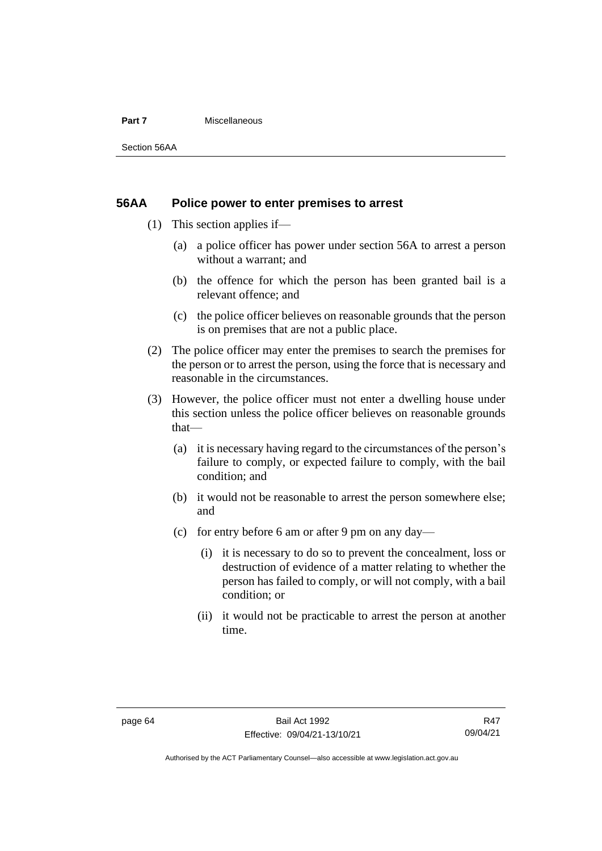#### **Part 7** Miscellaneous

Section 56AA

### **56AA Police power to enter premises to arrest**

- (1) This section applies if—
	- (a) a police officer has power under section 56A to arrest a person without a warrant; and
	- (b) the offence for which the person has been granted bail is a relevant offence; and
	- (c) the police officer believes on reasonable grounds that the person is on premises that are not a public place.
- (2) The police officer may enter the premises to search the premises for the person or to arrest the person, using the force that is necessary and reasonable in the circumstances.
- (3) However, the police officer must not enter a dwelling house under this section unless the police officer believes on reasonable grounds that—
	- (a) it is necessary having regard to the circumstances of the person's failure to comply, or expected failure to comply, with the bail condition; and
	- (b) it would not be reasonable to arrest the person somewhere else; and
	- (c) for entry before 6 am or after 9 pm on any day—
		- (i) it is necessary to do so to prevent the concealment, loss or destruction of evidence of a matter relating to whether the person has failed to comply, or will not comply, with a bail condition; or
		- (ii) it would not be practicable to arrest the person at another time.

Authorised by the ACT Parliamentary Counsel—also accessible at www.legislation.act.gov.au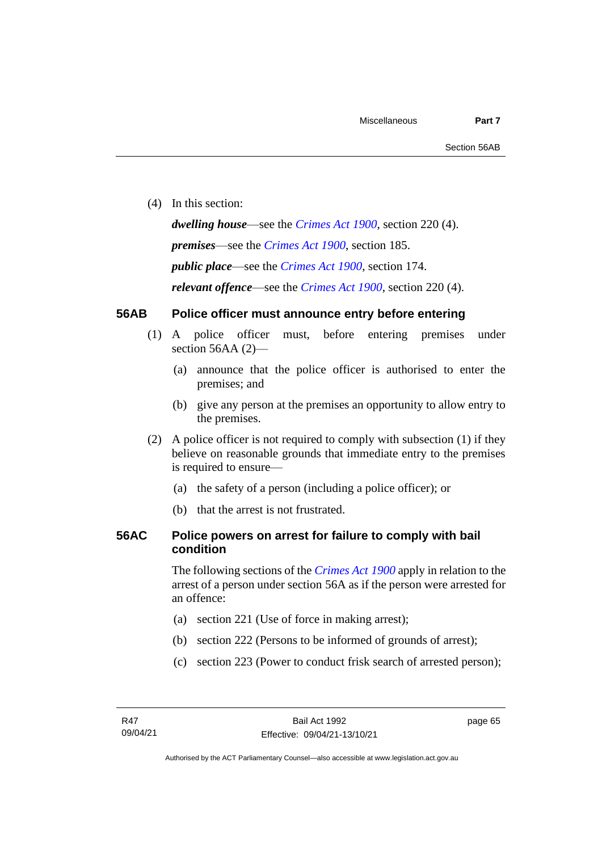(4) In this section:

*dwelling house*—see the *[Crimes Act](http://www.legislation.act.gov.au/a/1900-40) 1900*, section 220 (4). *premises*—see the *[Crimes Act](http://www.legislation.act.gov.au/a/1900-40) 1900*, section 185. *public place*—see the *[Crimes Act](http://www.legislation.act.gov.au/a/1900-40) 1900*, section 174. *relevant offence*—see the *[Crimes Act 1900](http://www.legislation.act.gov.au/a/1900-40)*, section 220 (4).

# **56AB Police officer must announce entry before entering**

- (1) A police officer must, before entering premises under section 56AA (2)-
	- (a) announce that the police officer is authorised to enter the premises; and
	- (b) give any person at the premises an opportunity to allow entry to the premises.
- (2) A police officer is not required to comply with subsection (1) if they believe on reasonable grounds that immediate entry to the premises is required to ensure—
	- (a) the safety of a person (including a police officer); or
	- (b) that the arrest is not frustrated.

# **56AC Police powers on arrest for failure to comply with bail condition**

The following sections of the *[Crimes Act](http://www.legislation.act.gov.au/a/1900-40) 1900* apply in relation to the arrest of a person under section 56A as if the person were arrested for an offence:

- (a) section 221 (Use of force in making arrest);
- (b) section 222 (Persons to be informed of grounds of arrest);
- (c) section 223 (Power to conduct frisk search of arrested person);

page 65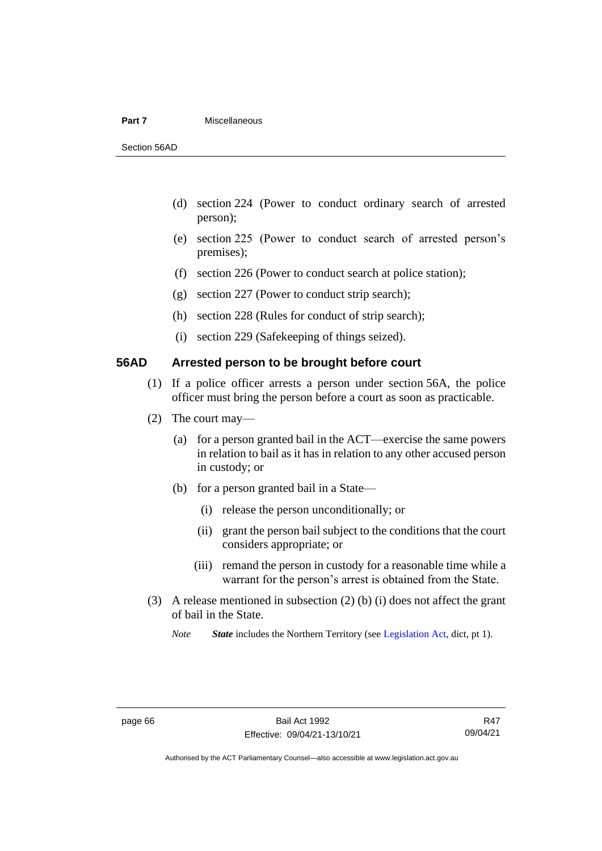#### **Part 7** Miscellaneous

Section 56AD

- (d) section 224 (Power to conduct ordinary search of arrested person);
- (e) section 225 (Power to conduct search of arrested person's premises);
- (f) section 226 (Power to conduct search at police station);
- (g) section 227 (Power to conduct strip search);
- (h) section 228 (Rules for conduct of strip search);
- (i) section 229 (Safekeeping of things seized).

# **56AD Arrested person to be brought before court**

- (1) If a police officer arrests a person under section 56A, the police officer must bring the person before a court as soon as practicable.
- (2) The court may—
	- (a) for a person granted bail in the ACT—exercise the same powers in relation to bail as it has in relation to any other accused person in custody; or
	- (b) for a person granted bail in a State—
		- (i) release the person unconditionally; or
		- (ii) grant the person bail subject to the conditions that the court considers appropriate; or
		- (iii) remand the person in custody for a reasonable time while a warrant for the person's arrest is obtained from the State.
- (3) A release mentioned in subsection (2) (b) (i) does not affect the grant of bail in the State.

*Note State* includes the Northern Territory (see [Legislation Act,](http://www.legislation.act.gov.au/a/2001-14) dict, pt 1).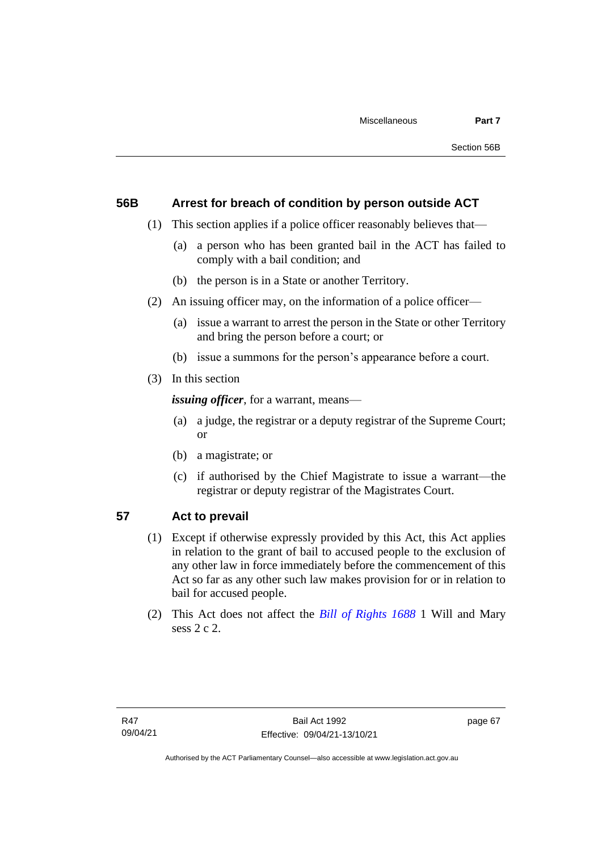# **56B Arrest for breach of condition by person outside ACT**

- (1) This section applies if a police officer reasonably believes that—
	- (a) a person who has been granted bail in the ACT has failed to comply with a bail condition; and
	- (b) the person is in a State or another Territory.
- (2) An issuing officer may, on the information of a police officer—
	- (a) issue a warrant to arrest the person in the State or other Territory and bring the person before a court; or
	- (b) issue a summons for the person's appearance before a court.
- (3) In this section

*issuing officer*, for a warrant, means—

- (a) a judge, the registrar or a deputy registrar of the Supreme Court; or
- (b) a magistrate; or
- (c) if authorised by the Chief Magistrate to issue a warrant—the registrar or deputy registrar of the Magistrates Court.

# **57 Act to prevail**

- (1) Except if otherwise expressly provided by this Act, this Act applies in relation to the grant of bail to accused people to the exclusion of any other law in force immediately before the commencement of this Act so far as any other such law makes provision for or in relation to bail for accused people.
- (2) This Act does not affect the *[Bill of Rights 1688](http://www.legislation.act.gov.au/a/db_1792/default.asp)* 1 Will and Mary sess 2 c 2.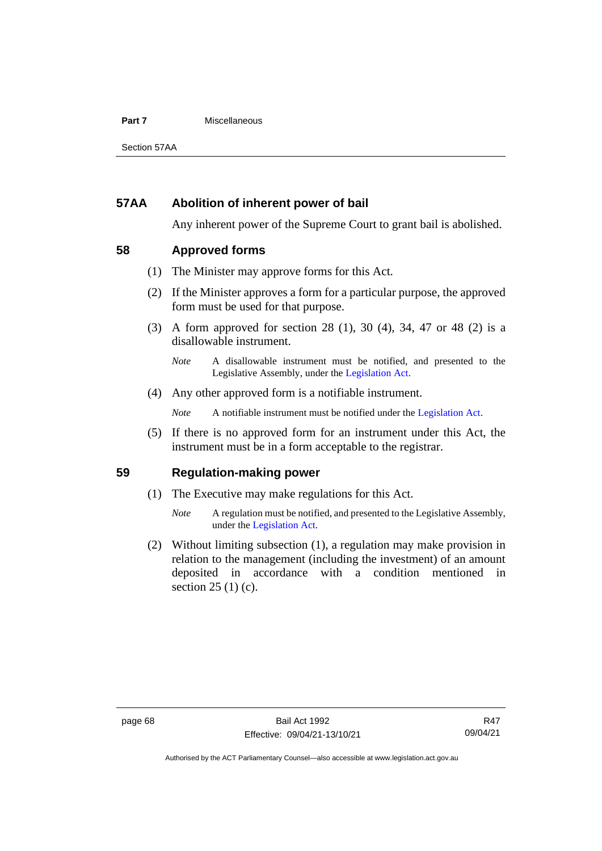### **Part 7** Miscellaneous

Section 57AA

# **57AA Abolition of inherent power of bail**

Any inherent power of the Supreme Court to grant bail is abolished.

# **58 Approved forms**

- (1) The Minister may approve forms for this Act.
- (2) If the Minister approves a form for a particular purpose, the approved form must be used for that purpose.
- (3) A form approved for section 28 (1), 30 (4), 34, 47 or 48 (2) is a disallowable instrument.

(4) Any other approved form is a notifiable instrument.

*Note* A notifiable instrument must be notified under the [Legislation Act.](http://www.legislation.act.gov.au/a/2001-14)

(5) If there is no approved form for an instrument under this Act, the instrument must be in a form acceptable to the registrar.

# **59 Regulation-making power**

- (1) The Executive may make regulations for this Act.
	- *Note* A regulation must be notified, and presented to the Legislative Assembly, under the [Legislation Act.](http://www.legislation.act.gov.au/a/2001-14)
- (2) Without limiting subsection (1), a regulation may make provision in relation to the management (including the investment) of an amount deposited in accordance with a condition mentioned in section 25 (1) (c).

*Note* A disallowable instrument must be notified, and presented to the Legislative Assembly, under the [Legislation Act.](http://www.legislation.act.gov.au/a/2001-14)

Authorised by the ACT Parliamentary Counsel—also accessible at www.legislation.act.gov.au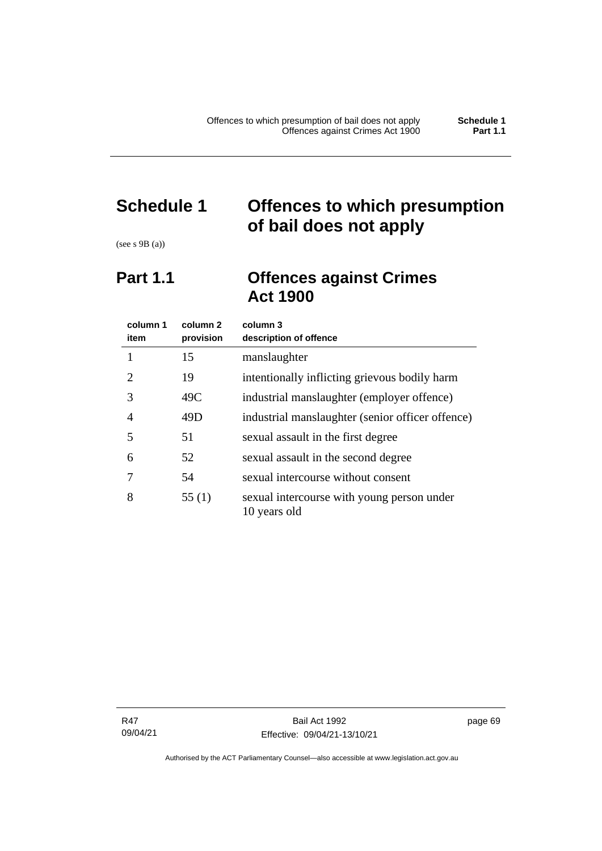# **Schedule 1 Offences to which presumption of bail does not apply**

(see s 9B (a))

# **Part 1.1 Offences against Crimes Act 1900**

| column 1<br>item | column 2<br>provision | column 3<br>description of offence                         |  |
|------------------|-----------------------|------------------------------------------------------------|--|
|                  | 15                    | manslaughter                                               |  |
| 2                | 19                    | intentionally inflicting grievous bodily harm              |  |
| 3                | 49C                   | industrial manslaughter (employer offence)                 |  |
| 4                | 49D                   | industrial manslaughter (senior officer offence)           |  |
| 5                | 51                    | sexual assault in the first degree                         |  |
| 6                | 52                    | sexual assault in the second degree                        |  |
|                  | 54                    | sexual intercourse without consent                         |  |
| 8                | 55(1)                 | sexual intercourse with young person under<br>10 years old |  |

page 69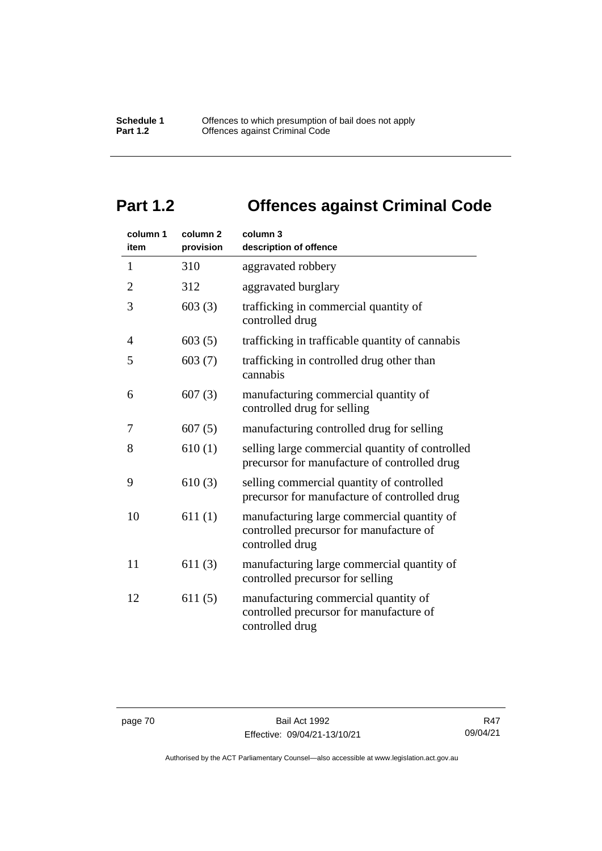# **Part 1.2 Offences against Criminal Code**

| column 1<br>item | column <sub>2</sub><br>provision | column 3<br>description of offence                                                                       |
|------------------|----------------------------------|----------------------------------------------------------------------------------------------------------|
| $\mathbf{1}$     | 310                              | aggravated robbery                                                                                       |
| $\overline{2}$   | 312                              | aggravated burglary                                                                                      |
| 3                | 603(3)                           | trafficking in commercial quantity of<br>controlled drug                                                 |
| 4                | 603(5)                           | trafficking in trafficable quantity of cannabis                                                          |
| 5                | 603(7)                           | trafficking in controlled drug other than<br>cannabis                                                    |
| 6                | 607(3)                           | manufacturing commercial quantity of<br>controlled drug for selling                                      |
| 7                | 607(5)                           | manufacturing controlled drug for selling                                                                |
| 8                | 610(1)                           | selling large commercial quantity of controlled<br>precursor for manufacture of controlled drug          |
| 9                | 610(3)                           | selling commercial quantity of controlled<br>precursor for manufacture of controlled drug                |
| 10               | 611(1)                           | manufacturing large commercial quantity of<br>controlled precursor for manufacture of<br>controlled drug |
| 11               | 611(3)                           | manufacturing large commercial quantity of<br>controlled precursor for selling                           |
| 12               | 611(5)                           | manufacturing commercial quantity of<br>controlled precursor for manufacture of<br>controlled drug       |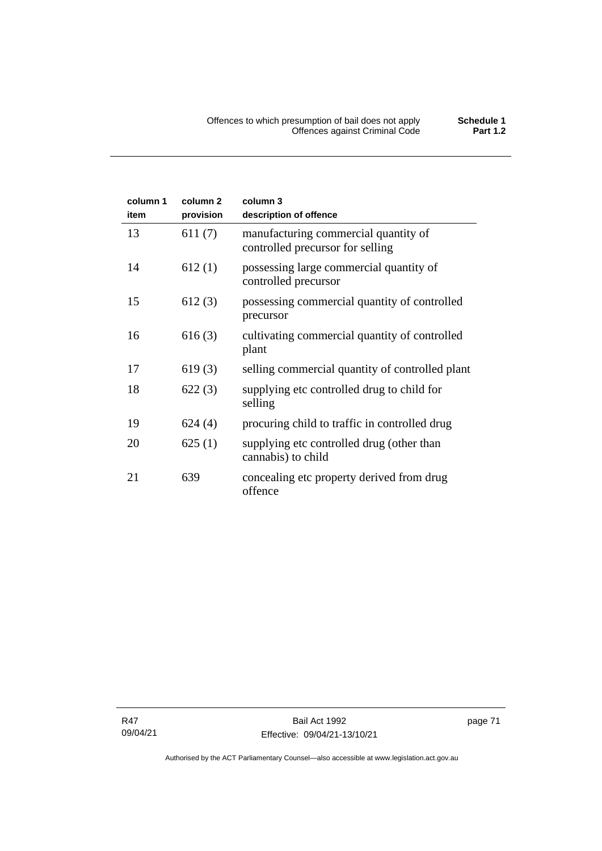| column 1<br>item | column <sub>2</sub><br>provision | column 3<br>description of offence                                       |
|------------------|----------------------------------|--------------------------------------------------------------------------|
| 13               | 611(7)                           | manufacturing commercial quantity of<br>controlled precursor for selling |
| 14               | 612(1)                           | possessing large commercial quantity of<br>controlled precursor          |
| 15               | 612(3)                           | possessing commercial quantity of controlled<br>precursor                |
| 16               | 616(3)                           | cultivating commercial quantity of controlled<br>plant                   |
| 17               | 619(3)                           | selling commercial quantity of controlled plant                          |
| 18               | 622(3)                           | supplying etc controlled drug to child for<br>selling                    |
| 19               | 624(4)                           | procuring child to traffic in controlled drug                            |
| 20               | 625(1)                           | supplying etc controlled drug (other than<br>cannabis) to child          |
| 21               | 639                              | concealing etc property derived from drug<br>offence                     |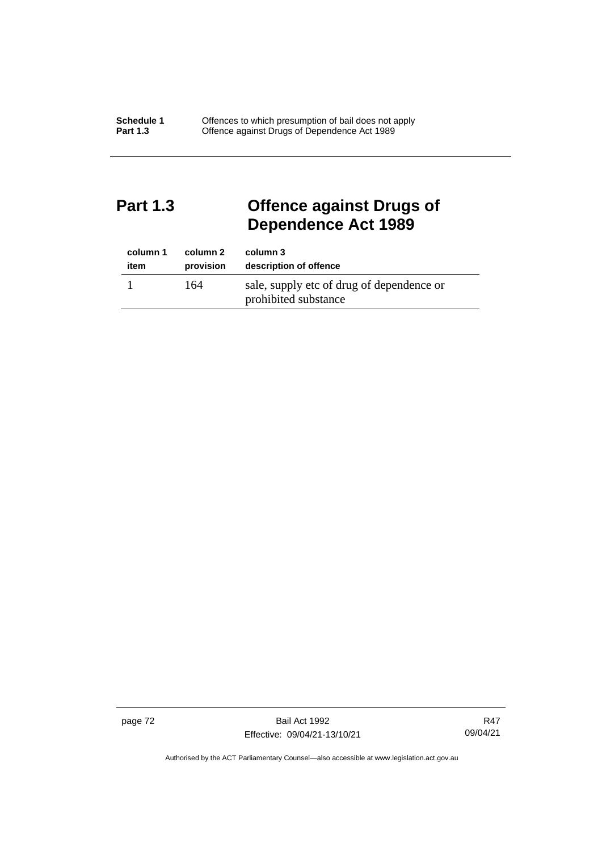# **Part 1.3 Offence against Drugs of Dependence Act 1989**

| column 1 | column 2  | column 3                                                          |
|----------|-----------|-------------------------------------------------------------------|
| item     | provision | description of offence                                            |
|          | 164       | sale, supply etc of drug of dependence or<br>prohibited substance |

page 72 Bail Act 1992 Effective: 09/04/21-13/10/21

R47 09/04/21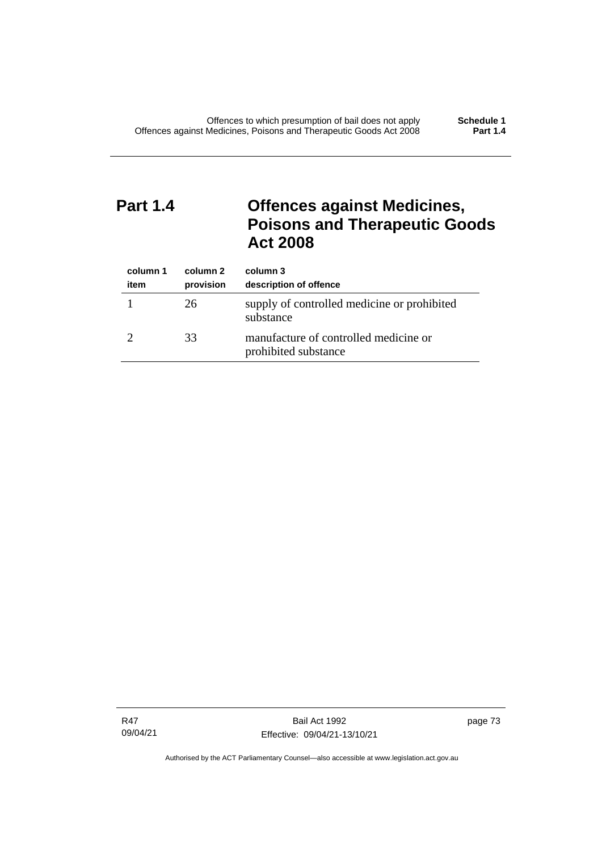# **Part 1.4 Offences against Medicines, Poisons and Therapeutic Goods Act 2008**

| column 1<br>item | column 2<br>provision | column 3<br>description of offence                            |
|------------------|-----------------------|---------------------------------------------------------------|
|                  | 26                    | supply of controlled medicine or prohibited<br>substance      |
|                  | 33                    | manufacture of controlled medicine or<br>prohibited substance |

R47 09/04/21

Bail Act 1992 Effective: 09/04/21-13/10/21 page 73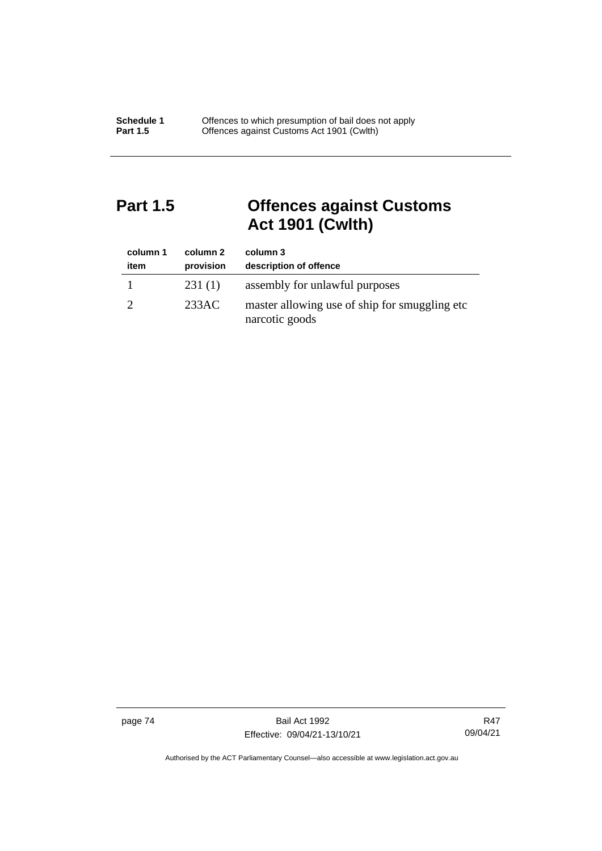# **Part 1.5 Offences against Customs Act 1901 (Cwlth)**

| column 1<br>item | column 2<br>provision | column 3<br>description of offence                               |
|------------------|-----------------------|------------------------------------------------------------------|
|                  | 231(1)                | assembly for unlawful purposes                                   |
|                  | 233AC                 | master allowing use of ship for smuggling etc.<br>narcotic goods |

page 74 Bail Act 1992 Effective: 09/04/21-13/10/21

R47 09/04/21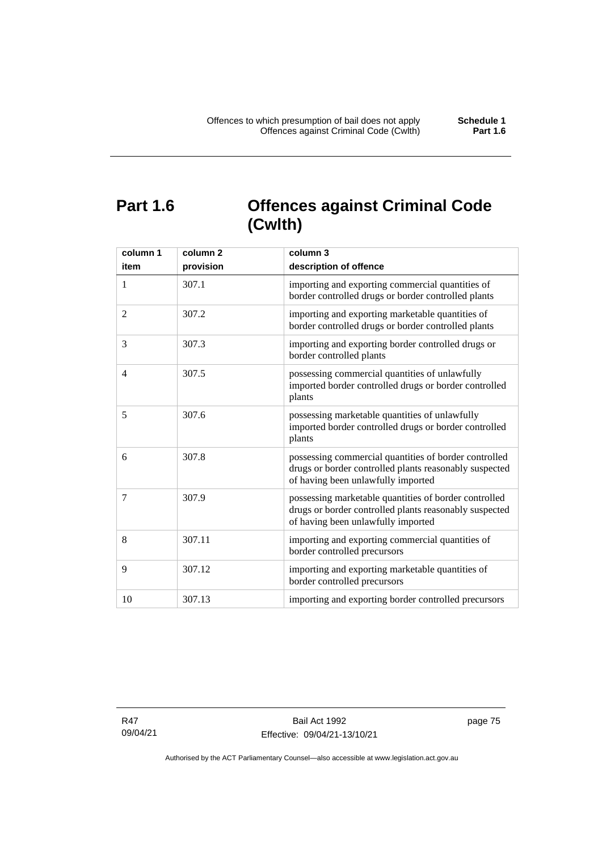# **Part 1.6 Offences against Criminal Code (Cwlth)**

| column 1<br>item | column <sub>2</sub><br>provision | column 3<br>description of offence                                                                                                                    |
|------------------|----------------------------------|-------------------------------------------------------------------------------------------------------------------------------------------------------|
| $\mathbf{1}$     | 307.1                            | importing and exporting commercial quantities of<br>border controlled drugs or border controlled plants                                               |
| 2                | 307.2                            | importing and exporting marketable quantities of<br>border controlled drugs or border controlled plants                                               |
| 3                | 307.3                            | importing and exporting border controlled drugs or<br>border controlled plants                                                                        |
| $\overline{4}$   | 307.5                            | possessing commercial quantities of unlawfully<br>imported border controlled drugs or border controlled<br>plants                                     |
| 5                | 307.6                            | possessing marketable quantities of unlawfully<br>imported border controlled drugs or border controlled<br>plants                                     |
| 6                | 307.8                            | possessing commercial quantities of border controlled<br>drugs or border controlled plants reasonably suspected<br>of having been unlawfully imported |
| 7                | 307.9                            | possessing marketable quantities of border controlled<br>drugs or border controlled plants reasonably suspected<br>of having been unlawfully imported |
| 8                | 307.11                           | importing and exporting commercial quantities of<br>border controlled precursors                                                                      |
| 9                | 307.12                           | importing and exporting marketable quantities of<br>border controlled precursors                                                                      |
| 10               | 307.13                           | importing and exporting border controlled precursors                                                                                                  |

R47 09/04/21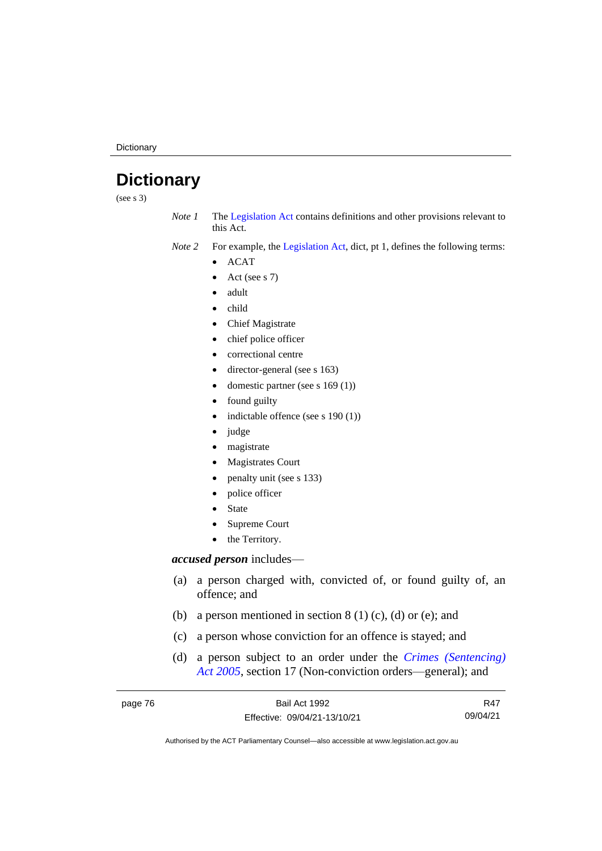**Dictionary** 

# **Dictionary**

(see s 3)

*Note 1* The [Legislation Act](http://www.legislation.act.gov.au/a/2001-14) contains definitions and other provisions relevant to this Act.

*Note 2* For example, the [Legislation Act,](http://www.legislation.act.gov.au/a/2001-14) dict, pt 1, defines the following terms:

- ACAT
- Act (see s 7)
- adult
- child
- Chief Magistrate
- chief police officer
- correctional centre
- director-general (see s 163)
- domestic partner (see s 169 (1))
- found guilty
- indictable offence (see s 190 (1))
- judge
- magistrate
- Magistrates Court
- penalty unit (see s 133)
- police officer
- **State**
- Supreme Court
- the Territory.

# *accused person* includes—

- (a) a person charged with, convicted of, or found guilty of, an offence; and
- (b) a person mentioned in section  $8(1)(c)$ , (d) or (e); and
- (c) a person whose conviction for an offence is stayed; and
- (d) a person subject to an order under the *[Crimes \(Sentencing\)](http://www.legislation.act.gov.au/a/2005-58)  Act [2005](http://www.legislation.act.gov.au/a/2005-58)*, section 17 (Non-conviction orders—general); and

| page 76 | Bail Act 1992                | R47      |
|---------|------------------------------|----------|
|         | Effective: 09/04/21-13/10/21 | 09/04/21 |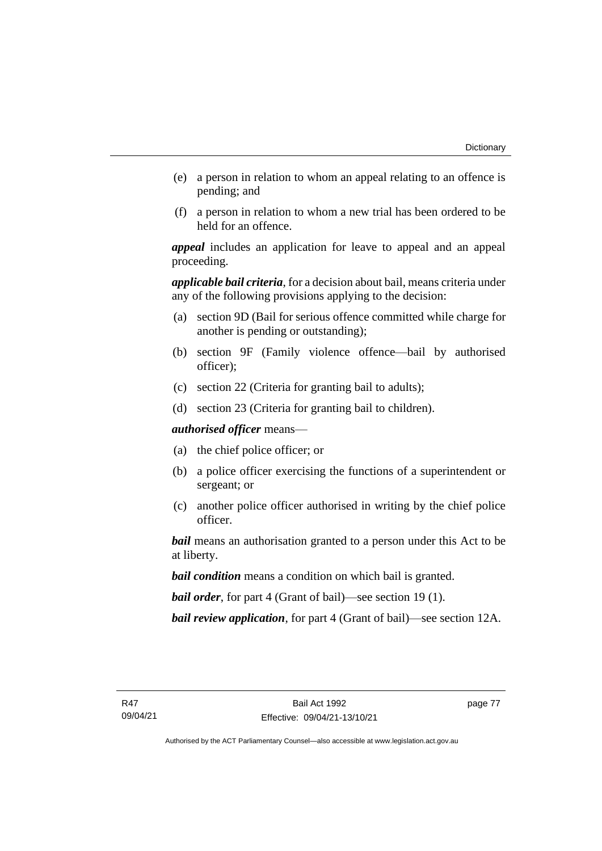- (e) a person in relation to whom an appeal relating to an offence is pending; and
- (f) a person in relation to whom a new trial has been ordered to be held for an offence.

*appeal* includes an application for leave to appeal and an appeal proceeding.

*applicable bail criteria*, for a decision about bail, means criteria under any of the following provisions applying to the decision:

- (a) section 9D (Bail for serious offence committed while charge for another is pending or outstanding);
- (b) section 9F (Family violence offence—bail by authorised officer);
- (c) section 22 (Criteria for granting bail to adults);
- (d) section 23 (Criteria for granting bail to children).

*authorised officer* means—

- (a) the chief police officer; or
- (b) a police officer exercising the functions of a superintendent or sergeant; or
- (c) another police officer authorised in writing by the chief police officer.

*bail* means an authorisation granted to a person under this Act to be at liberty.

*bail condition* means a condition on which bail is granted.

*bail order*, for part 4 (Grant of bail)—see section 19 (1).

*bail review application*, for part 4 (Grant of bail)—see section 12A.

page 77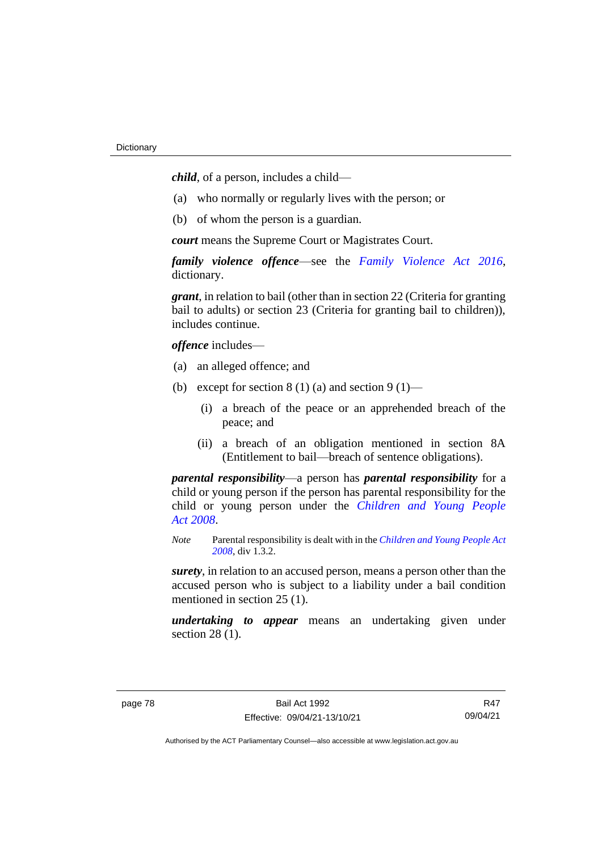*child*, of a person, includes a child—

- (a) who normally or regularly lives with the person; or
- (b) of whom the person is a guardian.

*court* means the Supreme Court or Magistrates Court.

*family violence offence*—see the *Family [Violence Act 2016](http://www.legislation.act.gov.au/a/2016-42)*, dictionary.

*grant*, in relation to bail (other than in section 22 (Criteria for granting bail to adults) or section 23 (Criteria for granting bail to children)), includes continue.

*offence* includes—

- (a) an alleged offence; and
- (b) except for section  $8(1)(a)$  and section  $9(1)$ 
	- (i) a breach of the peace or an apprehended breach of the peace; and
	- (ii) a breach of an obligation mentioned in section 8A (Entitlement to bail—breach of sentence obligations).

*parental responsibility*—a person has *parental responsibility* for a child or young person if the person has parental responsibility for the child or young person under the *[Children and Young People](http://www.legislation.act.gov.au/a/2008-19)  Act [2008](http://www.legislation.act.gov.au/a/2008-19)*.

*Note* Parental responsibility is dealt with in the *[Children and Young People Act](http://www.legislation.act.gov.au/a/2008-19)  [2008](http://www.legislation.act.gov.au/a/2008-19)*, div 1.3.2.

*surety*, in relation to an accused person, means a person other than the accused person who is subject to a liability under a bail condition mentioned in section 25 (1).

*undertaking to appear* means an undertaking given under section 28 (1).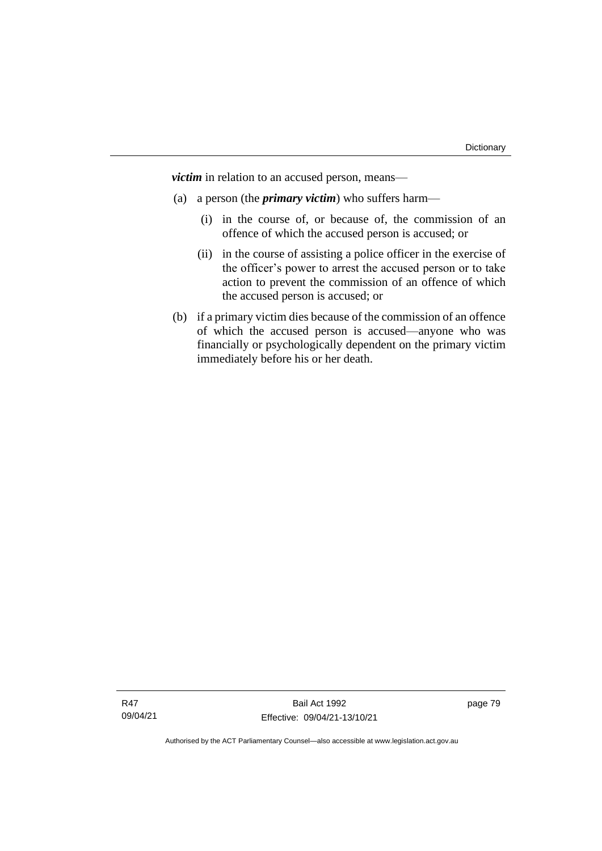*victim* in relation to an accused person, means—

- (a) a person (the *primary victim*) who suffers harm—
	- (i) in the course of, or because of, the commission of an offence of which the accused person is accused; or
	- (ii) in the course of assisting a police officer in the exercise of the officer's power to arrest the accused person or to take action to prevent the commission of an offence of which the accused person is accused; or
- (b) if a primary victim dies because of the commission of an offence of which the accused person is accused—anyone who was financially or psychologically dependent on the primary victim immediately before his or her death.

page 79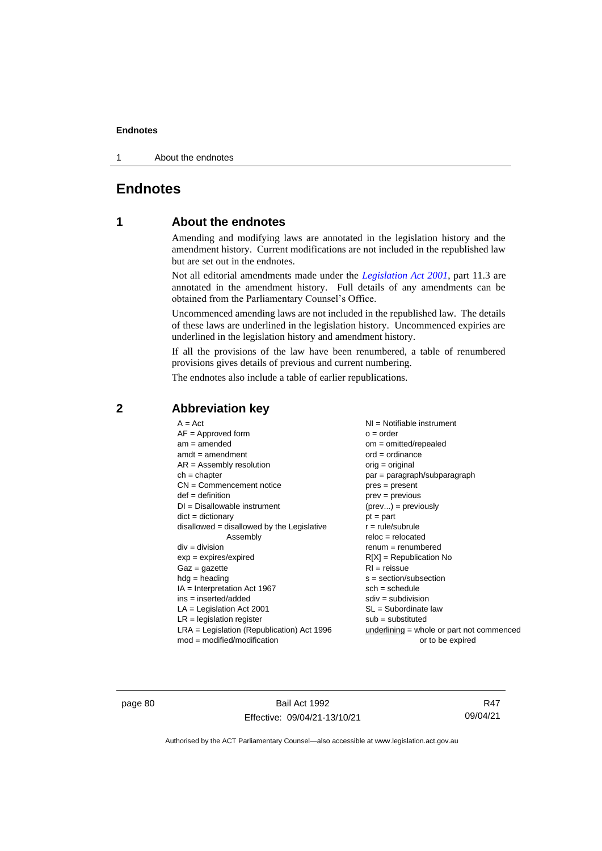1 About the endnotes

# **Endnotes**

# **1 About the endnotes**

Amending and modifying laws are annotated in the legislation history and the amendment history. Current modifications are not included in the republished law but are set out in the endnotes.

Not all editorial amendments made under the *[Legislation Act 2001](http://www.legislation.act.gov.au/a/2001-14)*, part 11.3 are annotated in the amendment history. Full details of any amendments can be obtained from the Parliamentary Counsel's Office.

Uncommenced amending laws are not included in the republished law. The details of these laws are underlined in the legislation history. Uncommenced expiries are underlined in the legislation history and amendment history.

If all the provisions of the law have been renumbered, a table of renumbered provisions gives details of previous and current numbering.

The endnotes also include a table of earlier republications.

| $A = Act$                                    | $NI =$ Notifiable instrument                |
|----------------------------------------------|---------------------------------------------|
|                                              |                                             |
| $AF =$ Approved form                         | $o = order$                                 |
| $am = amended$                               | $om = omitted/repealed$                     |
| $amdt = amendment$                           | $ord = ordinance$                           |
| $AR = Assembly resolution$                   | $orig = original$                           |
| $ch = chapter$                               | par = paragraph/subparagraph                |
| $CN =$ Commencement notice                   | $pres = present$                            |
| $def = definition$                           | $prev = previous$                           |
| $DI = Disallowable instrument$               | $(\text{prev}) = \text{previously}$         |
| $dict = dictionary$                          | $pt = part$                                 |
| $disallowed = disallowed by the Legislative$ | $r = rule/subrule$                          |
| Assembly                                     | $reloc = relocated$                         |
| $div = division$                             | $renum = renumbered$                        |
| $exp = expires/expired$                      | $R[X]$ = Republication No                   |
| $Gaz = gazette$                              | $RI = reissue$                              |
| $h dq =$ heading                             | $s = section/subsection$                    |
| $IA = Interpretation Act 1967$               | $sch = schedule$                            |
| ins = inserted/added                         | $sdiv = subdivision$                        |
| $LA =$ Legislation Act 2001                  | $SL = Subordinate$ law                      |
| $LR =$ legislation register                  | $sub =$ substituted                         |
| $LRA =$ Legislation (Republication) Act 1996 | $underlining = whole or part not commenced$ |
| $mod = modified/modification$                | or to be expired                            |
|                                              |                                             |

# **2 Abbreviation key**

page 80 Bail Act 1992 Effective: 09/04/21-13/10/21

R47 09/04/21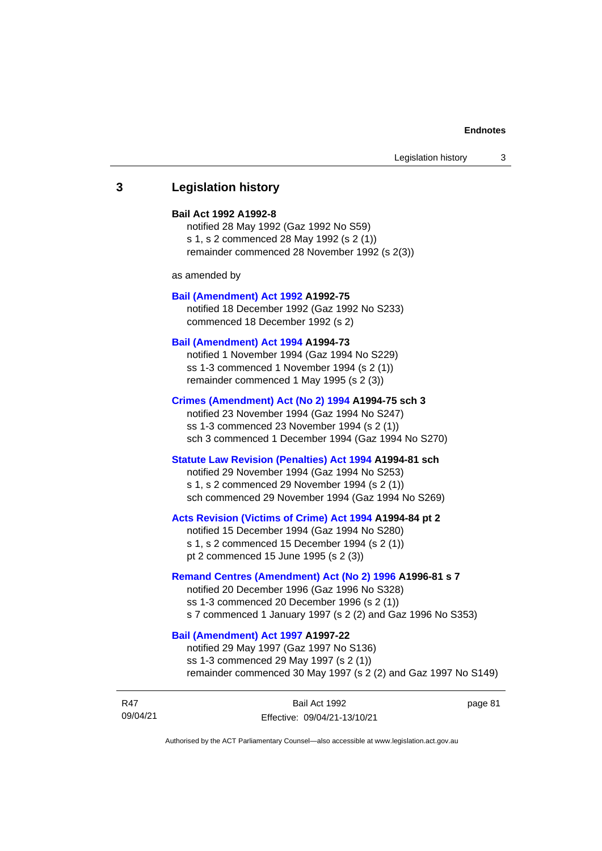# **3 Legislation history**

### **Bail Act 1992 A1992-8**

notified 28 May 1992 (Gaz 1992 No S59) s 1, s 2 commenced 28 May 1992 (s 2 (1)) remainder commenced 28 November 1992 (s 2(3))

as amended by

### **[Bail \(Amendment\) Act 1992](http://www.legislation.act.gov.au/a/1992-75) A1992-75**

notified 18 December 1992 (Gaz 1992 No S233) commenced 18 December 1992 (s 2)

#### **[Bail \(Amendment\) Act 1994](http://www.legislation.act.gov.au/a/1994-73) A1994-73**

notified 1 November 1994 (Gaz 1994 No S229) ss 1-3 commenced 1 November 1994 (s 2 (1)) remainder commenced 1 May 1995 (s 2 (3))

#### **[Crimes \(Amendment\) Act \(No 2\) 1994](http://www.legislation.act.gov.au/a/1994-75) A1994-75 sch 3**

notified 23 November 1994 (Gaz 1994 No S247) ss 1-3 commenced 23 November 1994 (s 2 (1)) sch 3 commenced 1 December 1994 (Gaz 1994 No S270)

### **[Statute Law Revision \(Penalties\) Act 1994](http://www.legislation.act.gov.au/a/1994-81) A1994-81 sch**

notified 29 November 1994 (Gaz 1994 No S253) s 1, s 2 commenced 29 November 1994 (s 2 (1)) sch commenced 29 November 1994 (Gaz 1994 No S269)

### **[Acts Revision \(Victims of Crime\) Act 1994](http://www.legislation.act.gov.au/a/1994-84) A1994-84 pt 2**

notified 15 December 1994 (Gaz 1994 No S280) s 1, s 2 commenced 15 December 1994 (s 2 (1)) pt 2 commenced 15 June 1995 (s 2 (3))

### **[Remand Centres \(Amendment\) Act \(No 2\) 1996](http://www.legislation.act.gov.au/a/1996-81) A1996-81 s 7**

notified 20 December 1996 (Gaz 1996 No S328) ss 1-3 commenced 20 December 1996 (s 2 (1)) s 7 commenced 1 January 1997 (s 2 (2) and Gaz 1996 No S353)

# **[Bail \(Amendment\) Act 1997](http://www.legislation.act.gov.au/a/1997-22) A1997-22**

notified 29 May 1997 (Gaz 1997 No S136) ss 1-3 commenced 29 May 1997 (s 2 (1)) remainder commenced 30 May 1997 (s 2 (2) and Gaz 1997 No S149)

| R47      | Bail Act 1992                | page 81 |
|----------|------------------------------|---------|
| 09/04/21 | Effective: 09/04/21-13/10/21 |         |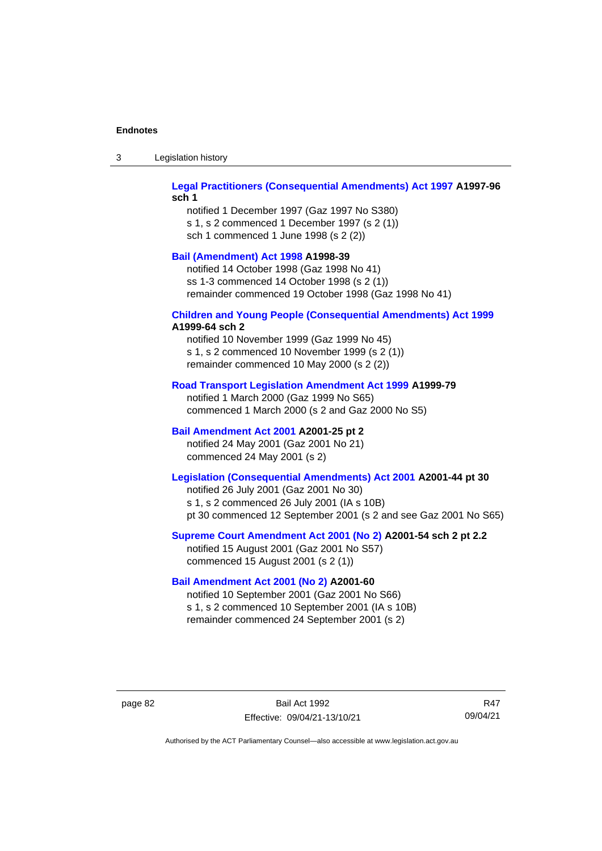| Legislation history<br>-3 |  |
|---------------------------|--|
|---------------------------|--|

## **[Legal Practitioners \(Consequential Amendments\) Act 1997](http://www.legislation.act.gov.au/a/1997-96) A1997-96 sch 1**

notified 1 December 1997 (Gaz 1997 No S380) s 1, s 2 commenced 1 December 1997 (s 2 (1)) sch 1 commenced 1 June 1998 (s 2 (2))

# **[Bail \(Amendment\) Act 1998](http://www.legislation.act.gov.au/a/1998-39) A1998-39**

notified 14 October 1998 (Gaz 1998 No 41) ss 1-3 commenced 14 October 1998 (s 2 (1)) remainder commenced 19 October 1998 (Gaz 1998 No 41)

# **[Children and Young People \(Consequential Amendments\) Act 1999](http://www.legislation.act.gov.au/a/1999-64)**

# **A1999-64 sch 2**

notified 10 November 1999 (Gaz 1999 No 45) s 1, s 2 commenced 10 November 1999 (s 2 (1)) remainder commenced 10 May 2000 (s 2 (2))

### **[Road Transport Legislation Amendment Act 1999](http://www.legislation.act.gov.au/a/1999-79) A1999-79**

notified 1 March 2000 (Gaz 1999 No S65) commenced 1 March 2000 (s 2 and Gaz 2000 No S5)

# **[Bail Amendment Act 2001](http://www.legislation.act.gov.au/a/2001-25) A2001-25 pt 2**

notified 24 May 2001 (Gaz 2001 No 21) commenced 24 May 2001 (s 2)

# **[Legislation \(Consequential Amendments\) Act 2001](http://www.legislation.act.gov.au/a/2001-44) A2001-44 pt 30**

notified 26 July 2001 (Gaz 2001 No 30) s 1, s 2 commenced 26 July 2001 (IA s 10B) pt 30 commenced 12 September 2001 (s 2 and see Gaz 2001 No S65)

## **[Supreme Court Amendment Act 2001 \(No 2\)](http://www.legislation.act.gov.au/a/2001-54) A2001-54 sch 2 pt 2.2**

notified 15 August 2001 (Gaz 2001 No S57) commenced 15 August 2001 (s 2 (1))

## **[Bail Amendment Act 2001 \(No 2\)](http://www.legislation.act.gov.au/a/2001-60) A2001-60**

notified 10 September 2001 (Gaz 2001 No S66) s 1, s 2 commenced 10 September 2001 (IA s 10B) remainder commenced 24 September 2001 (s 2)

page 82 Bail Act 1992 Effective: 09/04/21-13/10/21

R47 09/04/21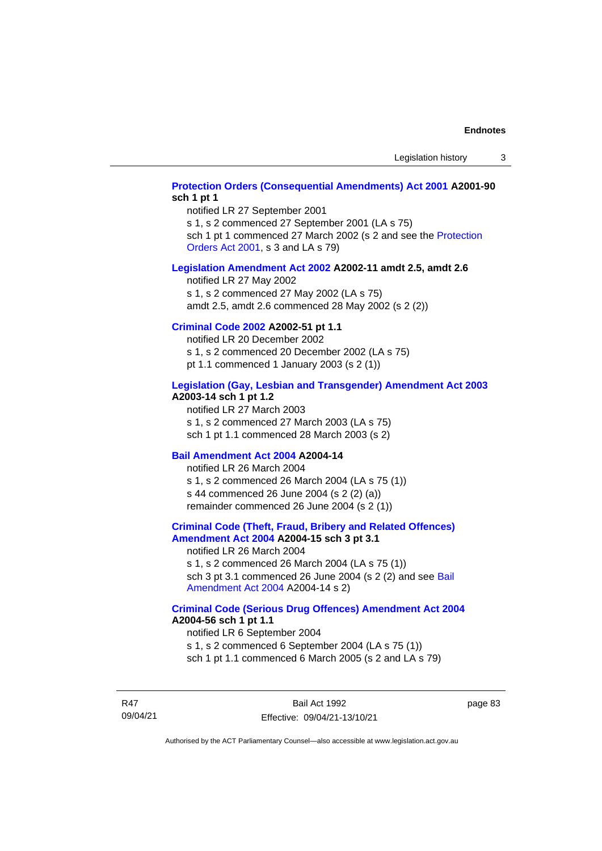# **[Protection Orders \(Consequential Amendments\) Act 2001](http://www.legislation.act.gov.au/a/2001-90) A2001-90 sch 1 pt 1**

notified LR 27 September 2001

s 1, s 2 commenced 27 September 2001 (LA s 75)

sch 1 pt 1 commenced 27 March 2002 (s 2 and see the Protection [Orders Act 2001,](http://www.legislation.act.gov.au/a/2001-89) s 3 and LA s 79)

#### **[Legislation Amendment Act 2002](http://www.legislation.act.gov.au/a/2002-11) A2002-11 amdt 2.5, amdt 2.6**

notified LR 27 May 2002 s 1, s 2 commenced 27 May 2002 (LA s 75) amdt 2.5, amdt 2.6 commenced 28 May 2002 (s 2 (2))

# **[Criminal Code 2002](http://www.legislation.act.gov.au/a/2002-51) A2002-51 pt 1.1**

notified LR 20 December 2002 s 1, s 2 commenced 20 December 2002 (LA s 75) pt 1.1 commenced 1 January 2003 (s 2 (1))

#### **[Legislation \(Gay, Lesbian and Transgender\) Amendment Act 2003](http://www.legislation.act.gov.au/a/2003-14) A2003-14 sch 1 pt 1.2**

notified LR 27 March 2003 s 1, s 2 commenced 27 March 2003 (LA s 75) sch 1 pt 1.1 commenced 28 March 2003 (s 2)

### **[Bail Amendment Act 2004](http://www.legislation.act.gov.au/a/2004-14) A2004-14**

notified LR 26 March 2004 s 1, s 2 commenced 26 March 2004 (LA s 75 (1)) s 44 commenced 26 June 2004 (s 2 (2) (a)) remainder commenced 26 June 2004 (s 2 (1))

### **[Criminal Code \(Theft, Fraud, Bribery and Related Offences\)](http://www.legislation.act.gov.au/a/2004-15)  [Amendment Act 2004](http://www.legislation.act.gov.au/a/2004-15) A2004-15 sch 3 pt 3.1**

notified LR 26 March 2004 s 1, s 2 commenced 26 March 2004 (LA s 75 (1)) sch 3 pt 3.1 commenced 26 June 2004 (s 2 (2) and see [Bail](http://www.legislation.act.gov.au/a/2004-14)  [Amendment Act 2004](http://www.legislation.act.gov.au/a/2004-14) A2004-14 s 2)

### **[Criminal Code \(Serious Drug Offences\) Amendment Act 2004](http://www.legislation.act.gov.au/a/2004-56) A2004-56 sch 1 pt 1.1**

notified LR 6 September 2004 s 1, s 2 commenced 6 September 2004 (LA s 75 (1)) sch 1 pt 1.1 commenced 6 March 2005 (s 2 and LA s 79)

R47 09/04/21

Bail Act 1992 Effective: 09/04/21-13/10/21 page 83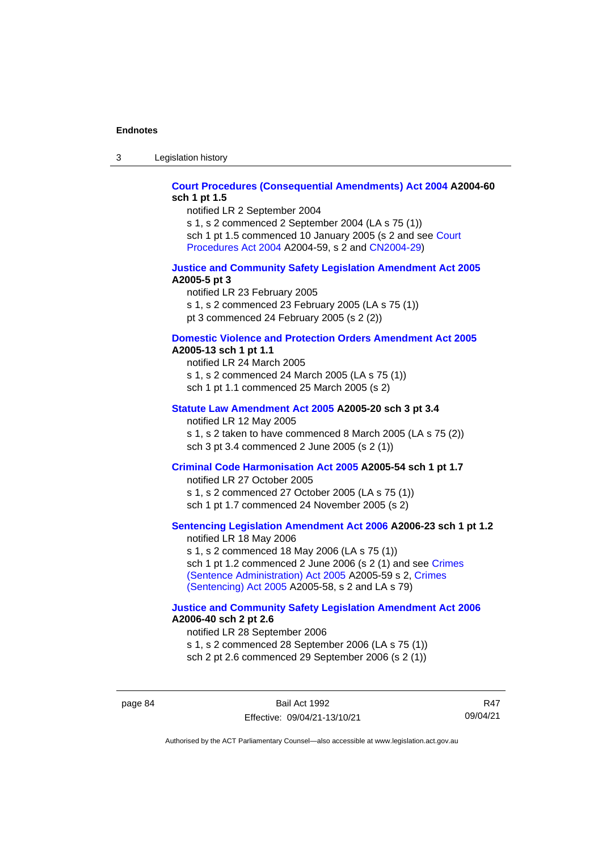3 Legislation history

## **[Court Procedures \(Consequential Amendments\) Act 2004](http://www.legislation.act.gov.au/a/2004-60) A2004-60 sch 1 pt 1.5**

notified LR 2 September 2004

s 1, s 2 commenced 2 September 2004 (LA s 75 (1)) sch 1 pt 1.5 commenced 10 January 2005 (s 2 and see [Court](http://www.legislation.act.gov.au/a/2004-59)  [Procedures Act](http://www.legislation.act.gov.au/a/2004-59) 2004 A2004-59, s 2 and [CN2004-29\)](http://www.legislation.act.gov.au/cn/2004-29/default.asp)

### **[Justice and Community Safety Legislation Amendment Act 2005](http://www.legislation.act.gov.au/a/2005-5) A2005-5 pt 3**

notified LR 23 February 2005 s 1, s 2 commenced 23 February 2005 (LA s 75 (1)) pt 3 commenced 24 February 2005 (s 2 (2))

#### **[Domestic Violence and Protection Orders Amendment Act 2005](http://www.legislation.act.gov.au/a/2005-13) A2005-13 sch 1 pt 1.1**

notified LR 24 March 2005 s 1, s 2 commenced 24 March 2005 (LA s 75 (1)) sch 1 pt 1.1 commenced 25 March 2005 (s 2)

# **[Statute Law Amendment Act 2005](http://www.legislation.act.gov.au/a/2005-20) A2005-20 sch 3 pt 3.4**

notified LR 12 May 2005

s 1, s 2 taken to have commenced 8 March 2005 (LA s 75 (2)) sch 3 pt 3.4 commenced 2 June 2005 (s 2 (1))

### **[Criminal Code Harmonisation Act 2005](http://www.legislation.act.gov.au/a/2005-54) A2005-54 sch 1 pt 1.7**

notified LR 27 October 2005 s 1, s 2 commenced 27 October 2005 (LA s 75 (1)) sch 1 pt 1.7 commenced 24 November 2005 (s 2)

# **[Sentencing Legislation Amendment](http://www.legislation.act.gov.au/a/2006-23) Act 2006 A2006-23 sch 1 pt 1.2**

notified LR 18 May 2006 s 1, s 2 commenced 18 May 2006 (LA s 75 (1)) sch 1 pt 1.2 commenced 2 June 2006 (s 2 (1) and see [Crimes](http://www.legislation.act.gov.au/a/2005-59)  [\(Sentence Administration\) Act 2005](http://www.legislation.act.gov.au/a/2005-59) A2005-59 s 2, [Crimes](http://www.legislation.act.gov.au/a/2005-58)  [\(Sentencing\) Act 2005](http://www.legislation.act.gov.au/a/2005-58) A2005-58, s 2 and LA s 79)

### **[Justice and Community Safety Legislation Amendment Act](http://www.legislation.act.gov.au/a/2006-40) 2006 A2006-40 sch 2 pt 2.6**

notified LR 28 September 2006 s 1, s 2 commenced 28 September 2006 (LA s 75 (1)) sch 2 pt 2.6 commenced 29 September 2006 (s 2 (1))

page 84 Bail Act 1992 Effective: 09/04/21-13/10/21

R47 09/04/21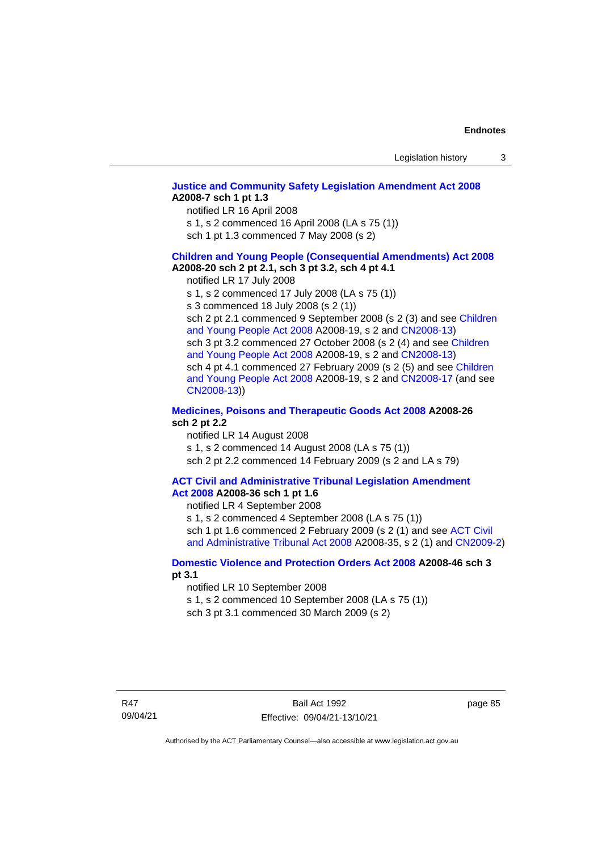# **[Justice and Community Safety Legislation Amendment Act 2008](http://www.legislation.act.gov.au/a/2008-7) A2008-7 sch 1 pt 1.3**

notified LR 16 April 2008

s 1, s 2 commenced 16 April 2008 (LA s 75 (1))

sch 1 pt 1.3 commenced 7 May 2008 (s 2)

### **Children and [Young People \(Consequential Amendments\) Act 2008](http://www.legislation.act.gov.au/a/2008-20) A2008-20 sch 2 pt 2.1, sch 3 pt 3.2, sch 4 pt 4.1**

notified LR 17 July 2008

s 1, s 2 commenced 17 July 2008 (LA s 75 (1))

s 3 commenced 18 July 2008 (s 2 (1))

sch 2 pt 2.1 commenced 9 September 2008 (s 2 (3) and see Children [and Young People Act 2008](http://www.legislation.act.gov.au/a/2008-19) A2008-19, s 2 and [CN2008-13\)](http://www.legislation.act.gov.au/cn/2008-13/default.asp) sch 3 pt 3.2 commenced 27 October 2008 (s 2 (4) and see Children [and Young People Act 2008](http://www.legislation.act.gov.au/a/2008-19) A2008-19, s 2 and [CN2008-13\)](http://www.legislation.act.gov.au/cn/2008-13/default.asp) sch 4 pt 4.1 commenced 27 February 2009 (s 2 (5) and see [Children](http://www.legislation.act.gov.au/a/2008-19)  [and Young People Act 2008](http://www.legislation.act.gov.au/a/2008-19) A2008-19, s 2 and [CN2008-17 \(](http://www.legislation.act.gov.au/cn/2008-17/default.asp)and see [CN2008-13\)](http://www.legislation.act.gov.au/cn/2008-13/default.asp))

## **[Medicines, Poisons and Therapeutic Goods Act](http://www.legislation.act.gov.au/a/2008-26#history) 2008 A2008-26 sch 2 pt 2.2**

notified LR 14 August 2008 s 1, s 2 commenced 14 August 2008 (LA s 75 (1)) sch 2 pt 2.2 commenced 14 February 2009 (s 2 and LA s 79)

#### **[ACT Civil and Administrative Tribunal Legislation Amendment](http://www.legislation.act.gov.au/a/2008-36)  Act [2008](http://www.legislation.act.gov.au/a/2008-36) A2008-36 sch 1 pt 1.6**

notified LR 4 September 2008

s 1, s 2 commenced 4 September 2008 (LA s 75 (1)) sch 1 pt 1.6 commenced 2 February 2009 (s 2 (1) and see [ACT Civil](http://www.legislation.act.gov.au/a/2008-35)  [and Administrative Tribunal Act 2008](http://www.legislation.act.gov.au/a/2008-35) A2008-35, s 2 (1) and [CN2009-2\)](http://www.legislation.act.gov.au/cn/2009-2/default.asp)

## **[Domestic Violence and Protection Orders Act 2008](http://www.legislation.act.gov.au/a/2008-46#history) A2008-46 sch 3 pt 3.1**

notified LR 10 September 2008

s 1, s 2 commenced 10 September 2008 (LA s 75 (1))

sch 3 pt 3.1 commenced 30 March 2009 (s 2)

page 85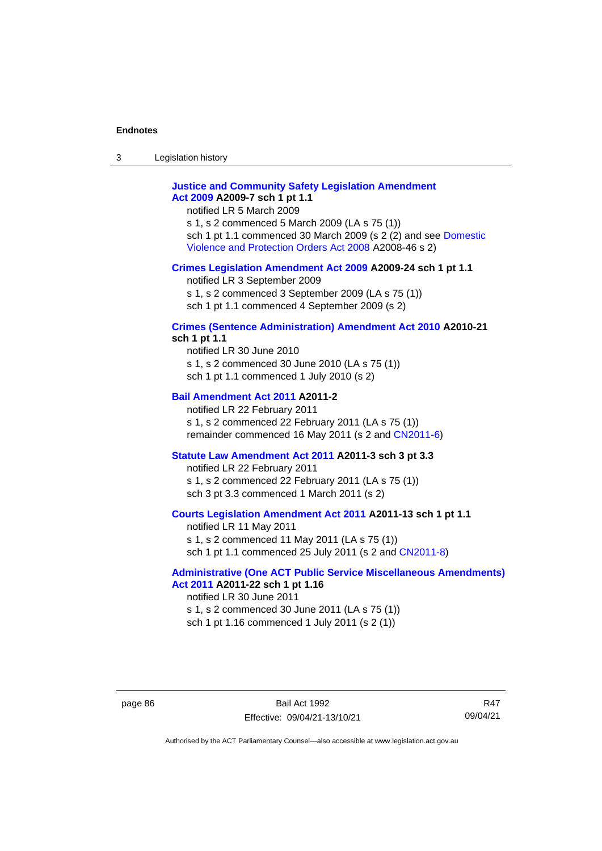3 Legislation history

# **[Justice and Community Safety Legislation Amendment](http://www.legislation.act.gov.au/a/2009-7)  Act [2009](http://www.legislation.act.gov.au/a/2009-7) A2009-7 sch 1 pt 1.1**

notified LR 5 March 2009

s 1, s 2 commenced 5 March 2009 (LA s 75 (1)) sch 1 pt 1.1 commenced 30 March 2009 (s 2 (2) and see [Domestic](http://www.legislation.act.gov.au/a/2008-46)  [Violence and Protection Orders Act 2008](http://www.legislation.act.gov.au/a/2008-46) A2008-46 s 2)

### **[Crimes Legislation Amendment Act 2009](http://www.legislation.act.gov.au/a/2009-24) A2009-24 sch 1 pt 1.1**

notified LR 3 September 2009

s 1, s 2 commenced 3 September 2009 (LA s 75 (1))

sch 1 pt 1.1 commenced 4 September 2009 (s 2)

# **[Crimes \(Sentence Administration\) Amendment Act 2010](http://www.legislation.act.gov.au/a/2010-21) A2010-21**

**sch 1 pt 1.1**

notified LR 30 June 2010 s 1, s 2 commenced 30 June 2010 (LA s 75 (1)) sch 1 pt 1.1 commenced 1 July 2010 (s 2)

### **[Bail Amendment Act 2011](http://www.legislation.act.gov.au/a/2011-2) A2011-2**

notified LR 22 February 2011 s 1, s 2 commenced 22 February 2011 (LA s 75 (1)) remainder commenced 16 May 2011 (s 2 and [CN2011-6\)](http://www.legislation.act.gov.au/cn/2011-6/default.asp)

### **[Statute Law Amendment Act 2011](http://www.legislation.act.gov.au/a/2011-3) A2011-3 sch 3 pt 3.3**

notified LR 22 February 2011 s 1, s 2 commenced 22 February 2011 (LA s 75 (1)) sch 3 pt 3.3 commenced 1 March 2011 (s 2)

## **[Courts Legislation Amendment Act 2011](http://www.legislation.act.gov.au/a/2011-13) A2011-13 sch 1 pt 1.1**

notified LR 11 May 2011 s 1, s 2 commenced 11 May 2011 (LA s 75 (1)) sch 1 pt 1.1 commenced 25 July 2011 (s 2 and [CN2011-8\)](http://www.legislation.act.gov.au/cn/2011-8/default.asp)

### **[Administrative \(One ACT Public Service Miscellaneous Amendments\)](http://www.legislation.act.gov.au/a/2011-22)  Act [2011](http://www.legislation.act.gov.au/a/2011-22) A2011-22 sch 1 pt 1.16**

notified LR 30 June 2011 s 1, s 2 commenced 30 June 2011 (LA s 75 (1)) sch 1 pt 1.16 commenced 1 July 2011 (s 2 (1))

R47 09/04/21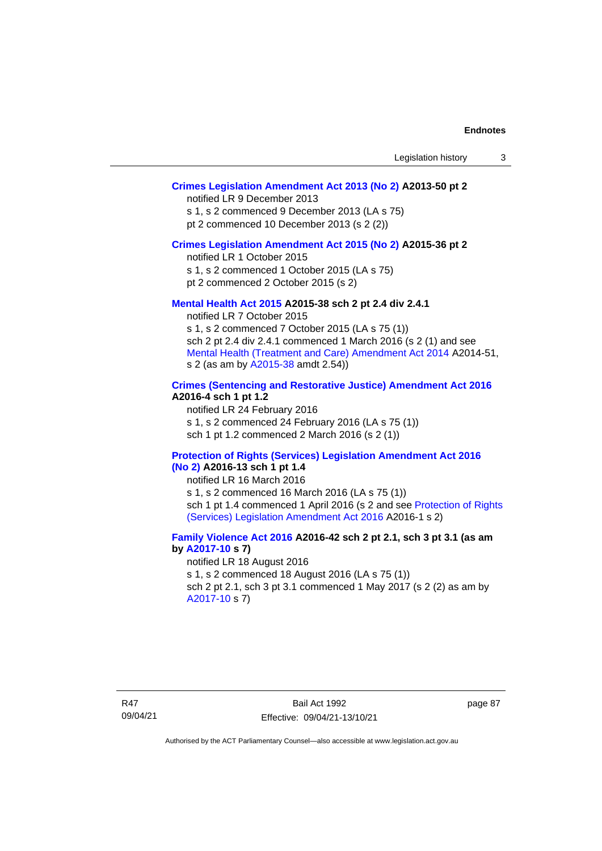# **[Crimes Legislation Amendment Act 2013 \(No 2\)](http://www.legislation.act.gov.au/a/2013-50) A2013-50 pt 2**

notified LR 9 December 2013

s 1, s 2 commenced 9 December 2013 (LA s 75)

pt 2 commenced 10 December 2013 (s 2 (2))

## **[Crimes Legislation Amendment Act 2015 \(No 2\)](http://www.legislation.act.gov.au/a/2015-36) A2015-36 pt 2**

notified LR 1 October 2015

s 1, s 2 commenced 1 October 2015 (LA s 75)

pt 2 commenced 2 October 2015 (s 2)

## **[Mental Health Act 2015](http://www.legislation.act.gov.au/a/2015-38#history) A2015-38 sch 2 pt 2.4 div 2.4.1**

notified LR 7 October 2015 s 1, s 2 commenced 7 October 2015 (LA s 75 (1)) sch 2 pt 2.4 div 2.4.1 commenced 1 March 2016 (s 2 (1) and see [Mental Health \(Treatment and Care\) Amendment Act 2014](http://www.legislation.act.gov.au/a/2014-51/default.asp) A2014-51, s 2 (as am by [A2015-38](http://www.legislation.act.gov.au/a/2015-38) amdt 2.54))

# **[Crimes \(Sentencing and Restorative Justice\) Amendment Act 2016](http://www.legislation.act.gov.au/a/2016-4/default.asp) A2016-4 sch 1 pt 1.2**

notified LR 24 February 2016 s 1, s 2 commenced 24 February 2016 (LA s 75 (1)) sch 1 pt 1.2 commenced 2 March 2016 (s 2 (1))

### **[Protection of Rights \(Services\) Legislation Amendment Act 2016](http://www.legislation.act.gov.au/a/2016-13)  [\(No](http://www.legislation.act.gov.au/a/2016-13) 2) A2016-13 sch 1 pt 1.4**

notified LR 16 March 2016

s 1, s 2 commenced 16 March 2016 (LA s 75 (1)) sch 1 pt 1.4 commenced 1 April 2016 (s 2 and see [Protection of Rights](http://www.legislation.act.gov.au/a/2016-1/default.asp)  [\(Services\) Legislation Amendment Act 2016](http://www.legislation.act.gov.au/a/2016-1/default.asp) A2016-1 s 2)

# **[Family Violence Act 2016](http://www.legislation.act.gov.au/a/2016-42#history) A2016-42 sch 2 pt 2.1, sch 3 pt 3.1 (as am by [A2017-10](http://www.legislation.act.gov.au/a/2017-10/default.asp) s 7)**

notified LR 18 August 2016 s 1, s 2 commenced 18 August 2016 (LA s 75 (1)) sch 2 pt 2.1, sch 3 pt 3.1 commenced 1 May 2017 (s 2 (2) as am by [A2017-10](http://www.legislation.act.gov.au/a/2017-10/default.asp) s 7)

page 87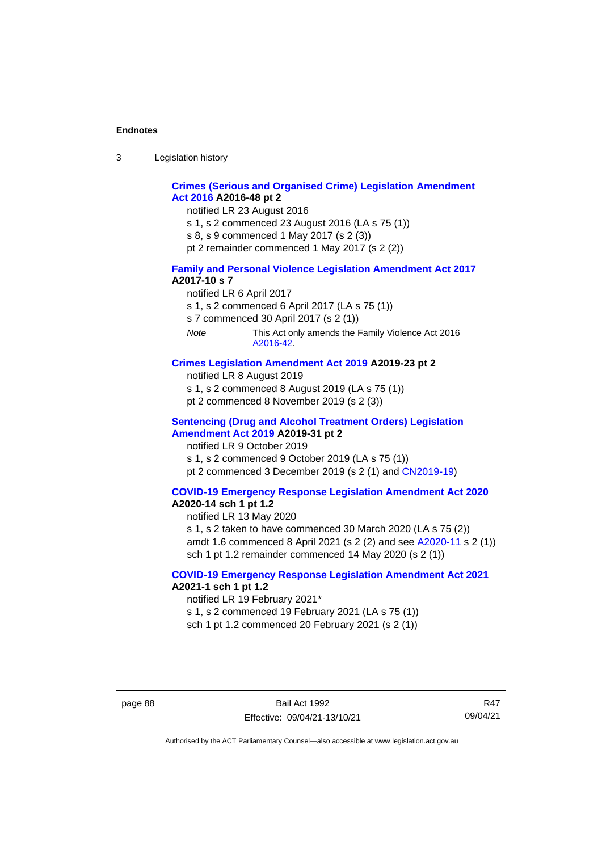3 Legislation history

# **[Crimes \(Serious and Organised Crime\) Legislation Amendment](http://www.legislation.act.gov.au/a/2016-48/default.asp)  Act [2016](http://www.legislation.act.gov.au/a/2016-48/default.asp) A2016-48 pt 2**

notified LR 23 August 2016

- s 1, s 2 commenced 23 August 2016 (LA s 75 (1))
- s 8, s 9 commenced 1 May 2017 (s 2 (3))
- pt 2 remainder commenced 1 May 2017 (s 2 (2))

### **[Family and Personal Violence Legislation Amendment Act 2017](http://www.legislation.act.gov.au/a/2017-10/default.asp) A2017-10 s 7**

- notified LR 6 April 2017
- s 1, s 2 commenced 6 April 2017 (LA s 75 (1))
- s 7 commenced 30 April 2017 (s 2 (1))
- *Note* This Act only amends the Family Violence Act 2016 [A2016-42.](http://www.legislation.act.gov.au/a/2016-42/default.asp)

## **[Crimes Legislation Amendment Act 2019](http://www.legislation.act.gov.au/a/2019-23) A2019-23 pt 2**

- notified LR 8 August 2019
- s 1, s 2 commenced 8 August 2019 (LA s 75 (1))
- pt 2 commenced 8 November 2019 (s 2 (3))

### **[Sentencing \(Drug and Alcohol Treatment Orders\) Legislation](http://www.legislation.act.gov.au/a/2019-31)  [Amendment Act 2019](http://www.legislation.act.gov.au/a/2019-31) A2019-31 pt 2**

notified LR 9 October 2019 s 1, s 2 commenced 9 October 2019 (LA s 75 (1)) pt 2 commenced 3 December 2019 (s 2 (1) and [CN2019-19\)](https://www.legislation.act.gov.au/cn/2019-19/)

# **[COVID-19 Emergency Response Legislation Amendment Act 2020](http://www.legislation.act.gov.au/a/2020-14/)**

# **A2020-14 sch 1 pt 1.2**

notified LR 13 May 2020

s 1, s 2 taken to have commenced 30 March 2020 (LA s 75 (2)) amdt 1.6 commenced 8 April 2021 (s 2 (2) and see [A2020-11](https://www.legislation.act.gov.au/a/2020-11/) s 2 (1)) sch 1 pt 1.2 remainder commenced 14 May 2020 (s 2 (1))

## **[COVID-19 Emergency Response Legislation Amendment Act 2021](http://www.legislation.act.gov.au/a/2021-1/) A2021-1 sch 1 pt 1.2**

notified LR 19 February 2021\*

s 1, s 2 commenced 19 February 2021 (LA s 75 (1))

sch 1 pt 1.2 commenced 20 February 2021 (s 2 (1))

page 88 Bail Act 1992 Effective: 09/04/21-13/10/21

R47 09/04/21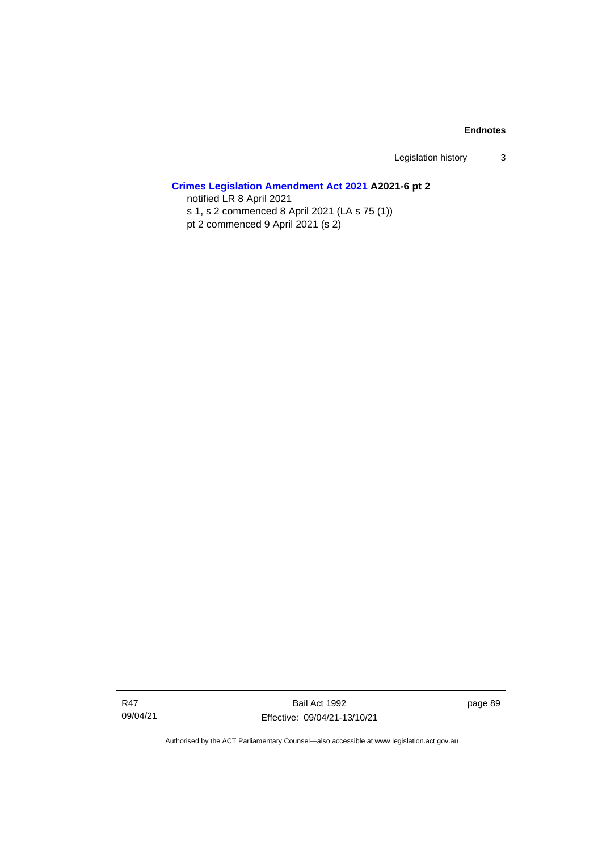Legislation history 3

# **[Crimes Legislation Amendment Act 2021](http://www.legislation.act.gov.au/a/2021-6/) A2021-6 pt 2**

notified LR 8 April 2021 s 1, s 2 commenced 8 April 2021 (LA s 75 (1)) pt 2 commenced 9 April 2021 (s 2)

Bail Act 1992 Effective: 09/04/21-13/10/21 page 89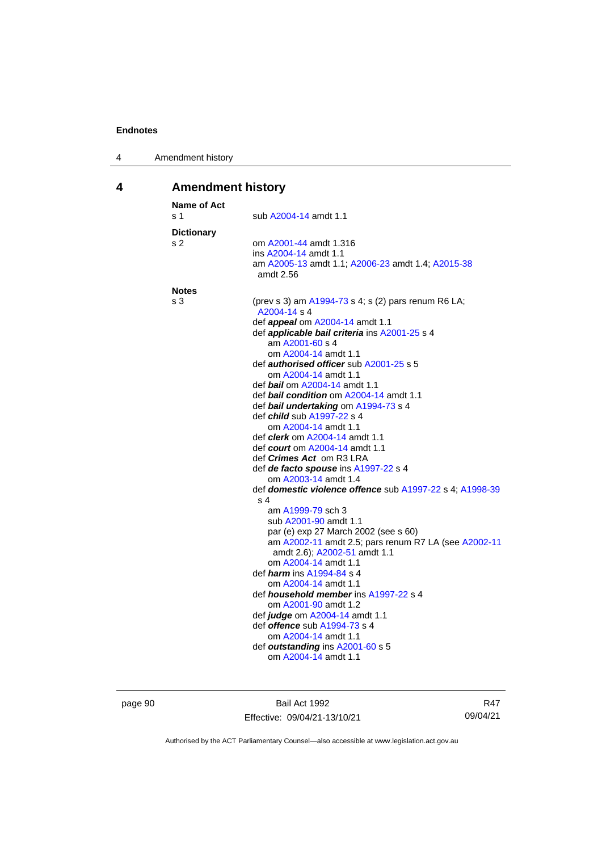| 4 | Amendment history |
|---|-------------------|
|---|-------------------|

# **4 Amendment history**

| Name of Act<br>s 1 | sub A2004-14 amdt 1.1                                               |
|--------------------|---------------------------------------------------------------------|
| <b>Dictionary</b>  |                                                                     |
| s 2                | om A2001-44 amdt 1.316                                              |
|                    | ins A2004-14 amdt 1.1                                               |
|                    | am A2005-13 amdt 1.1; A2006-23 amdt 1.4; A2015-38<br>amdt 2.56      |
| <b>Notes</b>       |                                                                     |
| s 3                | (prev s 3) am A1994-73 s 4; s (2) pars renum R6 LA;<br>A2004-14 s 4 |
|                    | def <b>appeal</b> om A2004-14 amdt 1.1                              |
|                    | def applicable bail criteria ins A2001-25 s 4                       |
|                    | am A2001-60 s 4                                                     |
|                    | om A2004-14 amdt 1.1                                                |
|                    | def <i>authorised officer</i> sub A2001-25 s 5                      |
|                    | om A2004-14 amdt 1.1<br>def <i>bail</i> om A2004-14 amdt 1.1        |
|                    | def bail condition om A2004-14 amdt 1.1                             |
|                    | def bail undertaking om A1994-73 s 4                                |
|                    | def <i>child</i> sub A1997-22 s 4                                   |
|                    | om A2004-14 amdt 1.1                                                |
|                    | def <i>clerk</i> om A2004-14 amdt 1.1                               |
|                    | def <i>court</i> om A2004-14 amdt 1.1                               |
|                    | def <i>Crimes Act</i> om R3 LRA                                     |
|                    | def de facto spouse ins A1997-22 s 4                                |
|                    | om A2003-14 amdt 1.4                                                |
|                    | def domestic violence offence sub A1997-22 s 4; A1998-39            |
|                    | s 4<br>am A1999-79 sch 3                                            |
|                    | sub A2001-90 amdt 1.1                                               |
|                    | par (e) exp 27 March 2002 (see s 60)                                |
|                    | am A2002-11 amdt 2.5; pars renum R7 LA (see A2002-11                |
|                    | amdt 2.6); A2002-51 amdt 1.1                                        |
|                    | om A2004-14 amdt 1.1                                                |
|                    | def <i>harm</i> ins A1994-84 s 4                                    |
|                    | om A2004-14 amdt 1.1                                                |
|                    | def <i>household member</i> ins A1997-22 s 4                        |
|                    | om A2001-90 amdt 1.2                                                |
|                    | def judge om A2004-14 amdt 1.1                                      |
|                    | def offence sub A1994-73 s 4                                        |
|                    | om A2004-14 amdt 1.1                                                |
|                    | def outstanding ins A2001-60 s 5<br>om A2004-14 amdt 1.1            |
|                    |                                                                     |

page 90 Bail Act 1992 Effective: 09/04/21-13/10/21

R47 09/04/21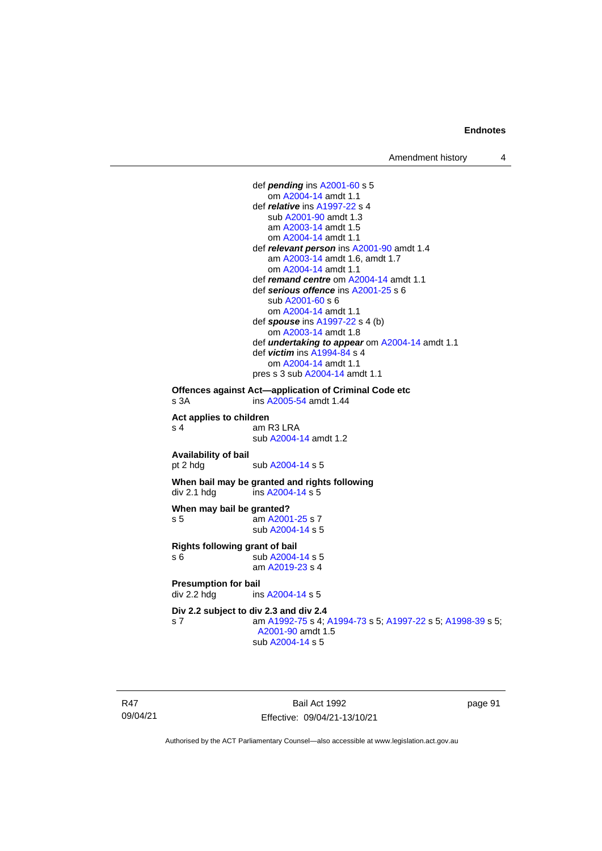def *pending* in[s A2001-60](http://www.legislation.act.gov.au/a/2001-60) s 5 om [A2004-14](http://www.legislation.act.gov.au/a/2004-14) amdt 1.1 def *relative* ins [A1997-22](http://www.legislation.act.gov.au/a/1997-22) s 4 sub [A2001-90](http://www.legislation.act.gov.au/a/2001-90) amdt 1.3 am [A2003-14](http://www.legislation.act.gov.au/a/2003-14) amdt 1.5 om [A2004-14](http://www.legislation.act.gov.au/a/2004-14) amdt 1.1 def *relevant person* in[s A2001-90](http://www.legislation.act.gov.au/a/2001-90) amdt 1.4 am [A2003-14](http://www.legislation.act.gov.au/a/2003-14) amdt 1.6, amdt 1.7 om [A2004-14](http://www.legislation.act.gov.au/a/2004-14) amdt 1.1 def *remand centre* o[m A2004-14](http://www.legislation.act.gov.au/a/2004-14) amdt 1.1 def *serious offence* ins [A2001-25](http://www.legislation.act.gov.au/a/2001-25) s 6 sub [A2001-60](http://www.legislation.act.gov.au/a/2001-60) s 6 om [A2004-14](http://www.legislation.act.gov.au/a/2004-14) amdt 1.1 def *spouse* ins [A1997-22](http://www.legislation.act.gov.au/a/1997-22) s 4 (b) om [A2003-14](http://www.legislation.act.gov.au/a/2003-14) amdt 1.8 def *undertaking to appear* om [A2004-14](http://www.legislation.act.gov.au/a/2004-14) amdt 1.1 def *victim* in[s A1994-84](http://www.legislation.act.gov.au/a/1994-84) s 4 om [A2004-14](http://www.legislation.act.gov.au/a/2004-14) amdt 1.1 pres s 3 su[b A2004-14](http://www.legislation.act.gov.au/a/2004-14) amdt 1.1 **Offences against Act—application of Criminal Code etc** s 3A **ins [A2005-54](http://www.legislation.act.gov.au/a/2005-54)** amdt 1.44 **Act applies to children** s 4 am R3 LRA sub [A2004-14](http://www.legislation.act.gov.au/a/2004-14) amdt 1.2 **Availability of bail** sub [A2004-14](http://www.legislation.act.gov.au/a/2004-14) s 5 **When bail may be granted and rights following** div 2.1 hdg ins  $A2004-14 s 5$ **When may bail be granted?** s 5 am [A2001-25](http://www.legislation.act.gov.au/a/2001-25) s 7 sub [A2004-14](http://www.legislation.act.gov.au/a/2004-14) s 5 **Rights following grant of bail** s 6 sub [A2004-14](http://www.legislation.act.gov.au/a/2004-14) s 5 am [A2019-23](http://www.legislation.act.gov.au/a/2019-23/default.asp) s 4 **Presumption for bail**<br>div 2.2 hdg ins ins [A2004-14](http://www.legislation.act.gov.au/a/2004-14) s 5 **Div 2.2 subject to div 2.3 and div 2.4** s 7 am [A1992-75](http://www.legislation.act.gov.au/a/1992-75) s 4[; A1994-73](http://www.legislation.act.gov.au/a/1994-73) s 5; [A1997-22](http://www.legislation.act.gov.au/a/1997-22) s 5[; A1998-39](http://www.legislation.act.gov.au/a/1998-39) s 5; [A2001-90](http://www.legislation.act.gov.au/a/2001-90) amdt 1.5 sub [A2004-14](http://www.legislation.act.gov.au/a/2004-14) s 5

R47 09/04/21

Bail Act 1992 Effective: 09/04/21-13/10/21 page 91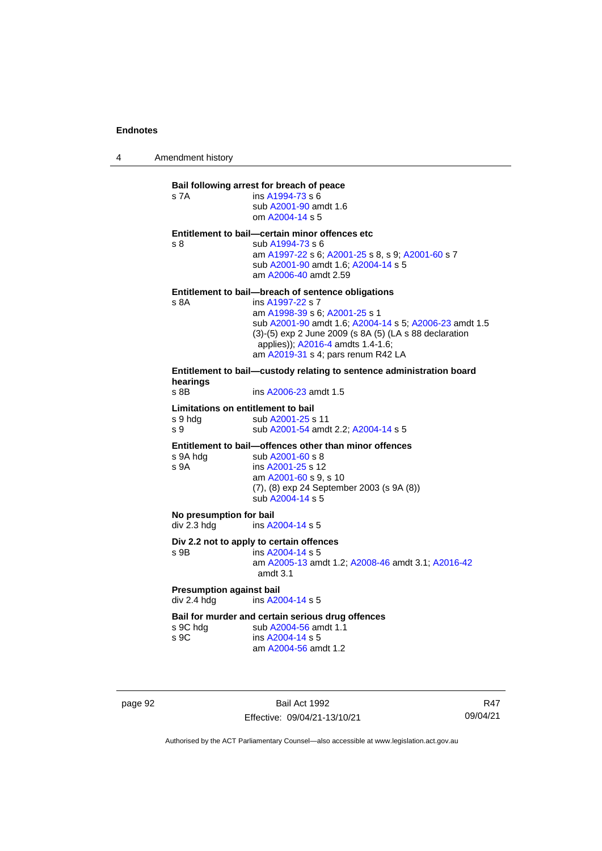4 Amendment history

# **Bail following arrest for breach of peace** s 7A ins [A1994-73](http://www.legislation.act.gov.au/a/1994-73) s 6 sub [A2001-90](http://www.legislation.act.gov.au/a/2001-90) amdt 1.6 om [A2004-14](http://www.legislation.act.gov.au/a/2004-14) s 5 **Entitlement to bail—certain minor offences etc** s 8 sub [A1994-73](http://www.legislation.act.gov.au/a/1994-73) s 6 am [A1997-22](http://www.legislation.act.gov.au/a/1997-22) s 6[; A2001-25](http://www.legislation.act.gov.au/a/2001-25) s 8, s 9; [A2001-60](http://www.legislation.act.gov.au/a/2001-60) s 7 sub [A2001-90](http://www.legislation.act.gov.au/a/2001-90) amdt 1.6[; A2004-14](http://www.legislation.act.gov.au/a/2004-14) s 5 am [A2006-40](http://www.legislation.act.gov.au/a/2006-40) amdt 2.59 **Entitlement to bail—breach of sentence obligations** s 8A ins [A1997-22](http://www.legislation.act.gov.au/a/1997-22) s 7 am [A1998-39](http://www.legislation.act.gov.au/a/1998-39) s 6[; A2001-25](http://www.legislation.act.gov.au/a/2001-25) s 1 sub [A2001-90](http://www.legislation.act.gov.au/a/2001-90) amdt 1.6[; A2004-14](http://www.legislation.act.gov.au/a/2004-14) s 5; [A2006-23](http://www.legislation.act.gov.au/a/2006-23) amdt 1.5 (3)-(5) exp 2 June 2009 (s 8A (5) (LA s 88 declaration applies)); [A2016-4](http://www.legislation.act.gov.au/a/2016-4/default.asp) amdts 1.4-1.6; am [A2019-31](http://www.legislation.act.gov.au/a/2019-31/) s 4; pars renum R42 LA **Entitlement to bail—custody relating to sentence administration board hearings** ins [A2006-23](http://www.legislation.act.gov.au/a/2006-23) amdt 1.5 **Limitations on entitlement to bail** s 9 hdg sub [A2001-25](http://www.legislation.act.gov.au/a/2001-25) s 11 s 9 sub [A2001-54](http://www.legislation.act.gov.au/a/2001-54) amdt 2.2[; A2004-14](http://www.legislation.act.gov.au/a/2004-14) s 5 **Entitlement to bail—offences other than minor offences** s 9A hdg sub [A2001-60](http://www.legislation.act.gov.au/a/2001-60) s 8<br>s 9A ins A2001-25 s 12 ins [A2001-25](http://www.legislation.act.gov.au/a/2001-25) s 12 am [A2001-60](http://www.legislation.act.gov.au/a/2001-60) s 9, s 10 (7), (8) exp 24 September 2003 (s 9A (8)) sub [A2004-14](http://www.legislation.act.gov.au/a/2004-14) s 5 **No presumption for bail**<br>div 2.3 hdg ins A2 ins [A2004-14](http://www.legislation.act.gov.au/a/2004-14) s 5 **Div 2.2 not to apply to certain offences** s 9B ins [A2004-14](http://www.legislation.act.gov.au/a/2004-14) s 5 am [A2005-13](http://www.legislation.act.gov.au/a/2005-13) amdt 1.2[; A2008-46](http://www.legislation.act.gov.au/a/2008-46) amdt 3.1; [A2016-42](http://www.legislation.act.gov.au/a/2016-42/default.asp) amdt 3.1 **Presumption against bail** div 2.4 hdg ins [A2004-14](http://www.legislation.act.gov.au/a/2004-14) s 5 **Bail for murder and certain serious drug offences**<br>s 9C hdq sub A2004-56 amdt 1.1 sub [A2004-56](http://www.legislation.act.gov.au/a/2004-56) amdt 1.1 s 9C ins [A2004-14](http://www.legislation.act.gov.au/a/2004-14) s 5 am [A2004-56](http://www.legislation.act.gov.au/a/2004-56) amdt 1.2

page 92 Bail Act 1992 Effective: 09/04/21-13/10/21

R47 09/04/21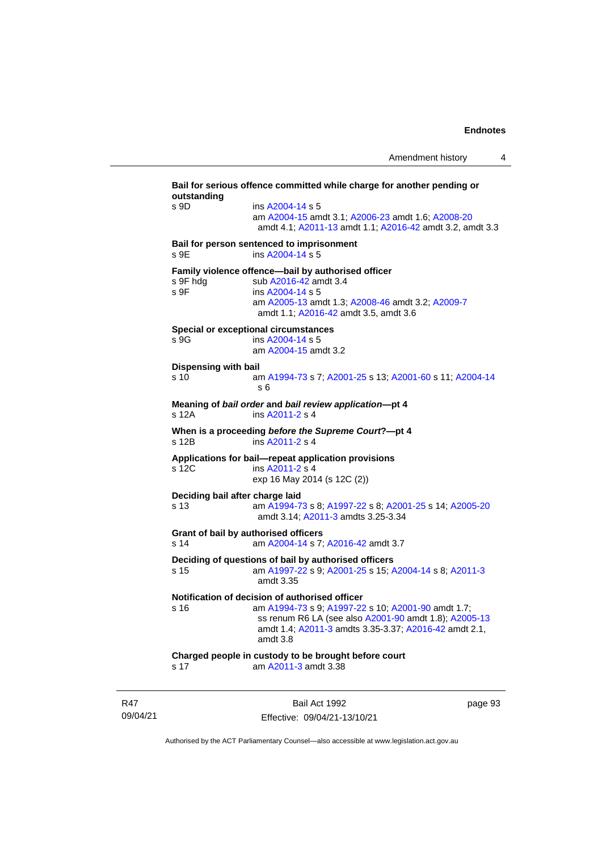**Bail for serious offence committed while charge for another pending or outstanding** s 9D ins [A2004-14](http://www.legislation.act.gov.au/a/2004-14) s 5 am [A2004-15](http://www.legislation.act.gov.au/a/2004-15) amdt 3.1[; A2006-23](http://www.legislation.act.gov.au/a/2006-23) amdt 1.6; [A2008-20](http://www.legislation.act.gov.au/a/2008-20) amdt 4.1; [A2011-13](http://www.legislation.act.gov.au/a/2011-13) amdt 1.1[; A2016-42](http://www.legislation.act.gov.au/a/2016-42/default.asp) amdt 3.2, amdt 3.3 **Bail for person sentenced to imprisonment** s 9E ins [A2004-14](http://www.legislation.act.gov.au/a/2004-14) s 5 **Family violence offence—bail by authorised officer**<br>s 9F hdg sub A2016-42 amdt 3.4 sub [A2016-42](http://www.legislation.act.gov.au/a/2016-42/default.asp) amdt 3.4 s 9F ins [A2004-14](http://www.legislation.act.gov.au/a/2004-14) s 5 am [A2005-13](http://www.legislation.act.gov.au/a/2005-13) amdt 1.3[; A2008-46](http://www.legislation.act.gov.au/a/2008-46) amdt 3.2; [A2009-7](http://www.legislation.act.gov.au/a/2009-7) amdt 1.1; [A2016-42](http://www.legislation.act.gov.au/a/2016-42/default.asp) amdt 3.5, amdt 3.6 **Special or exceptional circumstances** s 9G ins [A2004-14](http://www.legislation.act.gov.au/a/2004-14) s 5 am [A2004-15](http://www.legislation.act.gov.au/a/2004-15) amdt 3.2 **Dispensing with bail** s 10 am [A1994-73](http://www.legislation.act.gov.au/a/1994-73) s 7[; A2001-25](http://www.legislation.act.gov.au/a/2001-25) s 13; [A2001-60](http://www.legislation.act.gov.au/a/2001-60) s 11[; A2004-14](http://www.legislation.act.gov.au/a/2004-14) s 6 **Meaning of** *bail order* **and** *bail review application***—pt 4** ins [A2011-2](http://www.legislation.act.gov.au/a/2011-2) s 4 **When is a proceeding** *before the Supreme Court***?—pt 4** s 12B ins [A2011-2](http://www.legislation.act.gov.au/a/2011-2) s 4 **Applications for bail—repeat application provisions** ins [A2011-2](http://www.legislation.act.gov.au/a/2011-2) s 4 exp 16 May 2014 (s 12C (2)) **Deciding bail after charge laid** s 13 am [A1994-73](http://www.legislation.act.gov.au/a/1994-73) s 8[; A1997-22](http://www.legislation.act.gov.au/a/1997-22) s 8; [A2001-25](http://www.legislation.act.gov.au/a/2001-25) s 14[; A2005-20](http://www.legislation.act.gov.au/a/2005-20) amdt 3.14; [A2011-3](http://www.legislation.act.gov.au/a/2011-3) amdts 3.25-3.34 **Grant of bail by authorised officers** s 14 am [A2004-14](http://www.legislation.act.gov.au/a/2004-14) s 7[; A2016-42](http://www.legislation.act.gov.au/a/2016-42/default.asp) amdt 3.7 **Deciding of questions of bail by authorised officers** s 15 am [A1997-22](http://www.legislation.act.gov.au/a/1997-22) s 9[; A2001-25](http://www.legislation.act.gov.au/a/2001-25) s 15; [A2004-14](http://www.legislation.act.gov.au/a/2004-14) s 8[; A2011-3](http://www.legislation.act.gov.au/a/2011-3) amdt 3.35 **Notification of decision of authorised officer**<br>s 16 am A1994-73 s 9: A1997-22 am [A1994-73](http://www.legislation.act.gov.au/a/1994-73) s 9[; A1997-22](http://www.legislation.act.gov.au/a/1997-22) s 10; [A2001-90](http://www.legislation.act.gov.au/a/2001-90) amdt 1.7; ss renum R6 LA (see also [A2001-90](http://www.legislation.act.gov.au/a/2001-90) amdt 1.8)[; A2005-13](http://www.legislation.act.gov.au/a/2005-13) amdt 1.4; [A2011-3](http://www.legislation.act.gov.au/a/2011-3) amdts 3.35-3.37[; A2016-42](http://www.legislation.act.gov.au/a/2016-42/default.asp) amdt 2.1, amdt 3.8 **Charged people in custody to be brought before court** s 17 am [A2011-3](http://www.legislation.act.gov.au/a/2011-3) amdt 3.38

R47 09/04/21

Bail Act 1992 Effective: 09/04/21-13/10/21 page 93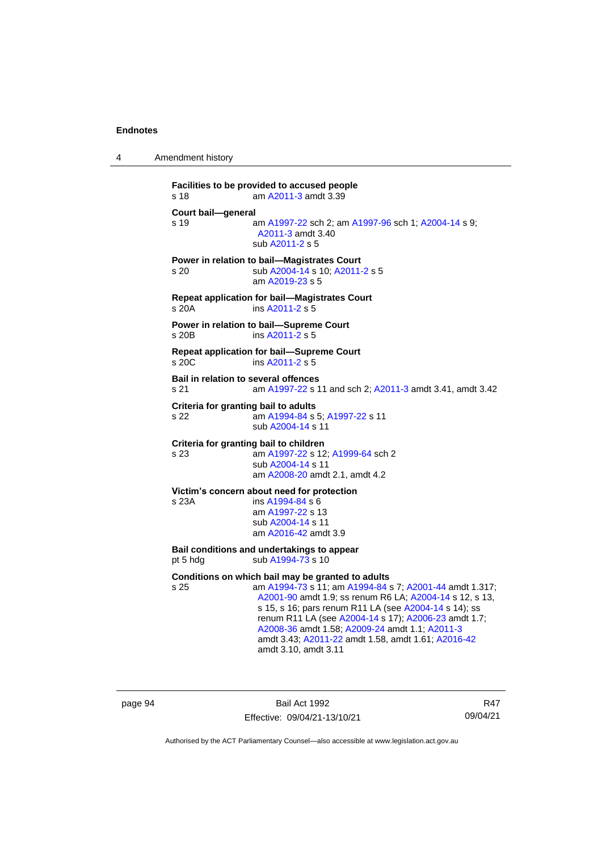4 Amendment history

```
Facilities to be provided to accused people
s 18 am A2011-3 amdt 3.39
Court bail—general
s 19 am A1997-22 sch 2; am A1997-96 sch 1; A2004-14 s 9; 
                 A2011-3 amdt 3.40
                sub A2011-2 s 5
Power in relation to bail—Magistrates Court
s 20 sub A2004-14 s 10; A2011-2 s 5
                am A2019-23 s 5
Repeat application for bail—Magistrates Court
s 20A ins A2011-2 s 5
Power in relation to bail—Supreme Court
s 20B ins A2011-2 s 5
Repeat application for bail—Supreme Court
s 20C ins A2011-2 s 5
Bail in relation to several offences
s 21 am A1997-22 s 11 and sch 2; A2011-3 amdt 3.41, amdt 3.42
Criteria for granting bail to adults
s 22 am A1994-84 s 5; A1997-22 s 11
                sub A2004-14 s 11
Criteria for granting bail to children
s 23 am A1997-22 s 12; A1999-64 sch 2
                sub A2004-14 s 11
                am A2008-20 amdt 2.1, amdt 4.2
Victim's concern about need for protection
s 23A ins A1994-84 s 6
                am A1997-22 s 13
                sub A2004-14 s 11
                am A2016-42 amdt 3.9
Bail conditions and undertakings to appear
pt 5 hdg sub A1994-73 s 10
Conditions on which bail may be granted to adults
s 25 am A1994-73 s 11; am A1994-84 s 7; A2001-44 amdt 1.317; 
                 A2001-90 amdt 1.9; ss renum R6 LA; A2004-14 s 12, s 13, 
                 s 15, s 16; pars renum R11 LA (see A2004-14 s 14); ss 
                 renum R11 LA (see A2004-14 s 17); A2006-23 amdt 1.7; 
                 A2008-36 amdt 1.58; A2009-24 amdt 1.1; A2011-3
                 amdt 3.43; A2011-22 amdt 1.58, amdt 1.61; A2016-42
                 amdt 3.10, amdt 3.11
```
page 94 Bail Act 1992 Effective: 09/04/21-13/10/21

R47 09/04/21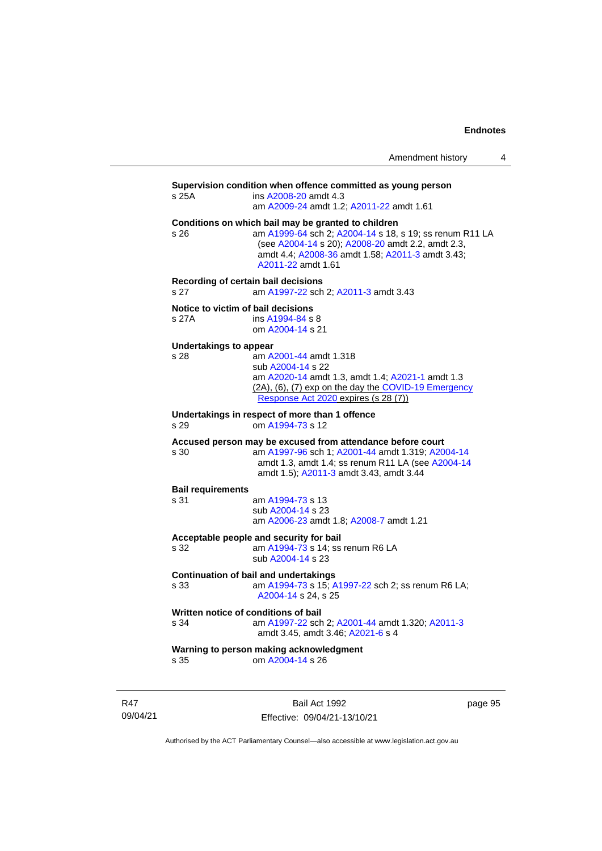Amendment history 4

| s 25A                                                                               | Supervision condition when offence committed as young person<br>ins $A2008-20$ amdt 4.3<br>am A2009-24 amdt 1.2; A2011-22 amdt 1.61                                                                                                           |  |
|-------------------------------------------------------------------------------------|-----------------------------------------------------------------------------------------------------------------------------------------------------------------------------------------------------------------------------------------------|--|
| s 26                                                                                | Conditions on which bail may be granted to children<br>am A1999-64 sch 2; A2004-14 s 18, s 19; ss renum R11 LA<br>(see A2004-14 s 20); A2008-20 amdt 2.2, amdt 2.3,<br>amdt 4.4; A2008-36 amdt 1.58; A2011-3 amdt 3.43;<br>A2011-22 amdt 1.61 |  |
| Recording of certain bail decisions<br>am A1997-22 sch 2; A2011-3 amdt 3.43<br>s 27 |                                                                                                                                                                                                                                               |  |
| Notice to victim of bail decisions<br>s 27A                                         | ins A1994-84 s 8<br>om A2004-14 s 21                                                                                                                                                                                                          |  |

#### **Undertakings to appear**

| s 28 | am A2001-44 amdt 1.318                                       |
|------|--------------------------------------------------------------|
|      | sub A2004-14 s 22                                            |
|      | am A2020-14 amdt 1.3, amdt 1.4; A2021-1 amdt 1.3             |
|      | $(2A)$ , $(6)$ , $(7)$ exp on the day the COVID-19 Emergency |
|      | Response Act 2020 expires (s 28 (7))                         |
|      |                                                              |

**Undertakings in respect of more than 1 offence** s 29 om [A1994-73](http://www.legislation.act.gov.au/a/1994-73) s 12

#### **Accused person may be excused from attendance before court**

s 30 am [A1997-96](http://www.legislation.act.gov.au/a/1997-96) sch 1; [A2001-44](http://www.legislation.act.gov.au/a/2001-44) amdt 1.319[; A2004-14](http://www.legislation.act.gov.au/a/2004-14) amdt 1.3, amdt 1.4; ss renum R11 LA (see [A2004-14](http://www.legislation.act.gov.au/a/2004-14) amdt 1.5); [A2011-3](http://www.legislation.act.gov.au/a/2011-3) amdt 3.43, amdt 3.44

#### **Bail requirements**

s 31 am [A1994-73](http://www.legislation.act.gov.au/a/1994-73) s 13 sub [A2004-14](http://www.legislation.act.gov.au/a/2004-14) s 23

am [A2006-23](http://www.legislation.act.gov.au/a/2006-23) amdt 1.8[; A2008-7](http://www.legislation.act.gov.au/a/2008-7) amdt 1.21

**Acceptable people and security for bail**

am  $A1994-73$  s 14; ss renum R6 LA sub [A2004-14](http://www.legislation.act.gov.au/a/2004-14) s 23

#### **Continuation of bail and undertakings**

s 33 am [A1994-73](http://www.legislation.act.gov.au/a/1994-73) s 15[; A1997-22](http://www.legislation.act.gov.au/a/1997-22) sch 2; ss renum R6 LA; [A2004-14](http://www.legislation.act.gov.au/a/2004-14) s 24, s 25

### **Written notice of conditions of bail** s 34 am [A1997-22](http://www.legislation.act.gov.au/a/1997-22) sch 2; [A2001-44](http://www.legislation.act.gov.au/a/2001-44) amdt 1.320[; A2011-3](http://www.legislation.act.gov.au/a/2011-3) amdt 3.45, amdt 3.46; [A2021-6](http://www.legislation.act.gov.au/a/2021-6/) s 4

#### **Warning to person making acknowledgment** s 35 om [A2004-14](http://www.legislation.act.gov.au/a/2004-14) s 26

R47 09/04/21

Bail Act 1992 Effective: 09/04/21-13/10/21 page 95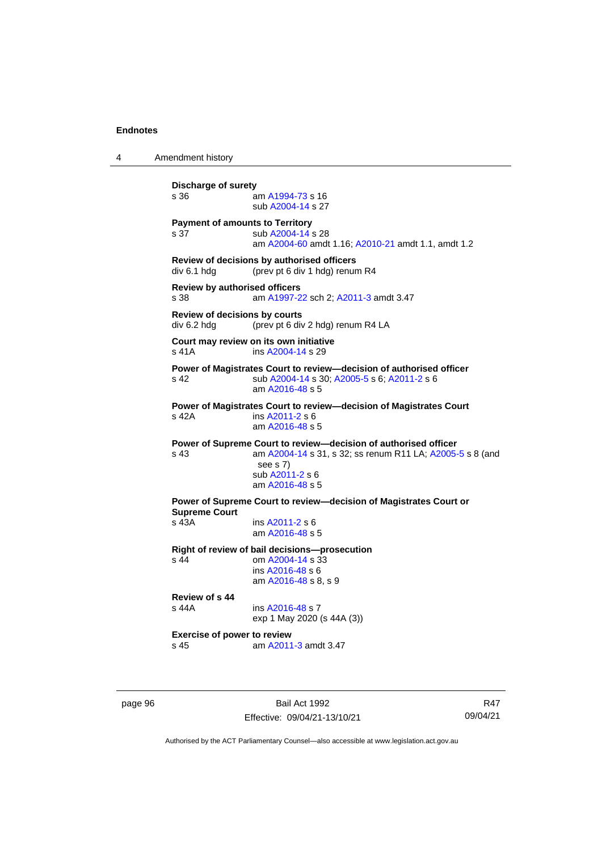4 Amendment history **Discharge of surety** s 36 am [A1994-73](http://www.legislation.act.gov.au/a/1994-73) s 16 sub [A2004-14](http://www.legislation.act.gov.au/a/2004-14) s 27 **Payment of amounts to Territory** s 37 sub [A2004-14](http://www.legislation.act.gov.au/a/2004-14) s 28 am [A2004-60](http://www.legislation.act.gov.au/a/2004-60) amdt 1.16[; A2010-21](http://www.legislation.act.gov.au/a/2010-21) amdt 1.1, amdt 1.2 **Review of decisions by authorised officers** div 6.1 hdg (prev pt 6 div 1 hdg) renum R4 **Review by authorised officers** s 38 am [A1997-22](http://www.legislation.act.gov.au/a/1997-22) sch 2; [A2011-3](http://www.legislation.act.gov.au/a/2011-3) amdt 3.47 **Review of decisions by courts** div 6.2 hdg (prev pt 6 div 2 hdg) renum R4 LA **Court may review on its own initiative** s 41A **ins [A2004-14](http://www.legislation.act.gov.au/a/2004-14) s 29 Power of Magistrates Court to review—decision of authorised officer** s 42 sub [A2004-14](http://www.legislation.act.gov.au/a/2004-14) s 30[; A2005-5](http://www.legislation.act.gov.au/a/2005-5) s 6; [A2011-2](http://www.legislation.act.gov.au/a/2011-2) s 6 am [A2016-48](http://www.legislation.act.gov.au/a/2016-48/default.asp) s 5 **Power of Magistrates Court to review—decision of Magistrates Court** s 42A ins [A2011-2](http://www.legislation.act.gov.au/a/2011-2) s 6 am [A2016-48](http://www.legislation.act.gov.au/a/2016-48/default.asp) s 5 **Power of Supreme Court to review—decision of authorised officer** s 43 am [A2004-14](http://www.legislation.act.gov.au/a/2004-14) s 31, s 32; ss renum R11 LA; [A2005-5](http://www.legislation.act.gov.au/a/2005-5) s 8 (and see s 7) sub [A2011-2](http://www.legislation.act.gov.au/a/2011-2) s 6 am [A2016-48](http://www.legislation.act.gov.au/a/2016-48/default.asp) s 5 **Power of Supreme Court to review—decision of Magistrates Court or Supreme Court** s 43A ins [A2011-2](http://www.legislation.act.gov.au/a/2011-2) s 6 am [A2016-48](http://www.legislation.act.gov.au/a/2016-48/default.asp) s 5 **Right of review of bail decisions—prosecution** om  $A2004 - 14$  s  $33$ ins [A2016-48](http://www.legislation.act.gov.au/a/2016-48/default.asp) s 6 am [A2016-48](http://www.legislation.act.gov.au/a/2016-48/default.asp) s 8, s 9 **Review of s 44** ins [A2016-48](http://www.legislation.act.gov.au/a/2016-48/default.asp) s 7 exp 1 May 2020 (s 44A (3)) **Exercise of power to review** s 45 am [A2011-3](http://www.legislation.act.gov.au/a/2011-3) amdt 3.47

page 96 Bail Act 1992 Effective: 09/04/21-13/10/21

R47 09/04/21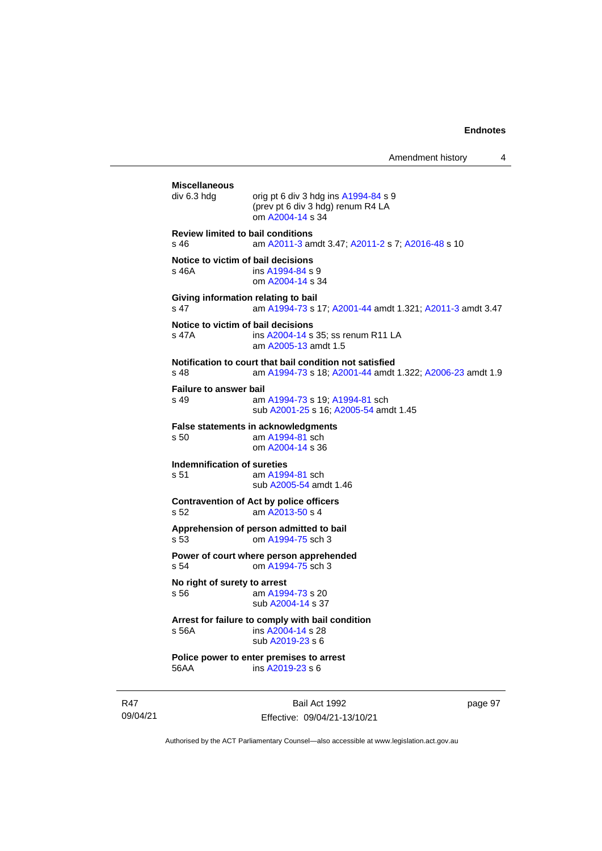Amendment history 4

**Miscellaneous** orig pt 6 div 3 hdg ins  $A1994-84$  s 9 (prev pt 6 div 3 hdg) renum R4 LA om [A2004-14](http://www.legislation.act.gov.au/a/2004-14) s 34 **Review limited to bail conditions** s 46 am [A2011-3](http://www.legislation.act.gov.au/a/2011-3) amdt 3.47[; A2011-2](http://www.legislation.act.gov.au/a/2011-2) s 7; [A2016-48](http://www.legislation.act.gov.au/a/2016-48/default.asp) s 10 **Notice to victim of bail decisions** s 46A **ins [A1994-84](http://www.legislation.act.gov.au/a/1994-84) s 9** om [A2004-14](http://www.legislation.act.gov.au/a/2004-14) s 34 **Giving information relating to bail** s 47 am [A1994-73](http://www.legislation.act.gov.au/a/1994-73) s 17[; A2001-44](http://www.legislation.act.gov.au/a/2001-44) amdt 1.321; [A2011-3](http://www.legislation.act.gov.au/a/2011-3) amdt 3.47 **Notice to victim of bail decisions** s 47A ins [A2004-14](http://www.legislation.act.gov.au/a/2004-14) s 35; ss renum R11 LA am [A2005-13](http://www.legislation.act.gov.au/a/2005-13) amdt 1.5 **Notification to court that bail condition not satisfied** s 48 am [A1994-73](http://www.legislation.act.gov.au/a/1994-73) s 18[; A2001-44](http://www.legislation.act.gov.au/a/2001-44) amdt 1.322; [A2006-23](http://www.legislation.act.gov.au/a/2006-23) amdt 1.9 **Failure to answer bail** s 49 am [A1994-73](http://www.legislation.act.gov.au/a/1994-73) s 19[; A1994-81](http://www.legislation.act.gov.au/a/1994-81) sch sub [A2001-25](http://www.legislation.act.gov.au/a/2001-25) s 16[; A2005-54](http://www.legislation.act.gov.au/a/2005-54) amdt 1.45 **False statements in acknowledgments**<br>s 50 am A1994-81 sch am  $A1994-81$  sch om [A2004-14](http://www.legislation.act.gov.au/a/2004-14) s 36 **Indemnification of sureties** s 51 am [A1994-81](http://www.legislation.act.gov.au/a/1994-81) sch sub [A2005-54](http://www.legislation.act.gov.au/a/2005-54) amdt 1.46 **Contravention of Act by police officers** s 52 am [A2013-50](http://www.legislation.act.gov.au/a/2013-50) s 4 **Apprehension of person admitted to bail** s 53 om [A1994-75](http://www.legislation.act.gov.au/a/1994-75) sch 3 **Power of court where person apprehended** s 54 om [A1994-75](http://www.legislation.act.gov.au/a/1994-75) sch 3 **No right of surety to arrest**<br>s 56 am A199 am [A1994-73](http://www.legislation.act.gov.au/a/1994-73) s 20 sub [A2004-14](http://www.legislation.act.gov.au/a/2004-14) s 37 **Arrest for failure to comply with bail condition** s 56A ins [A2004-14](http://www.legislation.act.gov.au/a/2004-14) s 28 sub [A2019-23](http://www.legislation.act.gov.au/a/2019-23/default.asp) s 6 **Police power to enter premises to arrest** 56AA ins [A2019-23](http://www.legislation.act.gov.au/a/2019-23/default.asp) s 6

R47 09/04/21

Bail Act 1992 Effective: 09/04/21-13/10/21 page 97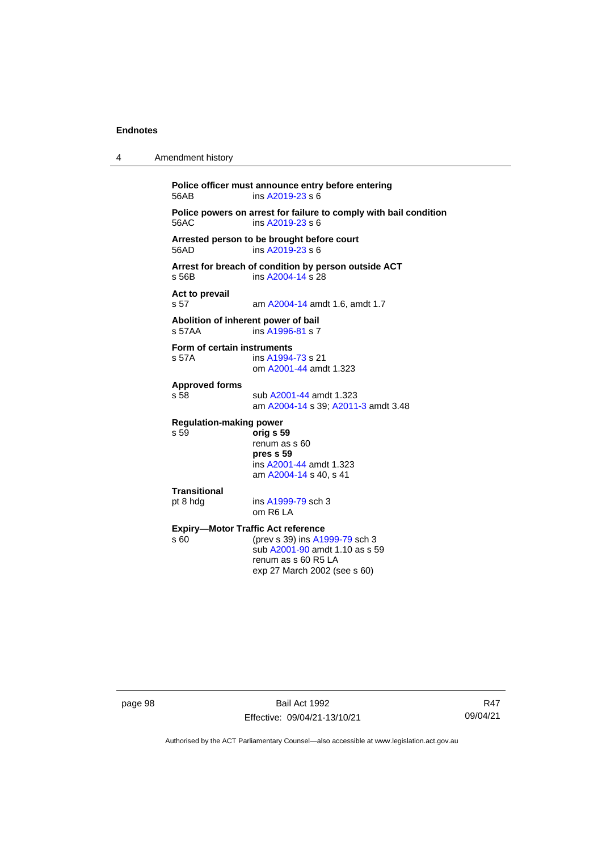| 4 | Amendment history                                                                                                                                                            |  |  |
|---|------------------------------------------------------------------------------------------------------------------------------------------------------------------------------|--|--|
|   | Police officer must announce entry before entering<br>ins A2019-23 s 6<br>56AB                                                                                               |  |  |
|   | Police powers on arrest for failure to comply with bail condition<br>56AC<br>ins $A$ 2019-23 s 6                                                                             |  |  |
|   | Arrested person to be brought before court<br>ins A2019-23 s 6<br>56AD                                                                                                       |  |  |
|   | Arrest for breach of condition by person outside ACT<br>ins A2004-14 s 28<br>s 56B                                                                                           |  |  |
|   | Act to prevail<br>s 57<br>am A2004-14 amdt 1.6, amdt 1.7                                                                                                                     |  |  |
|   | Abolition of inherent power of bail<br>s 57AA<br>ins A1996-81 s 7                                                                                                            |  |  |
|   | Form of certain instruments<br>s 57A<br>ins A1994-73 s 21<br>om A2001-44 amdt 1.323                                                                                          |  |  |
|   | <b>Approved forms</b><br>s 58<br>sub A2001-44 amdt 1.323<br>am A2004-14 s 39; A2011-3 amdt 3.48                                                                              |  |  |
|   | <b>Regulation-making power</b><br>s 59<br>orig s 59<br>renum as s 60<br>pres s 59<br>ins A2001-44 amdt 1.323<br>am A2004-14 s 40, s 41                                       |  |  |
|   | Transitional<br>pt 8 hdg<br>ins A1999-79 sch 3<br>om R6 LA                                                                                                                   |  |  |
|   | <b>Expiry-Motor Traffic Act reference</b><br>s 60<br>(prev s 39) ins A1999-79 sch 3<br>sub A2001-90 amdt 1.10 as s 59<br>renum as s 60 R5 LA<br>exp 27 March 2002 (see s 60) |  |  |
|   |                                                                                                                                                                              |  |  |

page 98 Bail Act 1992 Effective: 09/04/21-13/10/21

R47 09/04/21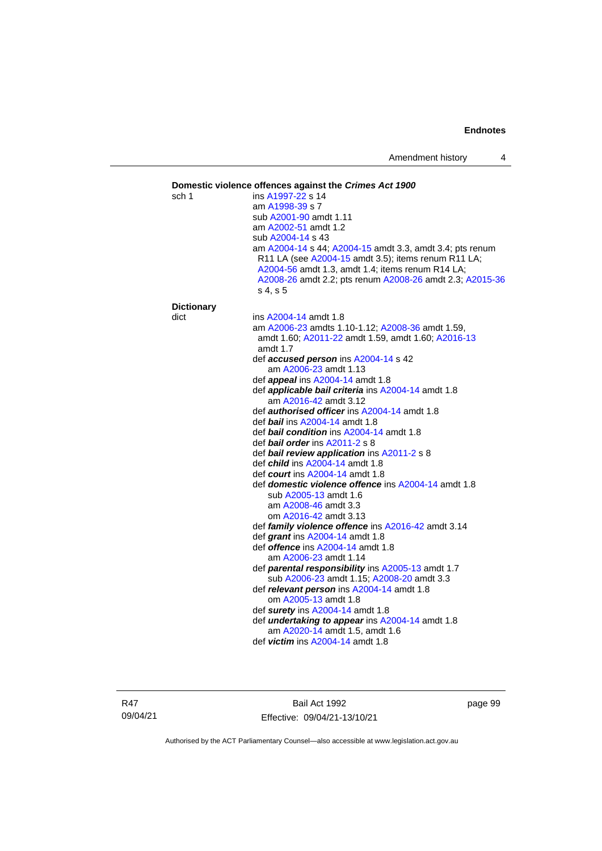### **Domestic violence offences against the** *Crimes Act 1900* sch 1 ins [A1997-22](http://www.legislation.act.gov.au/a/1997-22) s 14 am [A1998-39](http://www.legislation.act.gov.au/a/1998-39) s 7 sub [A2001-90](http://www.legislation.act.gov.au/a/2001-90) amdt 1.11 am [A2002-51](http://www.legislation.act.gov.au/a/2002-51) amdt 1.2 sub [A2004-14](http://www.legislation.act.gov.au/a/2004-14) s 43 am [A2004-14](http://www.legislation.act.gov.au/a/2004-14) s 44[; A2004-15](http://www.legislation.act.gov.au/a/2004-15) amdt 3.3, amdt 3.4; pts renum R11 LA (see [A2004-15](http://www.legislation.act.gov.au/a/2004-15) amdt 3.5); items renum R11 LA; [A2004-56](http://www.legislation.act.gov.au/a/2004-56) amdt 1.3, amdt 1.4; items renum R14 LA; [A2008-26](http://www.legislation.act.gov.au/a/2008-26) amdt 2.2; pts renum [A2008-26](http://www.legislation.act.gov.au/a/2008-26) amdt 2.3[; A2015-36](http://www.legislation.act.gov.au/a/2015-36) s 4, s 5 **Dictionary** dict ins [A2004-14](http://www.legislation.act.gov.au/a/2004-14) amdt 1.8 am [A2006-23](http://www.legislation.act.gov.au/a/2006-23) amdts 1.10-1.12[; A2008-36](http://www.legislation.act.gov.au/a/2008-36) amdt 1.59, amdt 1.60; [A2011-22](http://www.legislation.act.gov.au/a/2011-22) amdt 1.59, amdt 1.60; [A2016-13](http://www.legislation.act.gov.au/a/2016-13) amdt 1.7 def *accused person* ins [A2004-14](http://www.legislation.act.gov.au/a/2004-14) s 42 am [A2006-23](http://www.legislation.act.gov.au/a/2006-23) amdt 1.13 def *appeal* ins [A2004-14](http://www.legislation.act.gov.au/a/2004-14) amdt 1.8 def *applicable bail criteria* ins [A2004-14](http://www.legislation.act.gov.au/a/2004-14) amdt 1.8 am [A2016-42](http://www.legislation.act.gov.au/a/2016-42/default.asp) amdt 3.12 def *authorised officer* in[s A2004-14](http://www.legislation.act.gov.au/a/2004-14) amdt 1.8 def *bail* ins [A2004-14](http://www.legislation.act.gov.au/a/2004-14) amdt 1.8 def *bail condition* ins [A2004-14](http://www.legislation.act.gov.au/a/2004-14) amdt 1.8 def *bail order* in[s A2011-2](http://www.legislation.act.gov.au/a/2011-2) s 8 def *bail review application* in[s A2011-2](http://www.legislation.act.gov.au/a/2011-2) s 8 def *child* in[s A2004-14](http://www.legislation.act.gov.au/a/2004-14) amdt 1.8 def *court* ins [A2004-14](http://www.legislation.act.gov.au/a/2004-14) amdt 1.8 def *domestic violence offence* ins [A2004-14](http://www.legislation.act.gov.au/a/2004-14) amdt 1.8 sub [A2005-13](http://www.legislation.act.gov.au/a/2005-13) amdt 1.6 am [A2008-46](http://www.legislation.act.gov.au/a/2008-46) amdt 3.3 om [A2016-42](http://www.legislation.act.gov.au/a/2016-42/default.asp) amdt 3.13 def *family violence offence* in[s A2016-42](http://www.legislation.act.gov.au/a/2016-42/default.asp) amdt 3.14 def *grant* ins [A2004-14](http://www.legislation.act.gov.au/a/2004-14) amdt 1.8 def *offence* in[s A2004-14](http://www.legislation.act.gov.au/a/2004-14) amdt 1.8 am [A2006-23](http://www.legislation.act.gov.au/a/2006-23) amdt 1.14 def *parental responsibility* in[s A2005-13](http://www.legislation.act.gov.au/a/2005-13) amdt 1.7 sub [A2006-23](http://www.legislation.act.gov.au/a/2006-23) amdt 1.15[; A2008-20](http://www.legislation.act.gov.au/a/2008-20) amdt 3.3 def *relevant person* in[s A2004-14](http://www.legislation.act.gov.au/a/2004-14) amdt 1.8 om [A2005-13](http://www.legislation.act.gov.au/a/2005-13) amdt 1.8 def *surety* in[s A2004-14](http://www.legislation.act.gov.au/a/2004-14) amdt 1.8 def *undertaking to appear* ins [A2004-14](http://www.legislation.act.gov.au/a/2004-14) amdt 1.8 am [A2020-14](http://www.legislation.act.gov.au/a/2020-14/) amdt 1.5, amdt 1.6 def *victim* in[s A2004-14](http://www.legislation.act.gov.au/a/2004-14) amdt 1.8

R47 09/04/21

Bail Act 1992 Effective: 09/04/21-13/10/21 page 99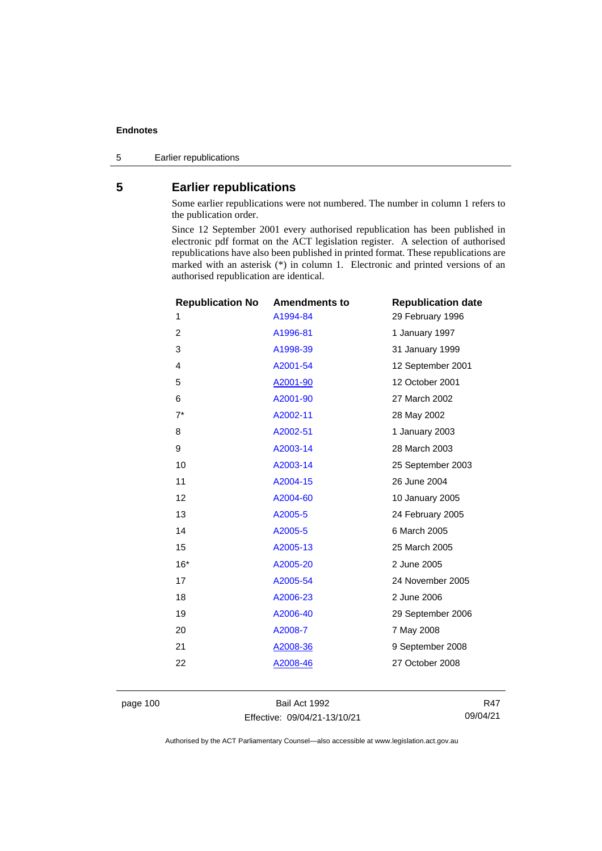5 Earlier republications

# **5 Earlier republications**

Some earlier republications were not numbered. The number in column 1 refers to the publication order.

Since 12 September 2001 every authorised republication has been published in electronic pdf format on the ACT legislation register. A selection of authorised republications have also been published in printed format. These republications are marked with an asterisk (\*) in column 1. Electronic and printed versions of an authorised republication are identical.

| <b>Republication No</b> | <b>Amendments to</b> | <b>Republication date</b> |
|-------------------------|----------------------|---------------------------|
| 1                       | A1994-84             | 29 February 1996          |
| $\overline{2}$          | A1996-81             | 1 January 1997            |
| 3                       | A1998-39             | 31 January 1999           |
| 4                       | A2001-54             | 12 September 2001         |
| 5                       | A2001-90             | 12 October 2001           |
| 6                       | A2001-90             | 27 March 2002             |
| $7^*$                   | A2002-11             | 28 May 2002               |
| 8                       | A2002-51             | 1 January 2003            |
| 9                       | A2003-14             | 28 March 2003             |
| 10                      | A2003-14             | 25 September 2003         |
| 11                      | A2004-15             | 26 June 2004              |
| 12                      | A2004-60             | 10 January 2005           |
| 13                      | A2005-5              | 24 February 2005          |
| 14                      | A2005-5              | 6 March 2005              |
| 15                      | A2005-13             | 25 March 2005             |
| $16*$                   | A2005-20             | 2 June 2005               |
| 17                      | A2005-54             | 24 November 2005          |
| 18                      | A2006-23             | 2 June 2006               |
| 19                      | A2006-40             | 29 September 2006         |
| 20                      | A2008-7              | 7 May 2008                |
| 21                      | A2008-36             | 9 September 2008          |
| 22                      | A2008-46             | 27 October 2008           |
|                         |                      |                           |

page 100 Bail Act 1992 Effective: 09/04/21-13/10/21

R47 09/04/21